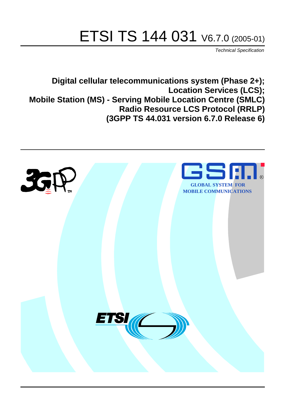# ETSI TS 144 031 V6.7.0 (2005-01)

Technical Specification

**Digital cellular telecommunications system (Phase 2+); Location Services (LCS); Mobile Station (MS) - Serving Mobile Location Centre (SMLC) Radio Resource LCS Protocol (RRLP) (3GPP TS 44.031 version 6.7.0 Release 6)**

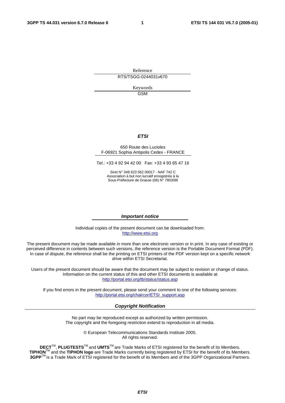Reference

RTS/TSGG-0244031v670

Keywords GSM

#### **ETSI**

#### 650 Route des Lucioles F-06921 Sophia Antipolis Cedex - FRANCE

Tel.: +33 4 92 94 42 00 Fax: +33 4 93 65 47 16

Siret N° 348 623 562 00017 - NAF 742 C Association à but non lucratif enregistrée à la Sous-Préfecture de Grasse (06) N° 7803/88

#### **Important notice**

Individual copies of the present document can be downloaded from: [http://www.etsi.org](http://www.etsi.org/)

The present document may be made available in more than one electronic version or in print. In any case of existing or perceived difference in contents between such versions, the reference version is the Portable Document Format (PDF). In case of dispute, the reference shall be the printing on ETSI printers of the PDF version kept on a specific network drive within ETSI Secretariat.

Users of the present document should be aware that the document may be subject to revision or change of status. Information on the current status of this and other ETSI documents is available at <http://portal.etsi.org/tb/status/status.asp>

If you find errors in the present document, please send your comment to one of the following services: [http://portal.etsi.org/chaircor/ETSI\\_support.asp](http://portal.etsi.org/chaircor/ETSI_support.asp)

#### **Copyright Notification**

No part may be reproduced except as authorized by written permission. The copyright and the foregoing restriction extend to reproduction in all media.

> © European Telecommunications Standards Institute 2005. All rights reserved.

**DECT**TM, **PLUGTESTS**TM and **UMTS**TM are Trade Marks of ETSI registered for the benefit of its Members. **TIPHON**TM and the **TIPHON logo** are Trade Marks currently being registered by ETSI for the benefit of its Members. **3GPP**TM is a Trade Mark of ETSI registered for the benefit of its Members and of the 3GPP Organizational Partners.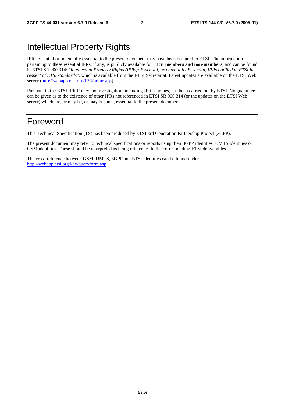## Intellectual Property Rights

IPRs essential or potentially essential to the present document may have been declared to ETSI. The information pertaining to these essential IPRs, if any, is publicly available for **ETSI members and non-members**, and can be found in ETSI SR 000 314: *"Intellectual Property Rights (IPRs); Essential, or potentially Essential, IPRs notified to ETSI in respect of ETSI standards"*, which is available from the ETSI Secretariat. Latest updates are available on the ETSI Web server ([http://webapp.etsi.org/IPR/home.asp\)](http://webapp.etsi.org/IPR/home.asp).

Pursuant to the ETSI IPR Policy, no investigation, including IPR searches, has been carried out by ETSI. No guarantee can be given as to the existence of other IPRs not referenced in ETSI SR 000 314 (or the updates on the ETSI Web server) which are, or may be, or may become, essential to the present document.

## Foreword

This Technical Specification (TS) has been produced by ETSI 3rd Generation Partnership Project (3GPP).

The present document may refer to technical specifications or reports using their 3GPP identities, UMTS identities or GSM identities. These should be interpreted as being references to the corresponding ETSI deliverables.

The cross reference between GSM, UMTS, 3GPP and ETSI identities can be found under <http://webapp.etsi.org/key/queryform.asp>.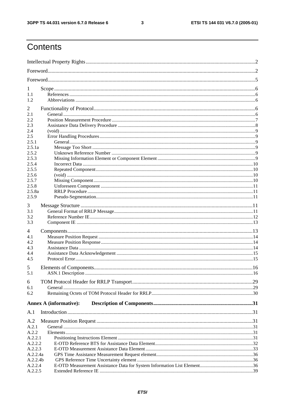$\mathbf{3}$ 

## Contents

| 1              |                               |  |  |
|----------------|-------------------------------|--|--|
| 1.1<br>1.2     |                               |  |  |
|                |                               |  |  |
| $\overline{2}$ |                               |  |  |
| 2.1            |                               |  |  |
| 2.2            |                               |  |  |
| 2.3<br>2.4     |                               |  |  |
| 2.5            |                               |  |  |
| 2.5.1          |                               |  |  |
| 2.5.1a         |                               |  |  |
| 2.5.2          |                               |  |  |
| 2.5.3          |                               |  |  |
| 2.5.4          |                               |  |  |
| 2.5.5          |                               |  |  |
| 2.5.6          |                               |  |  |
| 2.5.7          |                               |  |  |
| 2.5.8          |                               |  |  |
| 2.5.8a         |                               |  |  |
| 2.5.9          |                               |  |  |
| 3              |                               |  |  |
| 3.1            |                               |  |  |
| 3.2            |                               |  |  |
| 3.3            |                               |  |  |
| 4              |                               |  |  |
| 4.1            |                               |  |  |
| 4.2            |                               |  |  |
| 4.3            |                               |  |  |
| 4.4            |                               |  |  |
| 4.5            |                               |  |  |
| 5              |                               |  |  |
| 5.1            |                               |  |  |
|                |                               |  |  |
| 6              |                               |  |  |
| 6.1            |                               |  |  |
| 6.2            |                               |  |  |
|                | <b>Annex A (informative):</b> |  |  |
| A.1            |                               |  |  |
| A.2            |                               |  |  |
| A.2.1          |                               |  |  |
| A.2.2          |                               |  |  |
| A.2.2.1        |                               |  |  |
| A.2.2.2        |                               |  |  |
| A.2.2.3        |                               |  |  |
| A.2.2.4a       |                               |  |  |
| A.2.2.4b       |                               |  |  |
| A.2.2.4        |                               |  |  |
| A.2.2.5        |                               |  |  |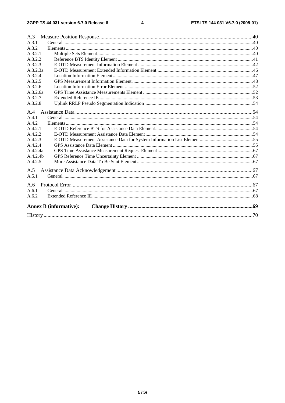#### $\overline{\mathbf{4}}$

| A.3      |                               |  |
|----------|-------------------------------|--|
| A.3.1    |                               |  |
| A.3.2    |                               |  |
| A.3.2.1  |                               |  |
| A.3.2.2  |                               |  |
| A.3.2.3  |                               |  |
| A.3.2.3a |                               |  |
| A.3.2.4  |                               |  |
| A.3.2.5  |                               |  |
| A.3.2.6  |                               |  |
| A.3.2.6a |                               |  |
| A.3.2.7  |                               |  |
| A.3.2.8  |                               |  |
|          |                               |  |
| A.4      |                               |  |
| A.4.1    |                               |  |
| A.4.2    |                               |  |
| A.4.2.1  |                               |  |
| A.4.2.2  |                               |  |
| A.4.2.3  |                               |  |
| A.4.2.4  |                               |  |
| A.4.2.4a |                               |  |
| A.4.2.4h |                               |  |
| A.4.2.5  |                               |  |
| A.5      |                               |  |
| A.5.1    |                               |  |
|          |                               |  |
| A.6      |                               |  |
| A.6.1    |                               |  |
| A.6.2    |                               |  |
|          |                               |  |
|          | <b>Annex B (informative):</b> |  |
|          |                               |  |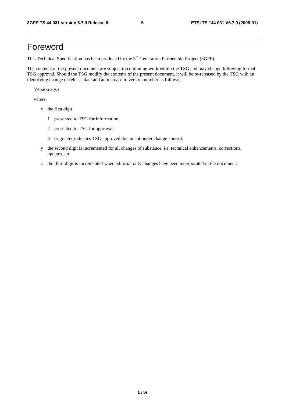## Foreword

This Technical Specification has been produced by the 3<sup>rd</sup> Generation Partnership Project (3GPP).

The contents of the present document are subject to continuing work within the TSG and may change following formal TSG approval. Should the TSG modify the contents of the present document, it will be re-released by the TSG with an identifying change of release date and an increase in version number as follows:

Version x.y.z

where:

- x the first digit:
	- 1 presented to TSG for information;
	- 2 presented to TSG for approval;
	- 3 or greater indicates TSG approved document under change control.
- y the second digit is incremented for all changes of substance, i.e. technical enhancements, corrections, updates, etc.
- z the third digit is incremented when editorial only changes have been incorporated in the document.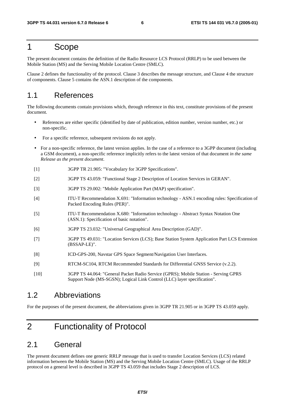## 1 Scope

The present document contains the definition of the Radio Resource LCS Protocol (RRLP) to be used between the Mobile Station (MS) and the Serving Mobile Location Centre (SMLC).

Clause 2 defines the functionality of the protocol. Clause 3 describes the message structure, and Clause 4 the structure of components. Clause 5 contains the ASN.1 description of the components.

## 1.1 References

The following documents contain provisions which, through reference in this text, constitute provisions of the present document.

- References are either specific (identified by date of publication, edition number, version number, etc.) or non-specific.
- For a specific reference, subsequent revisions do not apply.
- For a non-specific reference, the latest version applies. In the case of a reference to a 3GPP document (including a GSM document), a non-specific reference implicitly refers to the latest version of that document *in the same Release as the present document*.
- [1] 3GPP TR 21.905: "Vocabulary for 3GPP Specifications".
- [2] 3GPP TS 43.059: "Functional Stage 2 Description of Location Services in GERAN".
- [3] 3GPP TS 29.002: "Mobile Application Part (MAP) specification".
- [4] ITU-T Recommendation X.691: "Information technology ASN.1 encoding rules: Specification of Packed Encoding Rules (PER)".
- [5] ITU-T Recommendation X.680: "Information technology Abstract Syntax Notation One (ASN.1): Specification of basic notation".
- [6] 3GPP TS 23.032: "Universal Geographical Area Description (GAD)".
- [7] 3GPP TS 49.031: "Location Services (LCS); Base Station System Application Part LCS Extension (BSSAP-LE)".
- [8] ICD-GPS-200, Navstar GPS Space Segment/Navigation User Interfaces.
- [9] RTCM-SC104, RTCM Recommended Standards for Differential GNSS Service (v.2.2).
- [10] 3GPP TS 44.064: "General Packet Radio Service (GPRS); Mobile Station Serving GPRS Support Node (MS-SGSN); Logical Link Control (LLC) layer specification".

### 1.2 Abbreviations

For the purposes of the present document, the abbreviations given in 3GPP TR 21.905 or in 3GPP TS 43.059 apply.

## 2 Functionality of Protocol

## 2.1 General

The present document defines one generic RRLP message that is used to transfer Location Services (LCS) related information between the Mobile Station (MS) and the Serving Mobile Location Centre (SMLC). Usage of the RRLP protocol on a general level is described in 3GPP TS 43.059 that includes Stage 2 description of LCS.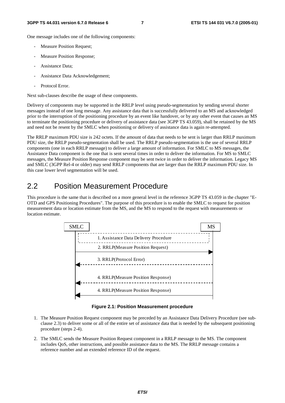One message includes one of the following components:

- Measure Position Request;
- Measure Position Response;
- Assistance Data:
- Assistance Data Acknowledgement;
- Protocol Error.

Next sub-clauses describe the usage of these components.

Delivery of components may be supported in the RRLP level using pseudo-segmentation by sending several shorter messages instead of one long message. Any assistance data that is successfully delivered to an MS and acknowledged prior to the interruption of the positioning procedure by an event like handover, or by any other event that causes an MS to terminate the positioning procedure or delivery of assistance data (see 3GPP TS 43.059), shall be retained by the MS and need not be resent by the SMLC when positioning or delivery of assistance data is again re-attempted.

The RRLP maximum PDU size is 242 octets. If the amount of data that needs to be sent is larger than RRLP maximum PDU size, the RRLP pseudo-segmentation shall be used. The RRLP pseudo-segmentation is the use of several RRLP components (one in each RRLP message) to deliver a large amount of information. For SMLC to MS messages, the Assistance Data component is the one that is sent several times in order to deliver the information. For MS to SMLC messages, the Measure Position Response component may be sent twice in order to deliver the information. Legacy MS and SMLC (3GPP Rel-4 or older) may send RRLP components that are larger than the RRLP maximum PDU size. In this case lower level segmentation will be used.

## 2.2 Position Measurement Procedure

This procedure is the same that is described on a more general level in the reference 3GPP TS 43.059 in the chapter "E-OTD and GPS Positioning Procedures". The purpose of this procedure is to enable the SMLC to request for position measurement data or location estimate from the MS, and the MS to respond to the request with measurements or location estimate.



**Figure 2.1: Position Measurement procedure** 

- 1. The Measure Position Request component may be preceded by an Assistance Data Delivery Procedure (see subclause 2.3) to deliver some or all of the entire set of assistance data that is needed by the subsequent positioning procedure (steps 2-4).
- 2. The SMLC sends the Measure Position Request component in a RRLP message to the MS. The component includes QoS, other instructions, and possible assistance data to the MS. The RRLP message contains a reference number and an extended reference ID of the request.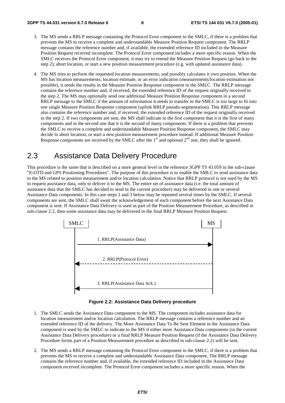- 3. The MS sends a RRLP message containing the Protocol Error component to the SMLC, if there is a problem that prevents the MS to receive a complete and understandable Measure Position Request component. The RRLP message contains the reference number and, if available, the extended reference ID included in the Measure Position Request received incomplete. The Protocol Error component includes a more specific reason. When the SMLC receives the Protocol Error component, it may try to resend the Measure Position Request (go back to the step 2), abort location, or start a new position measurement procedure (e.g. with updated assistance data).
- 4. The MS tries to perform the requested location measurements, and possibly calculates it own position. When the MS has location measurements, location estimate, or an error indication (measurements/location estimation not possible), it sends the results in the Measure Position Response component to the SMLC. The RRLP message contains the reference number and, if received, the extended reference ID of the request originally received in the step 2. The MS may optionally send one additional Measure Position Response component in a second RRLP message to the SMLC if the amount of information it needs to transfer to the SMLC is too large to fit into one single Measure Position Response component (uplink RRLP pseudo-segmentation). This RRLP message also contains the reference number and, if received, the extended reference ID of the request originally received in the step 2. If two components are sent, the MS shall indicate in the first component that it is the first of many components and in the second one that it is the second of many components. If there is a problem that prevents the SMLC to receive a complete and understandable Measure Position Response component, the SMLC may decide to abort location, or start a new position measurement procedure instead. If additional Measure Position Response components are received by the SMLC after the  $1<sup>st</sup>$  and optional  $2<sup>nd</sup>$  one, they shall be ignored.

## 2.3 Assistance Data Delivery Procedure

This procedure is the same that is described on a more general level in the reference 3GPP TS 43.059 in the sub-clause "E-OTD and GPS Positioning Procedures". The purpose of this procedure is to enable the SMLC to send assistance data to the MS related to position measurement and/or location calculation. Notice that RRLP protocol is not used by the MS to request assistance data, only to deliver it to the MS. The entire set of assistance data (i.e. the total amount of assistance data that the SMLC has decided to send in the current procedure) may be delivered in one or several Assistance Data components. In this case steps 1 and 3 below may be repeated several times by the SMLC. If several components are sent, the SMLC shall await the acknowledgement of each component before the next Assistance Data component is sent. If Assistance Data Delivery is used as part of the Position Measurement Procedure, as described in sub-clause 2.2, then some assistance data may be delivered in the final RRLP Measure Position Request.



**Figure 2.2: Assistance Data Delivery procedure** 

- 1. The SMLC sends the Assistance Data component to the MS. The component includes assistance data for location measurement and/or location calculation. The RRLP message contains a reference number and an extended reference ID of the delivery. The More Assistance Data To Be Sent Element in the Assistance Data component is used by the SMLC to indicate to the MS if either more Assistance Data components (in the current Assistance Data Delivery procedure) or a final RRLP Measure Position Request (if the Assistance Data Delivery Procedure forms part of a Position Measurement procedure as described in sub-clause 2.2) will be sent.
- 2. The MS sends a RRLP message containing the Protocol Error component to the SMLC, if there is a problem that prevents the MS to receive a complete and understandable Assistance Data component. The RRLP message contains the reference number and, if available, the extended reference ID included in the Assistance Data component received incomplete. The Protocol Error component includes a more specific reason. When the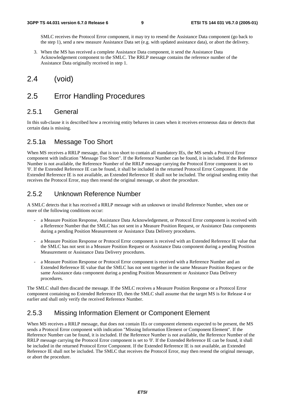SMLC receives the Protocol Error component, it may try to resend the Assistance Data component (go back to the step 1), send a new measure Assistance Data set (e.g. with updated assistance data), or abort the delivery.

3. When the MS has received a complete Assistance Data component, it send the Assistance Data Acknowledgement component to the SMLC. The RRLP message contains the reference number of the Assistance Data originally received in step 1.

## 2.4 (void)

## 2.5 Error Handling Procedures

### 2.5.1 General

In this sub-clause it is described how a receiving entity behaves in cases when it receives erroneous data or detects that certain data is missing.

### 2.5.1a Message Too Short

When MS receives a RRLP message, that is too short to contain all mandatory IEs, the MS sends a Protocol Error component with indication "Message Too Short". If the Reference Number can be found, it is included. If the Reference Number is not available, the Reference Number of the RRLP message carrying the Protocol Error component is set to '0'. If the Extended Reference IE can be found, it shall be included in the returned Protocol Error Component. If the Extended Reference IE is not available, an Extended Reference IE shall not be included. The original sending entity that receives the Protocol Error, may then resend the original message, or abort the procedure.

### 2.5.2 Unknown Reference Number

A SMLC detects that it has received a RRLP message with an unknown or invalid Reference Number, when one or more of the following conditions occur:

- a Measure Position Response, Assistance Data Acknowledgement, or Protocol Error component is received with a Reference Number that the SMLC has not sent in a Measure Position Request, or Assistance Data components during a pending Position Measurement or Assistance Data Delivery procedures.
- a Measure Position Response or Protocol Error component is received with an Extended Reference IE value that the SMLC has not sent in a Measure Position Request or Assistance Data component during a pending Position Measurement or Assistance Data Delivery procedures.
- a Measure Position Response or Protocol Error component is received with a Reference Number and an Extended Reference IE value that the SMLC has not sent together in the same Measure Position Request or the same Assistance data component during a pending Position Measurement or Assistance Data Delivery procedures.

The SMLC shall then discard the message. If the SMLC receives a Measure Position Response or a Protocol Error component containing no Extended Reference ID, then the SMLC shall assume that the target MS is for Release 4 or earlier and shall only verify the received Reference Number.

### 2.5.3 Missing Information Element or Component Element

When MS receives a RRLP message, that does not contain IEs or component elements expected to be present, the MS sends a Protocol Error component with indication "Missing Information Element or Component Element". If the Reference Number can be found, it is included. If the Reference Number is not available, the Reference Number of the RRLP message carrying the Protocol Error component is set to '0'. If the Extended Reference IE can be found, it shall be included in the returned Protocol Error Component. If the Extended Reference IE is not available, an Extended Reference IE shall not be included. The SMLC that receives the Protocol Error, may then resend the original message, or abort the procedure.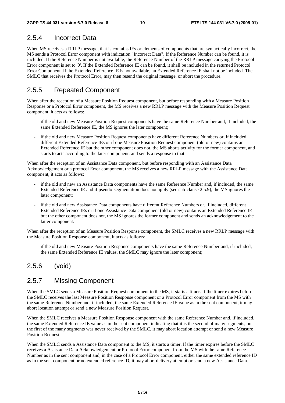## 2.5.4 Incorrect Data

When MS receives a RRLP message, that is contains IEs or elements of components that are syntactically incorrect, the MS sends a Protocol Error component with indication "Incorrect Data". If the Reference Number can be found, it is included. If the Reference Number is not available, the Reference Number of the RRLP message carrying the Protocol Error component is set to '0'. If the Extended Reference IE can be found, it shall be included in the returned Protocol Error Component. If the Extended Reference IE is not available, an Extended Reference IE shall not be included. The SMLC that receives the Protocol Error, may then resend the original message, or abort the procedure.

### 2.5.5 Repeated Component

When after the reception of a Measure Position Request component, but before responding with a Measure Position Response or a Protocol Error component, the MS receives a new RRLP message with the Measure Position Request component, it acts as follows:

- if the old and new Measure Position Request components have the same Reference Number and, if included, the same Extended Reference IE, the MS ignores the later component;
- if the old and new Measure Position Request components have different Reference Numbers or, if included, different Extended Reference IEs or if one Measure Position Request component (old or new) contains an Extended Reference IE but the other component does not, the MS aborts activity for the former component, and starts to acts according to the later component, and sends a response to that.

When after the reception of an Assistance Data component, but before responding with an Assistance Data Acknowledgement or a protocol Error component, the MS receives a new RRLP message with the Assistance Data component, it acts as follows:

- if the old and new an Assistance Data components have the same Reference Number and, if included, the same Extended Reference IE and if pseudo-segmentation does not apply (see sub-clause 2.5.9), the MS ignores the later component;
- if the old and new Assistance Data components have different Reference Numbers or, if included, different Extended Reference IEs or if one Assistance Data component (old or new) contains an Extended Reference IE but the other component does not, the MS ignores the former component and sends an acknowledgement to the latter component.

When after the reception of an Measure Position Response component, the SMLC receives a new RRLP message with the Measure Position Response component, it acts as follows:

if the old and new Measure Position Response components have the same Reference Number and, if included, the same Extended Reference IE values, the SMLC may ignore the later component;

### 2.5.6 (void)

### 2.5.7 Missing Component

When the SMLC sends a Measure Position Request component to the MS, it starts a timer. If the timer expires before the SMLC receives the last Measure Position Response component or a Protocol Error component from the MS with the same Reference Number and, if included, the same Extended Reference IE value as in the sent component, it may abort location attempt or send a new Measure Position Request.

When the SMLC receives a Measure Position Response component with the same Reference Number and, if included, the same Extended Reference IE value as in the sent component indicating that it is the second of many segments, but the first of the many segments was never received by the SMLC, it may abort location attempt or send a new Measure Position Request.

When the SMLC sends a Assistance Data component to the MS, it starts a timer. If the timer expires before the SMLC receives a Assistance Data Acknowledgement or Protocol Error component from the MS with the same Reference Number as in the sent component and, in the case of a Protocol Error component, either the same extended reference ID as in the sent component or no extended reference ID, it may abort delivery attempt or send a new Assistance Data.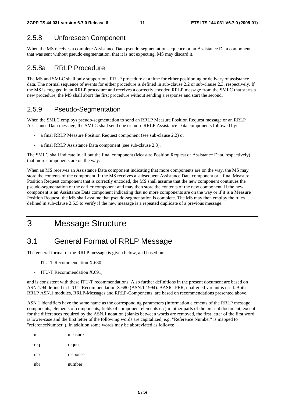### 2.5.8 Unforeseen Component

When the MS receives a complete Assistance Data pseudo-segmentation sequence or an Assistance Data component that was sent without pseudo-segmentation, that it is not expecting, MS may discard it.

### 2.5.8a RRLP Procedure

The MS and SMLC shall only support one RRLP procedure at a time for either positioning or delivery of assistance data. The normal sequence of events for either procedure is defined in sub-clause 2.2 or sub-clause 2.3, respectively. If the MS is engaged in an RRLP procedure and receives a correctly encoded RRLP message from the SMLC that starts a new procedure, the MS shall abort the first procedure without sending a response and start the second.

### 2.5.9 Pseudo-Segmentation

When the SMLC employs pseudo-segmentation to send an RRLP Measure Position Request message or an RRLP Assistance Data message, the SMLC shall send one or more RRLP Assistance Data components followed by:

- a final RRLP Measure Position Request component (see sub-clause 2.2) or
- a final RRLP Assistance Data component (see sub-clause 2.3).

The SMLC shall indicate in all but the final component (Measure Position Request or Assistance Data, respectively) that more components are on the way.

When an MS receives an Assistance Data component indicating that more components are on the way, the MS may store the contents of the component. If the MS receives a subsequent Assistance Data component or a final Measure Position Request component that is correctly encoded, the MS shall assume that the new component continues the pseudo-segmentation of the earlier component and may then store the contents of the new component. If the new component is an Assistance Data component indicating that no more components are on the way or if it is a Measure Position Request, the MS shall assume that pseudo-segmentation is complete. The MS may then employ the rules defined in sub-clause 2.5.5 to verify if the new message is a repeated duplicate of a previous message.

## 3 Message Structure

## 3.1 General Format of RRLP Message

The general format of the RRLP message is given below, and based on:

- ITU-T Recommendation X.680;
- ITU-T Recommendation X.691;

and is consistent with these ITU-T recommendations. Also further definitions in the present document are based on ASN.1/94 defined in ITU-T Recommendation X.680 (ASN.1 1994). BASIC-PER, unaligned variant is used. Both RRLP ASN.1 modules, RRLP-Messages and RRLP-Components, are based on recommendations presented above.

ASN.1 identifiers have the same name as the corresponding parameters (information elements of the RRLP message, components, elements of components, fields of component elements etc) in other parts of the present document, except for the differences required by the ASN.1 notation (blanks between words are removed, the first letter of the first word is lower-case and the first letter of the following words are capitalized, e.g. "Reference Number" is mapped to "referenceNumber"). In addition some words may be abbreviated as follows:

| msr | measure  |
|-----|----------|
| req | request  |
| rsp | response |
| nbr | number   |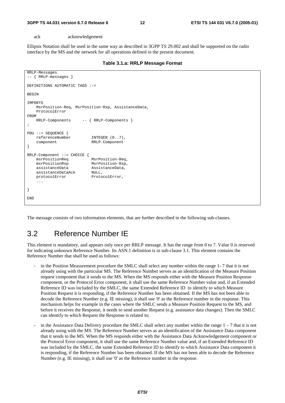ack acknowledgement

Ellipsis Notation shall be used in the same way as described in 3GPP TS 29.002 and shall be supported on the radio interface by the MS and the network for all operations defined in the present document.

|  |  |  | Table 3.1.a: RRLP Message Format |  |
|--|--|--|----------------------------------|--|
|--|--|--|----------------------------------|--|

```
RRLP-Messages 
-- { RRLP-messages } 
DEFINITIONS AUTOMATIC TAGS ::= 
BEGIN
IMPORTS 
     MsrPosition-Req, MsrPosition-Rsp, AssistanceData, 
     ProtocolError 
FROM 
     RRLP-Components -- { RRLP-Components } 
; 
PDU ::= SEQUENCE { 
     referenceNumber INTEGER (0..7), 
     component RRLP-Component 
} 
RRLP-Component ::= CHOICE {<br>msrPositionReq MsrPosition-Req.
   msrPositionReg msrPositionRsp MsrPosition-Rsp, 
    assistanceData AssistanceData, 
     assistanceDataAck NULL, 
    protocolError ProtocolError,
     ... 
} 
END
```
The message consists of two information elements, that are further described in the following sub-clauses.

## 3.2 Reference Number IE

This element is mandatory, and appears only once per RRLP message. It has the range from 0 to 7. Value 0 is reserved for indicating unknown Reference Number. Its ASN.1 definition is in sub-clause 3.1. This element contains the Reference Number that shall be used as follows:

- in the Position Measurement procedure the SMLC shall select any number within the range 1-7 that it is not already using with the particular MS. The Reference Number serves as an identification of the Measure Position request component that it sends to the MS. When the MS responds either with the Measure Position Response component, or the Protocol Error component, it shall use the same Reference Number value and, if an Extended Reference ID was included by the SMLC, the same Extended Reference ID to identify to which Measure Position Request it is responding, if the Reference Number has been obtained. If the MS has not been able to decode the Reference Number (e.g. IE missing), it shall use '0' as the Reference number in the response. This mechanism helps for example in the cases where the SMLC sends a Measure Position Request to the MS, and before it receives the Response, it needs to send another Request (e.g. assistance data changes). Then the SMLC can identify to which Request the Response is related to;
- in the Assistance Data Delivery procedure the SMLC shall select any number within the range  $1 7$  that it is not already using with the MS. The Reference Number serves as an identification of the Assistance Data component that it sends to the MS. When the MS responds either with the Assistance Data Acknowledgement component or the Protocol Error component, it shall use the same Reference Number value and, if an Extended Reference ID was included by the SMLC, the same Extended Reference ID to identify to which Assistance Data component it is responding, if the Reference Number has been obtained. If the MS has not been able to decode the Reference Number (e.g. IE missing), it shall use '0' as the Reference number in the response.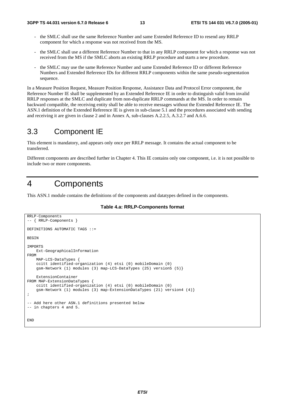- the SMLC shall use the same Reference Number and same Extended Reference ID to resend any RRLP component for which a response was not received from the MS.
- the SMLC shall use a different Reference Number to that in any RRLP component for which a response was not received from the MS if the SMLC aborts an existing RRLP procedure and starts a new procedure.
- the SMLC may use the same Reference Number and same Extended Reference ID or different Reference Numbers and Extended Reference IDs for different RRLP components within the same pseudo-segmentation sequence.

In a Measure Position Request, Measure Position Response, Assistance Data and Protocol Error component, the Reference Number IE shall be supplemented by an Extended Reference IE in order to distinguish valid from invalid RRLP responses at the SMLC and duplicate from non-duplicate RRLP commands at the MS. In order to remain backward compatible, the receiving entity shall be able to receive messages without the Extended Reference IE. The ASN.1 definition of the Extended Reference IE is given in sub-clause 5.1 and the procedures associated with sending and receiving it are given in clause 2 and in Annex A, sub-clauses A.2.2.5, A.3.2.7 and A.6.6.

## 3.3 Component IE

This element is mandatory, and appears only once per RRLP message. It contains the actual component to be transferred.

Different components are described further in Chapter 4. This IE contains only one component, i.e. it is not possible to include two or more components.

## 4 Components

This ASN.1 module contains the definitions of the components and datatypes defined in the components.

**Table 4.a: RRLP-Components format** 

```
RRLP-Components 
-- { RRLP-Components } 
DEFINITIONS AUTOMATIC TAGS ::= 
BEGIN 
IMPORTS 
     Ext-GeographicalInformation 
FROM 
     MAP-LCS-DataTypes { 
     ccitt identified-organization (4) etsi (0) mobileDomain (0) 
     gsm-Network (1) modules (3) map-LCS-DataTypes (25) version5 (5)} 
     ExtensionContainer 
FROM MAP-ExtensionDataTypes { 
     ccitt identified-organization (4) etsi (0) mobileDomain (0) 
     gsm-Network (1) modules (3) map-ExtensionDataTypes (21) version4 (4)} 
; 
-- Add here other ASN.1 definitions presented below 
-- in chapters 4 and 5. 
END
```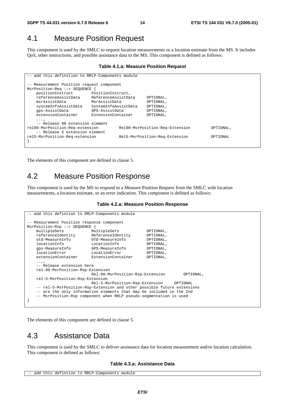## 4.1 Measure Position Request

This component is used by the SMLC to request location measurements or a location estimate from the MS. It includes QoS, other instructions, and possible assistance data to the MS. This component is defined as follows:

#### **Table 4.1.a: Measure Position Request**

```
-- add this definition to RRLP-Components module 
 -- Measurement Position request component 
MsrPosition-Req ::= SEQUENCE { 
    positionInstruct PositionInstruct, 
    referenceAssistData ReferenceAssistData OPTIONAL, 
                         MsrAssistData
    systemInfoAssistData SystemInfoAssistData OPTIONAL, 
    gps-AssistData GPS-AssistData OPTIONAL, 
    extensionContainer ExtensionContainer OPTIONAL, 
    ..., 
     -- Release 98 extension element 
rel98-MsrPosition-Req-extension Rel98-MsrPosition-Req-Extension OPTIONAL, 
    -- Release 5 extension element 
rel5-MsrPosition-Req-extension Rel5-MsrPosition-Req-Extension OPTIONAL 
}
```
The elements of this component are defined in clause 5.

## 4.2 Measure Position Response

This component is used by the MS to respond to a Measure Position Request from the SMLC with location measurements, a location estimate, or an error indication. This component is defined as follows:

#### **Table 4.2.a: Measure Position Response**

```
-- add this defintion to RRLP-Components module
-- Measurement Position response component 
MsrPosition-Rsp ::= SEQUENCE { 
   multipleSets MultipleSets OPTIONAL,<br>
referenceIdentity ReferenceIdentity OPTIONAL,
   referenceIdentity ReferenceIdentity OPTIONAL,<br>otd-MeasureInfo OTD-MeasureInfo OPTIONAL,
 otd-MeasureInfo OTD-MeasureInfo OPTIONAL, 
 locationInfo LocationInfo OPTIONAL, 
    gps-MeasureInfo GPS-MeasureInfo OPTIONAL, 
    locationError LocationError OPTIONAL, 
    extensionContainer ExtensionContainer OPTIONAL, 
...,
    -- Release extension here 
    rel-98-MsrPosition-Rsp-Extension 
                            Rel-98-MsrPosition-Rsp-Extension OPTIONAL, 
    rel-5-MsrPosition-Rsp-Extension 
                            Rel-5-MsrPosition-Rsp-Extension OPTIONAL 
     -- rel-5-MsrPosition-Rsp-Extension and other possible future extensions 
    -- are the only information elements that may be included in the 2nd 
    -- MsrPosition-Rsp component when RRLP pseudo-segmentation is used 
}
```
The elements of this component are defined in clause 5.

## 4.3 Assistance Data

This component is used by the SMLC to deliver assistance data for location measurement and/or location calculation. This component is defined as follows:

#### **Table 4.3.a: Assistance Data**

```
-- add this defintion to RRLP-Components module
```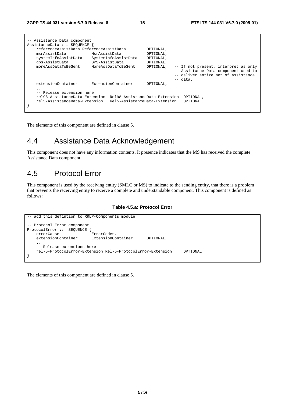|                                                                               | -- Assistance Data component            |                               |           |  |                                      |
|-------------------------------------------------------------------------------|-----------------------------------------|-------------------------------|-----------|--|--------------------------------------|
|                                                                               | AssistanceData ::= SEOUENCE             |                               |           |  |                                      |
|                                                                               | referenceAssistData ReferenceAssistData |                               | OPTIONAL, |  |                                      |
|                                                                               | msrAssistData                           | MsrAssistData                 | OPTIONAL, |  |                                      |
|                                                                               | systemInfoAssistData                    | SystemInfoAssistData          | OPTIONAL, |  |                                      |
|                                                                               | qps-AssistData                          | GPS-AssistData                | OPTIONAL, |  |                                      |
|                                                                               | moreAssDataToBeSent                     | MoreAssDataToBeSent           | OPTIONAL, |  | -- If not present, interpret as only |
|                                                                               |                                         |                               |           |  | -- Assistance Data component used to |
|                                                                               |                                         |                               |           |  | -- deliver entire set of assistance  |
|                                                                               |                                         |                               |           |  | $--$ data.                           |
|                                                                               | extensionContainer                      | ExtensionContainer            | OPTIONAL, |  |                                      |
|                                                                               | $\cdots$<br>-- Release extension here   |                               |           |  |                                      |
| rel98-AssistanceData-Extension<br>Rel98-AssistanceData-Extension<br>OPTIONAL, |                                         |                               |           |  |                                      |
|                                                                               | rel5-AssistanceData-Extension           | Rel5-AssistanceData-Extension |           |  | OPTIONAL                             |
|                                                                               |                                         |                               |           |  |                                      |

The elements of this component are defined in clause 5.

## 4.4 Assistance Data Acknowledgement

This component does not have any information contents. It presence indicates that the MS has received the complete Assistance Data component.

## 4.5 Protocol Error

This component is used by the receiving entity (SMLC or MS) to indicate to the sending entity, that there is a problem that prevents the receiving entity to receive a complete and understandable component. This component is defined as follows:

#### **Table 4.5.a: Protocol Error**



The elements of this component are defined in clause 5.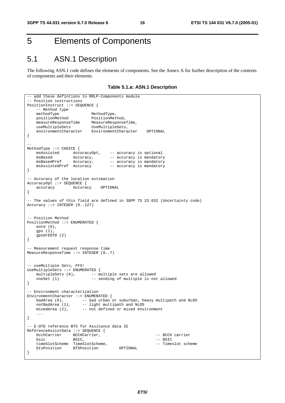## 5 Elements of Components

## 5.1 ASN.1 Description

The following ASN.1 code defines the elements of components. See the Annex A for further description of the contents of components and their elements.

**Table 5.1.a: ASN.1 Description** 

```
-- add these defintions to RRLP-Components module
-- Position instructions 
PositionInstruct ::= SEQUENCE { 
   -- Method type<br>methodType
methodType MethodType,
 positionMethod PositionMethod, 
 measureResponseTime MeasureResponseTime, 
 useMultipleSets UseMultipleSets, 
   useMultipleSets UseMultipleSets,<br>environmentCharacter EnvironmentCharacter OPTIONAL
} 
-- 
MethodType ::= CHOICE {<br>msAssisted AccuracyOpt,<br>msBased Accuracy
 msAssisted AccuracyOpt, -- accuracy is optional 
msBased Mccuracy, -- accuracy is mandatory
msBasedPref Accuracy, -- accuracy is mandatory
    msAssistedPref Accuracy –- accuracy is mandatory 
} 
-- Accuracy of the location estimation 
AccuracyOpt ::= SEQUENCE { 
    accuracy Accuracy OPTIONAL 
} 
-- The values of this field are defined in 3GPP TS 23.032 (Uncertainty code) 
Accuracy ::= INTEGER (0..127) 
-- Position Method 
PositionMethod ::= ENUMERATED { 
    eotd (0), 
    gps (1), 
    gpsOrEOTD (2) 
} 
-- Measurement request response time 
MeasureResponseTime ::= INTEGER (0..7) 
-- useMultiple Sets, FFS! 
UseMultipleSets ::= ENUMERATED { 
   multipleSets (0), \qquad -\frac{1}{2} multiple sets are allowed
   oneSet (1) -- sending of multiple is not allowed
} 
-- Environment characterization 
EnvironmentCharacter ::= ENUMERATED {
 badArea (0), -- bad urban or suburban, heavy multipath and NLOS 
notBadArea (1), -- light multipath and NLOS
 mixedArea (2), -- not defined or mixed environment 
     ... 
} 
 -- E-OTD reference BTS for Assitance data IE 
ReferenceAssistData ::= SEQUENCE { 
   bcchCarrier BCCHCarrier, etc. The CCH carrier
bsic BSIC, and BSIC, the extent of the BSIC set of the BSIC set of the BSIC set of the BSIC
     timeSlotScheme TimeSlotScheme, -- Timeslot scheme 
    btsPosition BTSPosition OPTIONAL 
}
```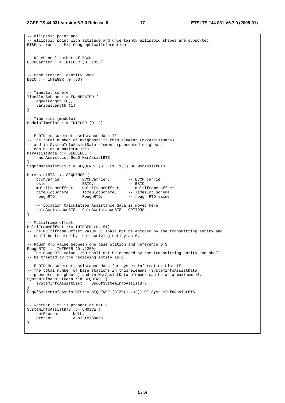```
-- ellipsoid point and 
 -- ellipsoid point with altitude and uncertainty ellipsoid shapes are supported 
BTSPosition ::= Ext-GeographicalInformation 
 -- RF channel number of BCCH 
BCCHCarrier ::= INTEGER (0..1023) 
 - Base station Identity Code
BSIC ::= INTEGER (0..63)-- Timeslot scheme 
TimeSlotScheme ::= ENUMERATED { 
    equalLength (0), 
    variousLength (1) 
} 
-- Time slot (modulo) 
ModuloTimeSlot ::= INTEGER (0..3) 
-- E-OTD measurement assistance data IE 
-- The total number of neighbors in this element (MsrAssistData) 
-- and in SystemInfoAssistData element (presented neighbors 
-- can be at a maximum 15!) 
MsrAssistData ::= SEQUENCE { 
     msrAssistList SeqOfMsrAssistBTS 
} 
SeqOfMsrAssistBTS ::= SEQUENCE (SIZE(1..15)) OF MsrAssistBTS 
MsrAssistBTS ::= SEQUENCE { 
   bcchCarrier BCCHCarrier, -- BCCH carrier
bsic BSIC, - - BSTC multiFrameOffset MultiFrameOffset, -- multiframe offset 
 timeSlotScheme TimeSlotScheme, -- Timeslot scheme 
   muitirrameoriset fuitirrameorise,<br>timeSlotScheme TimeSlotScheme, -- Timeslot scheme<br>roughRTD RoughRTD, -- rough RTD value
     -- Location Calculation Assistance data is moved here 
    calcAssistanceBTS CalcAssistanceBTS OPTIONAL 
} 
-- Multiframe offset 
MultiFrameOffset ::= INTEGER (0..51) 
-- The Multiframe Offset value 51 shall not be encoded by the transmitting entity and 
-- shall be treated by the receiving entity as 0. 
 -- Rough RTD value between one base station and reference BTS 
RoughRTD :: = INTEGR (0..1250)-- The RoughRTD value 1250 shall not be encoded by the transmitting entity and shall 
-- be treated by the receiving entity as 0. 
-- E-OTD Measurement assistance data for system information List IE 
-- The total number of base stations in this element (SystemInfoAssistData
-- presented neighbors) and in MsrAssistData element can be at a maximum 15. 
SystemInfoAssistData ::= SEQUENCE { 
    systemInfoAssistList SeqOfSystemInfoAssistBTS 
} 
SeqOfSystemInfoAssistBTS::= SEQUENCE (SIZE(1..32)) OF SystemInfoAssistBTS 
-- whether n.th is present or not ? 
SystemInfoAssistBTS ::= CHOICE { 
    notPresent NULL, 
    present AssistBTSData 
}
```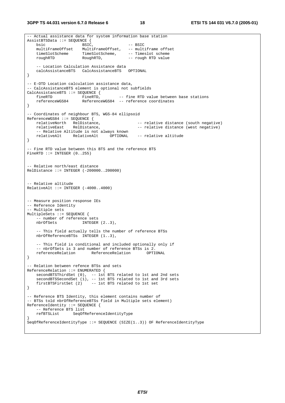**3GPP TS 44.031 version 6.7.0 Release 6 18 ETSI TS 144 031 V6.7.0 (2005-01)**

-- Actual assistance data for system information base station AssistBTSData ::= SEQUENCE {  $\overrightarrow{B}$  BSIC,  $\overrightarrow{B}$  -- BSIC multiFrameOffset MultiFrameOffset, -- multiframe offset timeSlotScheme TimeSlotScheme, -- Timeslot scheme roughRTD RoughRTD, -- rough RTD value -- Location Calculation Assistance data<br>calcAssistanceBTS CalcAssistanceBTS OPTIONAL calcAssistanceBTS CalcAssistanceBTS } -- E-OTD Location calculation assistance data, -- CalcAssistanceBTS element is optional not subfields CalcAssistanceBTS ::= SEQUENCE {<br>fineRTD FineRTD, fineRTD FineRTD, -- fine RTD value between base stations<br>referenceWGS84 ReferenceWGS84 -- reference coordinates ReferenceWGS84 -- reference coordinates } -- Coordinates of neighbour BTS, WGS-84 ellipsoid ReferenceWGS84 ::= SEQUENCE {<br>relativeNorth RelDistance,<br>relativeEast RelDistance, -- relative distance (south negative) -- relative distance (west negative) -- Relative Altitude is not always known relativeAlt RelativeAlt OPTIONAL -- relative altitude } -- Fine RTD value between this BTS and the reference BTS FineRTD  $::=$  INTEGER  $(0..255)$ -- Relative north/east distance RelDistance ::= INTEGER (-200000..200000) -- Relative altitude  $RelativeAlt ::= INTERER (-4000..4000)$ -- Measure position response IEs -- Reference Identity -- Multiple sets MultipleSets ::= SEQUENCE { -- number of reference sets<br>nbrOfSets INTEGER  $INTEGER (2..3)$ , -- This field actually tells the number of reference BTSs nbrOfReferenceBTSs INTEGER (1..3), -- This field is conditional and included optionally only if -- nbrOfSets is 3 and number of reference BTSs is 2. referenceRelation ReferenceRelation OPTIONAL } -- Relation between refence BTSs and sets ReferenceRelation ::= ENUMERATED { secondBTSThirdSet (0), -- 1st BTS related to 1st and 2nd sets secondBTSSecondSet (1), -- 1st BTS related to 1st and 3rd sets firstBTSFirstSet (2) -- 1st BTS related to 1st set } -- Reference BTS Identity, this element contains number of -- BTSs told nbrOfReferenceBTSs field in Multiple sets element) ReferenceIdentity ::= SEQUENCE { -- Reference BTS list refBTSList SeqOfReferenceIdentityType } SeqOfReferenceIdentityType ::= SEQUENCE (SIZE(1..3)) OF ReferenceIdentityType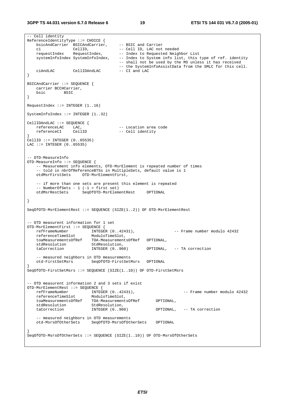**3GPP TS 44.031 version 6.7.0 Release 6 19 ETSI TS 144 031 V6.7.0 (2005-01)**

```
-- Cell identity 
ReferenceIdentityType ::= CHOICE { 
   bsicAndCarrier BSICAndCarrier,
   bsicAndCarrier BSIC and Carrier<br>ci CellID, -- BSIC and Carrier<br>ci CellID, -- Cell ID, LAC not needed<br>requestIndex RequestIndex, -- Index to Requested Neigh<br>wstemInfoIndow Quatury C
                                         -- Index to Requested Neighbor List
   systemInfoIndex SystemInfoIndex, -- Index to System info list, this type of ref. identity
                                          -- shall not be used by the MS unless it has received 
                                         -- the SystemInfoAssistData from the SMLC for this cell.<br>-- CI and LAC
   ciAndLAC CellIDAndLAC
} 
BSICAndCarrier ::= SEQUENCE { 
   carrier BCCHCarrier,<br>bsic BSIC
                bsic BSIC 
} 
RequestIndex ::= INTEGER (1..16) 
SystemInfoIndex ::= INTEGER (1..32) 
CellIDAndLAC ::= SEQUENCE {<br>referenceLAC LAC,
   referenceLAC LAC, -- Location area code<br>referenceCI CellID -- Cell identity
                                         -- Cell identity
} 
CellID ::= INTEGER (0..65535) 
LAC ::= INTEGER (0..65535)-- OTD-MeasureInfo 
OTD-MeasureInfo ::= SEQUENCE { 
    -- Measurement info elements, OTD-MsrElement is repeated number of times 
    -- told in nbrOfReferenceBTSs in MultipleSets, default value is 1 
                     OTD-MsrElementFirst,
     -- if more than one sets are present this element is repeated 
    -- NumberOfSets - 1 (-1 = first set) 
                       otd<br>SeqOfOTD-MsrElementRest OPTIONAL
} 
SeqOfOTD-MsrElementRest ::= SEQUENCE (SIZE(1..2)) OF OTD-MsrElementRest 
-- OTD measurent information for 1 set 
OTD-MsrElementFirst ::= SEQUENCE { 
 refFrameNumber INTEGER (0..42431), -- Frame number modulo 42432 
 referenceTimeSlot ModuloTimeSlot, 
    toaMeasurementsOfRef TOA-MeasurementsOfRef OPTIONAL, 
   stdResolution StdResolution,<br>taCorrection INTEGER (0..960)
                                                    OPTIONAL, -- TA correction
      -- measured neighbors in OTD measurements 
    otd-FirstSetMsrs SeqOfOTD-FirstSetMsrs OPTIONAL 
} 
SeqOfOTD-FirstSetMsrs ::= SEQUENCE (SIZE(1..10)) OF OTD-FirstSetMsrs 
 -- OTD measurent information 2 and 3 sets if exist 
OTD-MsrElementRest ::= SEQUENCE { 
 refFrameNumber INTEGER (0..42431), -- Frame number modulo 42432 
 referenceTimeSlot ModuloTimeSlot, 
 toaMeasurementsOfRef TOA-MeasurementsOfRef OPTIONAL, 
stdResolution StdResolution,
 taCorrection INTEGER (0..960) OPTIONAL, -- TA correction 
     -- measured neighbors in OTD measurements 
    otd-MsrsOfOtherSets SeqOfOTD-MsrsOfOtherSets OPTIONAL 
} 
SeqOfOTD-MsrsOfOtherSets ::= SEQUENCE (SIZE(1..10)) OF OTD-MsrsOfOtherSets
```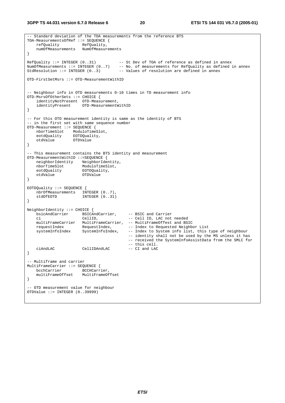**3GPP TS 44.031 version 6.7.0 Release 6 20 ETSI TS 144 031 V6.7.0 (2005-01)**

```
-- Standard deviation of the TOA measurements from the reference BTS 
TOA-MeasurementsOfRef ::= SEQUENCE {<br>refOuality RefOuality.
   refQuality RefQuality, 
    numOfMeasurements NumOfMeasurements 
} 
RefQuality ::= INTEGER (0..31) -- St Dev of TOA of reference as defined in annex 
NumOfMeasurements ::= INTEGER (0..7) -- No. of measurements for RefQuality as defined in annex 
StdResolution ::= INTEGER (0..3) -- Values of resolution are defined in annex
OTD-FirstSetMsrs ::= OTD-MeasurementWithID 
-- Neighbour info in OTD measurements 0-10 times in TD measurement info 
OTD-MsrsOfOtherSets ::= CHOICE { 
    identityNotPresent OTD-Measurement, 
    identityPresent OTD-MeasurementWithID 
} 
-- For this OTD measurement identity is same as the identity of BTS 
-- in the first set with same sequence number 
OTD-Measurement ::= SEQUENCE { 
 nborTimeSlot ModuloTimeSlot, 
 eotdQuality EOTDQuality, 
    otdValue OTDValue 
} 
-- This measurement contains the BTS identity and measurement 
OTD-MeasurementWithID ::=SEQUENCE { 
 neighborIdentity NeighborIdentity, 
nborTimeSlot ModuloTimeSlot,
 eotdQuality EOTDQuality, 
 otdValue OTDValue 
} 
EOTDQuality ::= SEQUENCE { 
  nbrOfMeasurements INTEGER (0..7),<br>stdOfEOTD INTEGER (0..31)
              INTER (0..31)} 
NeighborIdentity ::= CHOICE { 
  -<br>
bsicAndCarrier BSICAndCarrier, -- BSIC and Carrier<br>
ci -- Cell ID, LAC not needed
 ci CellID, -- Cell ID, LAC not needed 
 multiFrameCarrier MultiFrameCarrier, -- MultiFrameOffest and BSIC 
requestIndex RequestIndex, -- Index to Requested Neighbor List
 systemInfoIndex SystemInfoIndex, -- Index to System info list, this type of neighbour 
 -- identity shall not be used by the MS unless it has 
 -- received the SystemInfoAssistData from the SMLC for 
                                        -- this cell.<br>-- CI and LAC
   ciAndLAC CellIDAndLAC -- CI and LAC 
} 
-- Multiframe and carrier 
MultiFrameCarrier ::= SEQUENCE { 
  bcchCarrier accHCarrier,
    multiFrameOffset MultiFrameOffset 
} 
 -- OTD measurement value for neighbour 
OTDValue ::= INTEGER (0..39999)
```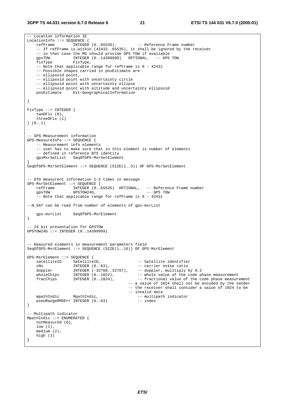#### **3GPP TS 44.031 version 6.7.0 Release 6 21 ETSI TS 144 031 V6.7.0 (2005-01)**

-- Location information IE LocationInfo ::= SEQUENCE {<br>refFrame INTEGER  $(0.65535)$ , -- Reference Frame number -- If refFrame is within (42432..65535), it shall be ignored by the receiver -- in that case the MS should provide GPS TOW if available gpsTOW INTEGER (0..14399999) OPTIONAL, -- GPS TOW fixType FixType, -- Note that applicable range for refFrame is 0 - 42431 -- Possible shapes carried in posEstimate are -- ellipsoid point, -- ellipsoid point with uncertainty circle -- ellipsoid point with uncertainty ellipse -- ellipsoid point with altitude and uncertainty ellipsoid posEstimate Ext-GeographicalInformation } FixType ::= INTEGER { twoDFix (0), threeDFix (1) } (0..1) -- GPS-Measurement information GPS-MeasureInfo ::= SEQUENCE { -- Measurement info elements -- user has to make sure that in this element is number of elements -- defined in reference BTS identity gpsMsrSetList SeqOfGPS-MsrSetElement } SeqOfGPS-MsrSetElement ::= SEQUENCE (SIZE(1..3)) OF GPS-MsrSetElement -- OTD measurent information 1-3 times in message GPS-MsrSetElement ::= SEQUENCE { refFrame INTEGER (0..65535) OPTIONAL, -- Reference Frame number<br>qpsTOW GPSTOW24b, -- GPS TOW GPSTOW24b, -- Note that applicable range for refFrame is 0 - 42431 --N\_SAT can be read from number of elements of gps-msrList gps-msrList SeqOfGPS-MsrElement } -- 24 bit presentation for GPSTOW GPSTOW24b ::= INTEGER (0..14399999) -- measured elements in measurement parameters field SeqOfGPS-MsrElement ::= SEQUENCE (SIZE(1..16)) OF GPS-MsrElement GPS-MsrElement ::= SEQUENCE { satelliteID SatelliteID, -- Satellite identifier cNo INTEGER (0..63), -- carrier noise ratio doppler INTEGER (-32768..32767), -- doppler, mulltiply by 0.2 wholeChips INTEGER (0..1022), -- whole value of the code phase measurement fracChips INTEGER (0..1024), -- fractional value of the code phase measurement -- a value of 1024 shall not be encoded by the sender -- the receiver shall consider a value of 1024 to be -- invalid data mpathIndic MpathIndic,<br>pseuRangeRMSErr INTEGER (0..63) -- index<br>-- index pseuRangeRMSErr INTEGER (0..63) } -- Multipath indicator MpathIndic ::= ENUMERATED { notMeasured (0), low (1), medium (2), high (3) }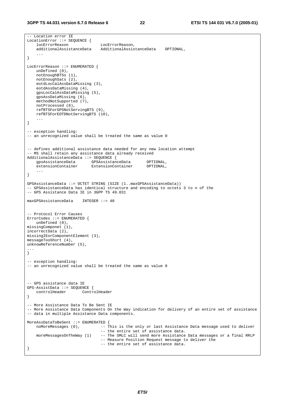```
-- Location error IE 
LocationError ::= SEQUENCE {<br>locErrorReason
                                   locErrorReason LocErrorReason, 
     additionalAssistanceData AdditionalAssistanceData OPTIONAL, 
 ... 
} 
LocErrorReason ::= ENUMERATED { 
    unDefined (0), 
     notEnoughBTSs (1), 
    notEnoughSats (2), 
    eotdLocCalAssDataMissing (3), 
     eotdAssDataMissing (4), 
    gpsLocCalAssDataMissing (5), 
    gpsAssDataMissing (6), 
    methodNotSupported (7), 
    notProcessed (8), 
     refBTSForGPSNotServingBTS (9), 
    refBTSForEOTDNotServingBTS (10), 
     ... 
} 
-- exception handling: 
-- an unrecognized value shall be treated the same as value 0
-- defines additional assistance data needed for any new location attempt 
-- MS shall retain any assistance data already received 
AdditionalAssistanceData ::= SEQUENCE { 
    gpsAssistanceData GPSAssistanceData OPTIONAL,<br>extensionContainer ExtensionContainer OPTIONAL,
                             ExtensionContainer OPTIONAL,
     ... 
} 
GPSAssistanceData ::= OCTET STRING (SIZE (1..maxGPSAssistanceData)) 
-- GPSAssistanceData has identical structure and encoding to octets 3 to n of the 
-- GPS Assistance Data IE in 3GPP TS 49.031 
maxGPSAssistanceData INTEGER ::= 40 
-- Protocol Error Causes 
ErrorCodes ::= ENUMERATED { 
     unDefined (0), 
missingComponet (1), 
incorrectData (2), 
missingIEorComponentElement (3), 
messageTooShort (4), 
unknowReferenceNumber (5), 
... 
} 
-- exception handling:
-- an unrecognized value shall be treated the same as value 0 
-- GPS assistance data IE 
GPS-AssistData ::= SEQUENCE { 
     controlHeader ControlHeader 
} 
-- More Assistance Data To Be Sent IE 
-- More Assistance Data Components On the Way indication for delivery of an entire set of assistance 
-- data in multiple Assistance Data components. 
MoreAssDataToBeSent ::= ENUMERATED {<br>noMoreMessages (0), -- T
                            -- This is the only or last Assistance Data message used to deliver
                                   -- the entire set of assistance data. 
     moreMessagesOnTheWay (1) -- The SMLC will send more Assistance Data messages or a final RRLP 
                                   -- Measure Position Request message to deliver the 
                                   -- the entire set of assistance data. 
}
```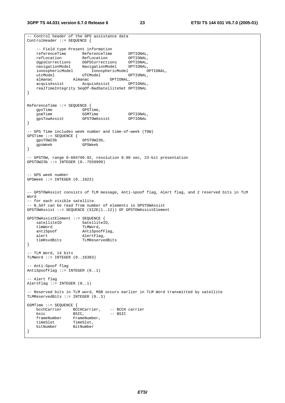```
-- Control header of the GPS assistance data 
ControlHeader ::= SEQUENCE { 
    -- Field type Present information 
   referenceTime ReferenceTime OPTIONAL,<br>
refLocation RefLocation OPTIONAL,
 refLocation RefLocation OPTIONAL, 
 dgpsCorrections DGPSCorrections OPTIONAL, 
 navigationModel NavigationModel OPTIONAL, 
 ionosphericModel IonosphericModel OPTIONAL, 
utcModel UTCModel OPTIONAL,
 almanac Almanac OPTIONAL, 
   almanac Almanac OPTIONAL,<br>acquisAssist AcquisAssist OPTIONAL,<br>acquisAssist OPTIONAL.
    realTimeIntegrity SeqOf-BadSatelliteSet OPTIONAL 
} 
ReferenceTime ::= SEQUENCE { 
gpsTime GPSTime,
gsmTime GSMTime GSMTime OPTIONAL,
    gpsTowAssist GPSTOWAssist OPTIONAL 
} 
-- GPS Time includes week number and time-of-week (TOW) 
GPSTime ::= SEQUENCE { 
   gpsTOW23b
    gpsWeek GPSWeek 
} 
-- GPSTOW, range 0-604799.92, resolution 0.08 sec, 23-bit presentation 
GPSTOW23b ::= INTEGER (0..7559999) 
-- GPS week number 
GPSWeek ::= INTEGER (0..1023) 
-- GPSTOWAssist consists of TLM message, Anti-spoof flag, Alert flag, and 2 reserved bits in TLM 
Word 
-- for each visible satellite. 
-- N_SAT can be read from number of elements in GPSTOWAssist 
GPSTOWAssist ::= SEQUENCE (SIZE(1..12)) OF GPSTOWAssistElement 
GPSTOWAssistElement ::= SEQUENCE { 
satelliteID SatelliteID,
 tlmWord TLMWord, 
   antiSpoof AntiSpoofFlag,
   alert AlertFlag,<br>tlmRsvdBits TLMReserve
                      TLMReservedBits
} 
-- TLM Word, 14 bits 
TLMWord ::= INTEGER (0..16383) 
-- Anti-Spoof flag 
AntiSpoofFlag := INTEGER (0..1)- Alert flag
AlertFlag ::= INTEGER (0..1) 
-- Reserved bits in TLM word, MSB occurs earlier in TLM Word transmitted by satellite 
TLMReservedBits ::= INTEGER (0..3) 
GSMTime ::= SEQUENCE { 
    bcchCarrier BCCHCarrier, -- BCCH carrier 
   bsic BSIC, -- BSIC<br>frameNumber FrameNumber,
                 FrameNumber,<br>TimeSlot,
   timeSlot<br>bitNumber
                  bitNumber BitNumber 
}
```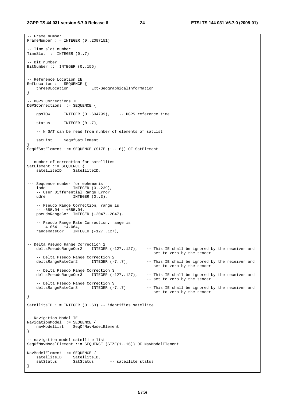-- Frame number

```
FrameNumber ::= INTEGER (0..2097151) 
-- Time slot number 
TimeSlot ::= INTEGER (0..7) 
-- Bit number 
BitNumber ::= INTEGER (0..156) 
-- Reference Location IE 
RefLocation ::= SEQUENCE { 
 threeDLocation Ext-GeographicalInformation 
} 
-- DGPS Corrections IE 
DGPSCorrections ::= SEQUENCE { 
    gpsTOW INTEGER (0..604799), -- DGPS reference time 
   status INTEGER (0..7),
     -- N_SAT can be read from number of elements of satList 
    satList SeqOfSatElement 
} 
SeqOfSatElement ::= SEQUENCE (SIZE (1..16)) OF SatElement 
-- number of correction for satellites 
SatElement ::= SEQUENCE { 
                   SatelliteID,
--- Sequence number for ephemeris 
    iode INTEGER (0..239), 
     -- User Differential Range Error 
   udre INTEGER (0..3),
    -- Pseudo Range Correction, range is 
    -- -655.04 - +655.04,pseudoRangeCor INTEGER (-2047..2047),
    -- Pseudo Range Rate Correction, range is 
    -- -4.064 - +4.064, rangeRateCor INTEGER (-127..127), 
-- Delta Pseudo Range Correction 2 
    deltaPseudoRangeCor2 INTEGER (-127..127), -- This IE shall be ignored by the receiver and 
                                                      -- set to zero by the sender 
   -- Delta Pseudo Range Correction 2<br>deltaRangeRateCor2      INTEGER (-7..7),
                                                     -- This IE shall be ignored by the receiver and
                                                      -- set to zero by the sender 
   -- Delta Pseudo Range Correction 3<br>deltaPseudoRangeCor3 INTEGER (-127..127),
                                                     -- This IE shall be ignored by the receiver and
                                                      -- set to zero by the sender 
   -- Delta Pseudo Range Correction 3<br>deltaRangeRateCor3       INTEGER (-7..7)
                                                     -- This IE shall be ignored by the receiver and
                                                      -- set to zero by the sender 
} 
SatelliteID ::= INTEGER (0..63) -- identifies satellite 
-- Navigation Model IE 
NavigationModel ::= SEQUENCE { 
    navModelList SeqOfNavModelElement 
} 
-- navigation model satellite list 
SeqOfNavModelElement ::= SEQUENCE (SIZE(1..16)) OF NavModelElement 
NavModelElement ::= SEQUENCE { 
 satelliteID SatelliteID, 
satStatus SatStatus -- satellite status
}
```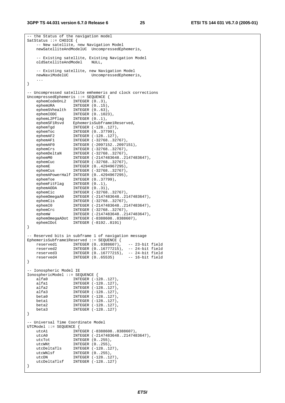#### **3GPP TS 44.031 version 6.7.0 Release 6 25 ETSI TS 144 031 V6.7.0 (2005-01)**

```
-- the Status of the navigation model 
SatStatus ::= CHOICE { 
    -- New satellite, new Navigation Model 
    newSatelliteAndModelUC UncompressedEphemeris, 
    -- Existing satellite, Existing Navigation Model 
    oldSatelliteAndModel NULL, 
   -- Existing satellite, new Navigation Model<br>newNaviModelUC UncompressedEphemer
                         UncompressedEphemeris,
 ... 
} 
-- Uncompressed satellite emhemeris and clock corrections 
UncompressedEphemeris ::= SEQUENCE { 
    ephemCodeOnL2 INTEGER (0..3), 
 ephemURA INTEGER (0..15), 
 ephemSVhealth INTEGER (0..63), 
 ephemIODC INTEGER (0..1023), 
 ephemL2Pflag INTEGER (0..1), 
 ephemSF1Rsvd EphemerisSubframe1Reserved, 
 ephemTgd INTEGER (-128..127), 
 ephemToc INTEGER (0..37799), 
ephemAF2 INTEGER (-128..127),
 ephemAF1 INTEGER (-32768..32767), 
 ephemAF0 INTEGER (-2097152..2097151), 
 ephemCrs INTEGER (-32768..32767), 
 ephemDeltaN INTEGER (-32768..32767), 
 ephemM0 INTEGER (-2147483648..2147483647), 
 ephemCuc INTEGER (-32768..32767), 
 ephemE INTEGER (0..4294967295), 
 ephemCus INTEGER (-32768..32767), 
    ephemAPowerHalf INTEGER (0..4294967295), 
 ephemToe INTEGER (0..37799), 
 ephemFitFlag INTEGER (0..1), 
 ephemAODA INTEGER (0..31), 
 ephemCic INTEGER (-32768..32767), 
 ephemOmegaA0 INTEGER (-2147483648..2147483647), 
 ephemCis INTEGER (-32768..32767), 
 ephemI0 INTEGER (-2147483648..2147483647), 
 ephemCrc INTEGER (-32768..32767), 
 ephemW INTEGER (-2147483648..2147483647), 
   ephemOmegaADot INTEGER (-8388608..8388607),
    ephemIDot INTEGER (-8192..8191) 
} 
-- Reserved bits in subframe 1 of navigation message 
EphemerisSubframe1Reserved ::= SEQUENCE { 
 reserved1 INTEGER (0..8388607), -- 23-bit field 
 reserved2 INTEGER (0..16777215), -- 24-bit field 
 reserved3 INTEGER (0..16777215), -- 24-bit field 
 reserved4 INTEGER (0..65535) -- 16-bit field 
} 
-- Ionospheric Model IE 
IonosphericModel ::= SEQUENCE { 
 alfa0 INTEGER (-128..127), 
 alfa1 INTEGER (-128..127), 
 alfa2 INTEGER (-128..127), 
 alfa3 INTEGER (-128..127), 
   beta0 <br>
beta1 <br>
INTEGER (-128..127),<br>
beta2 <br>
INTEGER (-128..127),
 beta1 INTEGER (-128..127), 
 beta2 INTEGER (-128..127), 
    beta3 INTEGER (-128..127) 
} 
 -- Universal Time Coordinate Model 
UTCModel ::= SEQUENCE { 
   utcA1 INTEGER (-8388608..8388607),
   utcA0 INTEGER (-2147483648..2147483647),<br>utcTot INTEGER (0..255),<br>utcWNt
utcTot INTEGER (0..255),
utcWNt INTEGER (0..255),
 utcDeltaTls INTEGER (-128..127), 
 utcWNlsf INTEGER (0..255), 
utcDN INTEGER (-128..127),
   utcDeltaTlsf INTEGER (-128..127)
}
```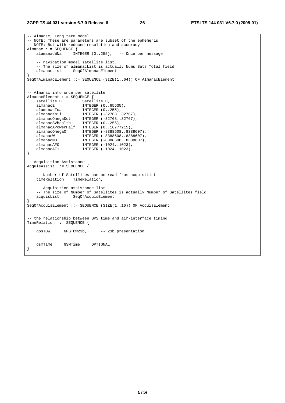#### **3GPP TS 44.031 version 6.7.0 Release 6 26 ETSI TS 144 031 V6.7.0 (2005-01)**

```
-- Almanac, Long term model 
-- NOTE: These are parameters are subset of the ephemeris 
-- NOTE: But with reduced resolution and accuracy 
Almanac ::= SEQUENCE {<br>alamanacWNa    INTEGER (0..255),
    alamanacWNa INTEGER (0..255), -- Once per message 
    -- navigation model satellite list. 
   -- The size of almanacList is actually Nums_Sats_Total field<br>almanacList SeqOfAlmanacElement
                  SeqOfAlmanacElement
} 
SeqOfAlmanacElement ::= SEQUENCE (SIZE(1..64)) OF AlmanacElement 
-- Almanac info once per satellite 
AlmanacElement ::= SEQUENCE { 
   satelliteID SatelliteID,
 almanacE INTEGER (0..65535), 
 alamanacToa INTEGER (0..255), 
 almanacKsii INTEGER (-32768..32767), 
 almanacOmegaDot INTEGER (-32768..32767), 
 almanacSVhealth INTEGER (0..255), 
    almanacAPowerHalf INTEGER (0..16777215), 
 almanacOmega0 INTEGER (-8388608..8388607), 
 almanacW INTEGER (-8388608..8388607), 
 almanacM0 INTEGER (-8388608..8388607), 
 almanacAF0 INTEGER (-1024..1023), 
 almanacAF1 INTEGER (-1024..1023) 
} 
-- Acquisition Assistance 
AcquisAssist ::= SEQUENCE { 
    -- Number of Satellites can be read from acquistList 
    timeRelation TimeRelation, 
    -- Acquisition assistance list 
    -- The size of Number of Satellites is actually Number of Satellites field 
    acquisList SeqOfAcquisElement 
} 
SeqOfAcquisElement ::= SEQUENCE (SIZE(1..16)) OF AcquisElement 
-- the relationship between GPS time and air-interface timing 
TimeRelation ::= SEQUENCE { 
 -- 
    gpsTOW GPSTOW23b, -- 23b presentation 
    gsmTime GSMTime OPTIONAL 
}
```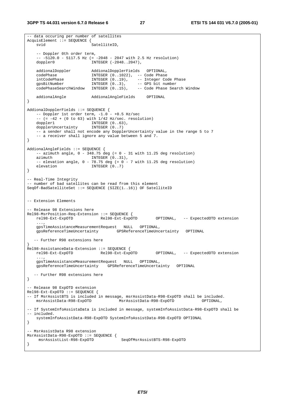```
-- data occuring per number of satellites 
AcquisElement ::= SEQUENCE { 
   svid SatelliteID.
    -- Doppler 0th order term, 
    -- -5120.0 - 5117.5 Hz (= -2048 - 2047 with 2.5 Hz resolution) 
   doppler0 INTEGER (-2048..2047),
    addionalDoppler AddionalDopplerFields OPTIONAL, 
 codePhase INTEGER (0..1022), -- Code Phase 
 intCodePhase INTEGER (0..19), -- Integer Code Phase 
 gpsBitNumber INTEGER (0..3), -- GPS bit number 
 codePhaseSearchWindow INTEGER (0..15), -- Code Phase Search Window 
    addionalAngle AddionalAngleFields OPTIONAL 
} 
AddionalDopplerFields ::= SEQUENCE { 
   -- Doppler 1st order term, -1.0 - +0.5 Hz/sec
   - - (= -42 + (0 \text{ to } 63) with 1/42 Hz/sec. resolution)
doppler1 INTEGER (0..63),
 dopplerUncertainty INTEGER (0..7) 
     -- a sender shall not encode any DopplerUncertainty value in the range 5 to 7 
    -- a receiver shall ignore any value between 5 and 7. 
} 
AddionalAngleFields ::= SEQUENCE { 
   -- azimuth angle, 0 - 348.75 deg (= 0 - 31 with 11.25 deg resolution)
   azimuth INTEGER (0..31),
    - elevation angle, 0 - 78.75 deg (= 0 - 7 \text{ with } 11.25 deg resolution)
   elevation INTEGER (0..7)
} 
-- Real-Time Integrity 
-- number of bad satellites can be read from this element 
SeqOf-BadSatelliteSet ::= SEQUENCE (SIZE(1..16)) OF SatelliteID 
-- Extension Elements 
 -- Release 98 Extensions here 
Rel98-MsrPosition-Req-Extension ::= SEQUENCE { 
    rel98-Ext-ExpOTD Rel98-Ext-ExpOTD OPTIONAL, -- ExpectedOTD extension 
     ..., 
    gpsTimeAssistanceMeasurementRequest NULL OPTIONAL, 
                                    gpsReferenceTimeUncertainty GPSReferenceTimeUncertainty OPTIONAL 
  -- Further R98 extensions here 
} 
Rel98-AssistanceData-Extension ::= SEQUENCE { 
    rel98-Ext-ExpOTD Rel98-Ext-ExpOTD OPTIONAL, -- ExpectedOTD extension 
 ..., 
    gpsTimeAssistanceMeasurementRequest NULL OPTIONAL, 
    gpsReferenceTimeUncertainty GPSReferenceTimeUncertainty OPTIONAL 
  -- Further R98 extensions here 
} 
 -- Release 98 ExpOTD extension 
Rel98-Ext-ExpoTD ::= SEQUENCE {
-- If MsrAssistBTS is included in message, msrAssistData-R98-ExpOTD shall be included.<br>msrAssistData-R98-ExpOTD MsrAssistData-R98-ExpOTD OPTIONAL,
                                    <code>MsrAssistData-R98-ExpOTD</code>
-- If SystemInfoAssistaData is included in message, systemInfoAssistData-R98-ExpOTD shall be 
-- included. 
    systemInfoAssistData-R98-ExpOTD SystemInfoAssistData-R98-ExpOTD OPTIONAL 
} 
-- MsrAssistData R98 extension 
MsrAssistData-R98-ExpOTD ::= SEQUENCE { 
    msrAssistList-R98-ExpOTD SeqOfMsrAssistBTS-R98-ExpOTD 
}
```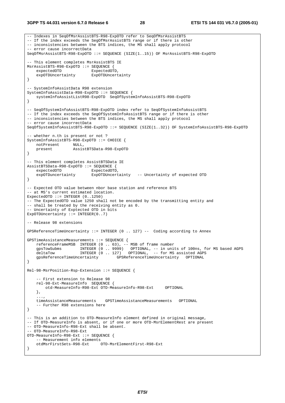#### **3GPP TS 44.031 version 6.7.0 Release 6 28 ETSI TS 144 031 V6.7.0 (2005-01)**

```
-- Indexes in SeqOfMsrAssistBTS-R98-ExpOTD refer to SeqOfMsrAssistBTS 
-- If the index exceeds the SegOfMsrAssistBTS range or if there is other 
-- inconsistencies between the BTS indices, the MS shall apply protocol 
-- error cause incorrectData 
SeqOfMsrAssistBTS-R98-ExpOTD ::= SEQUENCE (SIZE(1..15)) OF MsrAssistBTS-R98-ExpOTD 
-- This element completes MsrAssistBTS IE 
MsrAssistBTS-R98-ExpOTD ::= SEQUENCE { 
   expectedOTD ExpectedOTD,<br>expOTDUncertainty ExpOTDUncertainty
    expOTDUncertainty
} 
-- SystemInfoAssistData R98 extension 
SystemInfoAssistData-R98-ExpOTD ::= SEQUENCE { 
    systemInfoAssistListR98-ExpOTD SeqOfSystemInfoAssistBTS-R98-ExpOTD 
} 
-- SeqOfSystemInfoAssistBTS-R98-ExpOTD index refer to SeqOfSystemInfoAssistBTS 
-- If the index exceeds the SegOfSystemInfoAssistBTS range or if there is other
-- inconsistencies between the BTS indices, the MS shall apply protocol 
-- error cause incorrectData 
SeqOfSystemInfoAssistBTS-R98-ExpOTD ::= SEQUENCE (SIZE(1..32)) OF SystemInfoAssistBTS-R98-ExpOTD 
 -- whether n.th is present or not ? 
SystemInfoAssistBTS-R98-ExpOTD ::= CHOICE { 
 notPresent NULL, 
 present AssistBTSData-R98-ExpOTD 
} 
-- This element completes AssistBTSData IE 
AssistBTSData-R98-ExpOTD ::= SEQUENCE { 
    expectedOTD ExpectedOTD,<br>expOTDuncertainty ExpOTDUncert
                           ExpOTDUncertainty -- Uncertainty of expected OTD
} 
 -- Expected OTD value between nbor base station and reference BTS 
-- at MS's current estimated location. 
ExpectedOTD ::= INTEGER (0..1250) 
-- The ExpectedOTD value 1250 shall not be encoded by the transmitting entity and 
-- shall be treated by the receiving entity as 0. 
 -- Uncertainty of Exptected OTD in bits 
ExpOTDUncertainty := INTEGER(0..7)
-- Release 98 extensions 
GPSReferenceTimeUncertainty ::= INTEGER (0 .. 127) -- Coding according to Annex 
GPSTimeAssistanceMeasurements ::= SEQUENCE { 
    referenceFrameMSB INTEGER (0 .. 63), -- MSB of frame number 
     gpsTowSubms INTEGER (0 .. 9999) OPTIONAL, -- in units of 100ns, for MS based AGPS 
    deltaTow INTEGER (0 .. 127) OPTIONAL, -- for MS assisted AGPS
    gpsReferenceTimeUncertainty GPSReferenceTimeUncertainty OPTIONAL 
} 
Rel-98-MsrPosition-Rsp-Extension ::= SEQUENCE { 
      -- First extension to Release 98 
    rel-98-Ext-MeasureInfo SEQUENCE { 
         otd-MeasureInfo-R98-Ext OTD-MeasureInfo-R98-Ext OPTIONAL 
     }, 
 ..., 
     timeAssistanceMeasurements GPSTimeAssistanceMeasurements OPTIONAL 
     -- Further R98 extensions here 
} 
-- This is an addition to OTD-MeasureInfo element defined in original message, 
-- If OTD-MeasureInfo is absent, or if one or more OTD-MsrElementRest are present 
-- OTD-MeasureInfo-R98-Ext shall be absent. 
-- OTD-MeasureInfo-R98-Ext 
OTD-MeasureInfo-R98-Ext ::= SEQUENCE { 
     -- Measurement info elements 
    otdMsrFirstSets-R98-Ext OTD-MsrElementFirst-R98-Ext 
}
```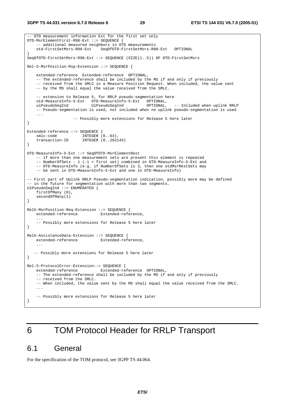```
-- OTD measurement information Ext for the first set only 
OTD-MsrElementFirst-R98-Ext ::= SEQUENCE { 
    -- additional measured neighbors in OTD measurements
     otd-FirstSetMsrs-R98-Ext SeqOfOTD-FirstSetMsrs-R98-Ext OPTIONAL 
} 
SeqOfOTD-FirstSetMsrs-R98-Ext ::= SEQUENCE (SIZE(1..5)) OF OTD-FirstSetMsrs 
Rel-5-MsrPosition-Rsp-Extension ::= SEQUENCE { 
     extended-reference Extended-reference OPTIONAL, 
     -- The extended-reference shall be included by the MS if and only if previously 
     -- received from the SMLC in a Measure Position Request. When included, the value sent 
     -- by the MS shall equal the value received from the SMLC. 
    -- extension to Release 5, for RRLP pseudo-segmentation here<br>otd-MeasureInfo-5-Ext OTD-MeasureInfo-5-Ext OPTIONAL,
    otd-MeasureInfo-5-Ext OTD-MeasureInfo-5-Ext
    ulPseudoSegInd UlPseudoSegInd OPTIONAL, -- Included when uplink RRLP 
     -- Pseudo-segmentation is used, not included when no uplink pseudo-segmentation is used 
     ... 
                     -- Possibly more extensions for Release 5 here later 
} 
Extended-reference ::= SEQUENCE { 
 smlc-code INTEGER (0..63), 
 transaction-ID INTEGER (0..262143) 
} 
OTD-MeasureInfo-5-Ext ::= SeqOfOTD-MsrElementRest 
     -- if more than one measurement sets are present this element is repeated 
     -- NumberOfSets - 1 (-1 = first set) combined in OTD-MeasureInfo-5-Ext and 
    -- OTD-MeasureInfo (e.g. if NumberOfSets is 3, then one otdMsrRestSets may
     -- be sent in OTD-MeasureInfo-5-Ext and one in OTD-MeasureInfo) 
-- First part of Uplink RRLP Pseudo-segmentation indication, possibly more may be defined 
-- in the future for segmentation with more than two segments.
UlPseudoSegInd ::= ENUMERATED { 
     firstOfMany (0), 
     secondOfMany(1) 
} 
Rel5-MsrPosition-Req-Extension ::= SEQUENCE { 
     extended-reference Extended-reference, 
 ... 
     -- Possibly more extensions for Release 5 here later 
} 
Rel5-AssistanceData-Extension ::= SEQUENCE { 
    extended-reference Extended-reference, 
 ... 
   -- Possibly more extensions for Release 5 here later 
} 
Rel-5-ProtocolError-Extension::= SEQUENCE { 
    extended-reference Extended-reference OPTIONAL, 
     -- The extended-reference shall be included by the MS if and only if previously 
     -- received from the SMLC. 
     -- When included, the value sent by the MS shall equal the value received from the SMLC. 
 ... 
     -- Possibly more extensions for Release 5 here later 
}
```
## 6 TOM Protocol Header for RRLP Transport

### 6.1 General

For the specification of the TOM protocol, see 3GPP TS 44.064.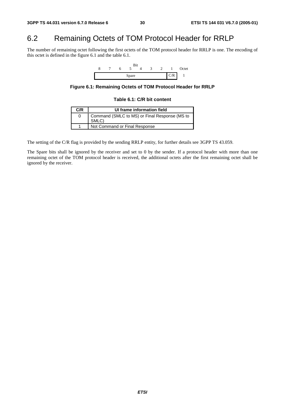## 6.2 Remaining Octets of TOM Protocol Header for RRLP

The number of remaining octet following the first octets of the TOM protocol header for RRLP is one. The encoding of this octet is defined in the figure 6.1 and the table 6.1.



**Figure 6.1: Remaining Octets of TOM Protocol Header for RRLP** 

#### **Table 6.1: C/R bit content**

| C/R | UI frame information field                             |
|-----|--------------------------------------------------------|
|     | Command (SMLC to MS) or Final Response (MS to<br>SMLC) |
|     | Not Command or Final Response                          |

The setting of the C/R flag is provided by the sending RRLP entity, for further details see 3GPP TS 43.059.

The Spare bits shall be ignored by the receiver and set to 0 by the sender. If a protocol header with more than one remaining octet of the TOM protocol header is received, the additional octets after the first remaining octet shall be ignored by the receiver.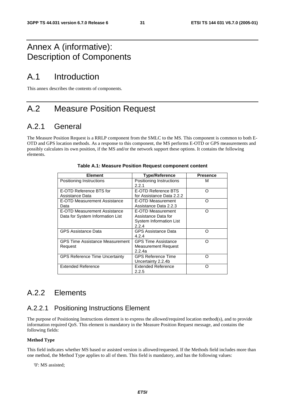## Annex A (informative): Description of Components

## A.1 Introduction

This annex describes the contents of components.

## A.2 Measure Position Request

## A.2.1 General

The Measure Position Request is a RRLP component from the SMLC to the MS. This component is common to both E-OTD and GPS location methods. As a response to this component, the MS performs E-OTD or GPS measurements and possibly calculates its own position, if the MS and/or the network support these options. It contains the following elements.

| <b>Element</b>                                                   | <b>Type/Reference</b>                                                               | <b>Presence</b> |
|------------------------------------------------------------------|-------------------------------------------------------------------------------------|-----------------|
| Positioning Instructions                                         | Positioning Instructions<br>2.2.1                                                   | м               |
| E-OTD Reference BTS for<br>Assistance Data                       | E-OTD Reference BTS<br>for Assistance Data 2.2.2                                    | Ω               |
| E-OTD Measurement Assistance<br>Data                             | E-OTD Measurement<br>Assistance Data 2.2.3                                          | ∩               |
| E-OTD Measurement Assistance<br>Data for System Information List | E-OTD Measurement<br>Assistance Data for<br><b>System Information List</b><br>2.2.4 | ∩               |
| <b>GPS Assistance Data</b>                                       | <b>GPS Assistance Data</b><br>4.2.4                                                 | ∩               |
| <b>GPS Time Assistance Measurement</b><br>Request                | <b>GPS Time Assistance</b><br>Measurement Request<br>2.2.4a                         | ∩               |
| <b>GPS Reference Time Uncertainty</b>                            | <b>GPS Reference Time</b><br>Uncertainty 2.2.4b                                     | ∩               |
| <b>Extended Reference</b>                                        | Extended Reference<br>2.2.5                                                         | ∩               |

#### **Table A.1: Measure Position Request component content**

## A.2.2 Elements

### A.2.2.1 Positioning Instructions Element

The purpose of Positioning Instructions element is to express the allowed/required location method(s), and to provide information required QoS. This element is mandatory in the Measure Position Request message, and contains the following fields:

#### **Method Type**

This field indicates whether MS based or assisted version is allowed/requested. If the Methods field includes more than one method, the Method Type applies to all of them. This field is mandatory, and has the following values:

'0': MS assisted;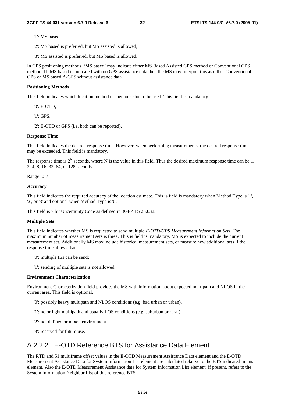'1': MS based;

'2': MS based is preferred, but MS assisted is allowed;

'3': MS assisted is preferred, but MS based is allowed.

In GPS positioning methods, 'MS based' may indicate either MS Based Assisted GPS method or Conventional GPS method. If 'MS based is indicated with no GPS assistance data then the MS may interpret this as either Conventional GPS or MS based A-GPS without assistance data.

#### **Positioning Methods**

This field indicates which location method or methods should be used. This field is mandatory.

'0': E-OTD;

'1': GPS;

'2': E-OTD or GPS (i.e. both can be reported).

#### **Response Time**

This field indicates the desired response time. However, when performing measurements, the desired response time may be exceeded. This field is mandatory.

The response time is  $2^N$  seconds, where N is the value in this field. Thus the desired maximum response time can be 1. 2, 4, 8, 16, 32, 64, or 128 seconds.

Range: 0-7

#### **Accuracy**

This field indicates the required accuracy of the location estimate. This is field is mandatory when Method Type is '1', '2', or '3' and optional when Method Type is '0'.

This field is 7 bit Uncertainty Code as defined in 3GPP TS 23.032.

#### **Multiple Sets**

This field indicates whether MS is requested to send multiple *E-OTD/GPS Measurement Information Sets*. The maximum number of measurement sets is three. This is field is mandatory. MS is expected to include the current measurement set. Additionally MS may include historical measurement sets, or measure new additional sets if the response time allows that:

'0': multiple IEs can be send;

'1': sending of multiple sets is not allowed.

#### **Environment Characterization**

Environment Characterization field provides the MS with information about expected multipath and NLOS in the current area. This field is optional.

- '0': possibly heavy multipath and NLOS conditions (e.g. bad urban or urban).
- '1': no or light multipath and usually LOS conditions (e.g. suburban or rural).
- '2': not defined or mixed environment.
- '3': reserved for future use.

## A.2.2.2 E-OTD Reference BTS for Assistance Data Element

The RTD and 51 multiframe offset values in the E-OTD Measurement Assistance Data element and the E-OTD Measurement Assistance Data for System Information List element are calculated relative to the BTS indicated in this element. Also the E-OTD Measurement Assistance data for System Information List element, if present, refers to the System Information Neighbor List of this reference BTS.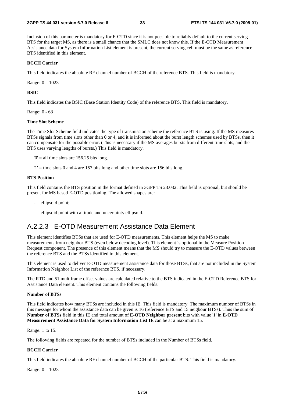#### **3GPP TS 44.031 version 6.7.0 Release 6 33 ETSI TS 144 031 V6.7.0 (2005-01)**

Inclusion of this parameter is mandatory for E-OTD since it is not possible to reliably default to the current serving BTS for the target MS, as there is a small chance that the SMLC does not know this. If the E-OTD Measurement Assistance data for System Information List element is present, the current serving cell must be the same as reference BTS identified in this element.

#### **BCCH Carrier**

This field indicates the absolute RF channel number of BCCH of the reference BTS. This field is mandatory.

Range: 0 – 1023

#### **BSIC**

This field indicates the BSIC (Base Station Identity Code) of the reference BTS. This field is mandatory.

Range: 0 - 63

#### **Time Slot Scheme**

The Time Slot Scheme field indicates the type of transmission scheme the reference BTS is using. If the MS measures BTSs signals from time slots other than 0 or 4, and it is informed about the burst length schemes used by BTSs, then it can compensate for the possible error. (This is necessary if the MS averages bursts from different time slots, and the BTS uses varying lengths of bursts.) This field is mandatory.

 $0'$  = all time slots are 156.25 bits long.

 $'1'$  = time slots 0 and 4 are 157 bits long and other time slots are 156 bits long.

#### **BTS Position**

This field contains the BTS position in the format defined in 3GPP TS 23.032. This field is optional, but should be present for MS based E-OTD positioning. The allowed shapes are:

- ellipsoid point;
- ellipsoid point with altitude and uncertainty ellipsoid.

### A.2.2.3 E-OTD Measurement Assistance Data Element

This element identifies BTSs that are used for E-OTD measurements. This element helps the MS to make measurements from neighbor BTS (even below decoding level). This element is optional in the Measure Position Request component. The presence of this element means that the MS should try to measure the E-OTD values between the reference BTS and the BTSs identified in this element.

This element is used to deliver E-OTD measurement assistance data for those BTSs, that are not included in the System Information Neighbor List of the reference BTS, if necessary.

The RTD and 51 multiframe offset values are calculated relative to the BTS indicated in the E-OTD Reference BTS for Assistance Data element. This element contains the following fields.

#### **Number of BTSs**

This field indicates how many BTSs are included in this IE. This field is mandatory. The maximum number of BTSs in this message for whom the assistance data can be given is 16 (reference BTS and 15 neigbour BTSs). Thus the sum of **Number of BTSs** field in this IE and total amount of **E-OTD Neighbor present** bits with value '1' in **E-OTD Measurement Assistance Data for System Information List IE** can be at a maximum 15.

#### Range: 1 to 15.

The following fields are repeated for the number of BTSs included in the Number of BTSs field.

#### **BCCH Carrier**

This field indicates the absolute RF channel number of BCCH of the particular BTS. This field is mandatory.

Range: 0 – 1023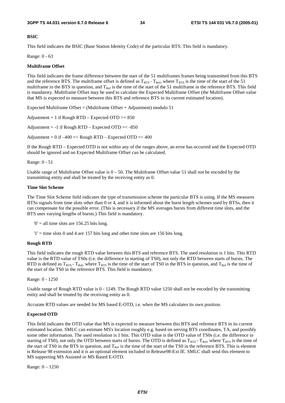#### **BSIC**

This field indicates the BSIC (Base Station Identity Code) of the particular BTS. This field is mandatory.

Range: 0 - 63

#### **Multiframe Offset**

This field indicates the frame difference between the start of the 51 multiframes frames being transmitted from this BTS and the reference BTS. The multiframe offset is defined as  $T_{\text{RFS}}$  -  $T_{\text{Ref}}$ , where  $T_{\text{RTS}}$  is the time of the start of the 51 multiframe in the BTS in question, and  $T_{Ref}$  is the time of the start of the 51 multiframe in the reference BTS. This field is mandatory. Multiframe Offset may be used to calculate the Expected Multiframe Offset (the Multiframe Offset value that MS is expected to measure between this BTS and reference BTS in its current estimated location).

Expected Multiframe Offset = (Multiframe Offset + Adjustment) modulo 51

Adjustment = 1 if Rough RTD – Expected OTD  $>= 850$ 

Adjustment =  $-1$  if Rough RTD – Expected OTD =  $< -850$ 

Adjustment =  $0$  if  $-400$  =< Rough RTD – Expected OTD =<  $400$ 

If the Rough RTD – Expected OTD is not within any of the ranges above, an error has occurred and the Expected OTD should be ignored and no Expected Multiframe Offset can be calculated.

#### Range: 0 - 51

Usable range of Multiframe Offset value is  $0 - 50$ . The Multiframe Offset value 51 shall not be encoded by the transmitting entity and shall be treated by the receiving entity as 0.

#### **Time Slot Scheme**

The Time Slot Scheme field indicates the type of transmission scheme the particular BTS is using. If the MS measures BTSs signals from time slots other than 0 or 4, and it is informed about the burst length schemes used by BTSs, then it can compensate for the possible error. (This is necessary if the MS averages bursts from different time slots, and the BTS uses varying lengths of bursts.) This field is mandatory.

 $0'$  = all time slots are 156.25 bits long.

 $'1'$  = time slots 0 and 4 are 157 bits long and other time slots are 156 bits long.

#### **Rough RTD**

This field indicates the rough RTD value between this BTS and reference BTS. The used resolution is 1 bits. This RTD value is the RTD value of TS0s (i.e. the difference in starting of TS0), not only the RTD between starts of bursts. The RTD is defined as  $T_{BTS}$  -  $T_{Ref}$ , where  $T_{BTS}$  is the time of the start of TS0 in the BTS in question, and  $T_{Ref}$  is the time of the start of the TS0 in the reference BTS. This field is mandatory.

Range: 0 - 1250

Usable range of Rough RTD value is 0 - 1249. The Rough RTD value 1250 shall not be encoded by the transmitting entity and shall be treated by the receiving entity as 0.

Accurate RTD values are needed for MS based E-OTD, i.e. when the MS calculates its own position.

#### **Expected OTD**

This field indicates the OTD value that MS is expected to measure between this BTS and reference BTS in its current estimated location. SMLC can estimate MS's location roughly e.g. based on serving BTS coordinates, TA, and possibly some other information. The used resolution is 1 bits. This OTD value is the OTD value of TS0s (i.e. the difference in starting of TS0), not only the OTD between starts of bursts. The OTD is defined as  $T_{BTS}$  -  $T_{Ref}$ , where  $T_{BTS}$  is the time of the start of TS0 in the BTS in question, and  $T_{\text{Ref}}$  is the time of the start of the TS0 in the reference BTS. This is element is Release 98 extension and it is an optional element included in Release98-Ext IE. SMLC shall send this element to MS supporting MS Assisted or MS Based E-OTD.

Range: 0 – 1250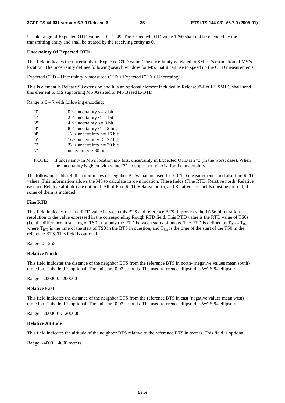Usable range of Expected OTD value is  $0 - 1249$ . The Expected OTD value 1250 shall not be encoded by the transmitting entity and shall be treated by the receiving entity as 0.

#### **Uncertainty Of Expected OTD**

This field indicates the uncertainty in Expected OTD value. The uncertainty is related to SMLC's estimation of MS's location. The uncertainty defines following search window for MS, that it can use to speed up the OTD measurements:

Expected OTD – Uncertainty < measured OTD < Expected OTD + Uncertainty.

This is element is Release 98 extension and it is an optional element included in Release98-Ext IE. SMLC shall send this element to MS supporting MS Assisted or MS Based E-OTD.

Range is  $0 - 7$  with following encoding:

| 'N' | $0$ < uncertainty $\leq 2$ bit;  |
|-----|----------------------------------|
| '1' | $2$ < uncertainty $\leq$ 4 bit;  |
| 2'  | $4$ < uncertainty $\leq 8$ bit;  |
| '3' | $8$ < uncertainty $\leq 12$ bit; |
| '4' | $12$ < uncertainty <= 16 bit;    |
| '5' | $16$ < uncertainty <= 22 bit;    |
| '6' | $22$ < uncertainty <= 30 bit;    |
| '7' | uncertainty $>$ 30 bit.          |

NOTE: If uncertainty in MS's location is x bits, uncertainty in Expected OTD is  $2*x$  (in the worst case). When the uncertainty is given with value '7' no upper bound exist for the uncertainty.

The following fields tell the coordinates of neighbor BTSs that are used for E-OTD measurements, and also fine RTD values. This information allows the MS to calculate its own location. These fields (Fine RTD, Relative north, Relative east and Relative altitude) are optional. All of Fine RTD, Relative north, and Relative east fields must be present, if some of them is included.

#### **Fine RTD**

This field indicates the fine RTD value between this BTS and reference BTS. It provides the 1/256 bit duration resolution to the value expressed in the corresponding Rough RTD field. This RTD value is the RTD value of TS0s (i.e. the difference in starting of TS0), not only the RTD between starts of bursts. The RTD is defined as  $T_{BTS}$  -  $T_{Rcf}$ , where  $T_{BTS}$  is the time of the start of TS0 in the BTS in question, and  $T_{Bef}$  is the time of the start of the TS0 in the reference BTS. This field is optional.

Range: 0 - 255

#### **Relative North**

This field indicates the distance of the neighbor BTS from the reference BTS in north- (negative values mean south) direction. This field is optional. The units are 0.03 seconds. The used reference ellipsoid is WGS 84 ellipsoid.

Range: -200000…200000

#### **Relative East**

This field indicates the distance of the neighbor BTS from the reference BTS in east (negative values mean west) direction. This field is optional. The units are 0.03 seconds. The used reference ellipsoid is WGS 84 ellipsoid.

Range: -200000 … 200000

#### **Relative Altitude**

This field indicates the altitude of the neighbor BTS relative to the reference BTS in meters. This field is optional.

Range: -4000 .. 4000 meters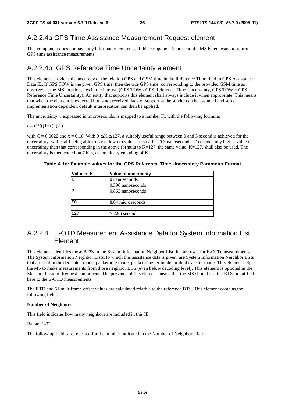### A.2.2.4a GPS Time Assistance Measurement Request element

This component does not have any information contents. If this component is present, the MS is requested to return GPS time assistance measurements.

### A.2.2.4b GPS Reference Time Uncertainty element

This element provides the accuracy of the relation GPS and GSM time in the Reference Time field in GPS Assistance Data IE. If GPS TOW is the given GPS time, then the true GPS time, corresponding to the provided GSM time as observed at the MS location, lies in the interval (GPS TOW - GPS Reference Time Uncertainty, GPS TOW + GPS Reference Time Uncertainty). An entity that supports this element shall always include it when appropriate. This means that when the element is expected but is not received, lack of support at the sender can be assumed and some implementation dependent default interpretation can then be applied.

The uncertainty *r*, expressed in microseconds, is mapped to a number K, with the following formula:

 $r = C^*((1+x)^K)-1)$ 

with C = 0.0022 and x = 0.18. With  $0 \le K \le 127$ , a suitably useful range between 0 and 3 second is achieved for the uncertainty, while still being able to code down to values as small as 0.3 nanoseconds. To encode any higher value of uncertainty than that corresponding in the above formula to  $K=127$ , the same value,  $K=127$ , shall also be used. The uncertainty is then coded on 7 bits, as the binary encoding of K.

| Value of K | Value of uncertainty |
|------------|----------------------|
|            | 0 nanoseconds        |
|            | $0.396$ nanoseconds  |
| າ          | $0.863$ nanoseconds  |
|            |                      |
| 50         | 8.64 microseconds    |
|            |                      |
| 127        | $\geq$ 2.96 seconds  |

**Table A.1a: Example values for the GPS Reference Time Uncertainty Parameter Format** 

## A.2.2.4 E-OTD Measurement Assistance Data for System Information List Element

This element identifies those BTSs in the System Information Neighbor List that are used for E-OTD measurements. The System Information Neighbor Lists, to which this assistance data is given, are System Information Neighbor Lists that are sent in the dedicated mode, packet idle mode, packet transfer mode, or dual transfer mode. This element helps the MS to make measurements from those neighbor BTS (even below decoding level). This element is optional in the Measure Position Request component. The presence of this element means that the MS should use the BTSs identified here to the E-OTD measurements.

The RTD and 51 multiframe offset values are calculated relative to the reference BTS. This element contains the following fields.

#### **Number of Neighbors**

This field indicates how many neighbors are included in this IE.

Range: 1-32

The following fields are repeated for the number indicated in the Number of Neighbors field.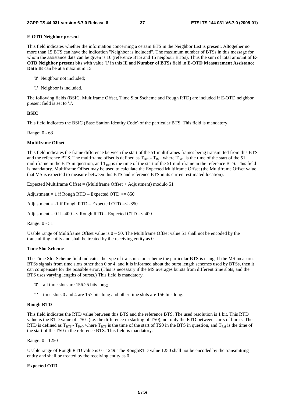#### **E-OTD Neighbor present**

This field indicates whether the information concerning a certain BTS in the Neighbor List is present. Altogether no more than 15 BTS can have the indication "Neighbor is included". The maximum number of BTSs in this message for whom the assistance data can be given is 16 (reference BTS and 15 neigbour BTSs). Thus the sum of total amount of **E-OTD Neighbor present** bits with value '1' in this IE and **Number of BTSs** field in **E-OTD Measurement Assistance Data IE** can be at a maximum 15.

- '0' Neighbor not included;
- '1' Neighbor is included.

The following fields (BSIC, Multiframe Offset, Time Slot Sscheme and Rough RTD) are included if E-OTD neighbor present field is set to '1'.

#### **BSIC**

This field indicates the BSIC (Base Station Identity Code) of the particular BTS. This field is mandatory.

Range: 0 - 63

#### **Multiframe Offset**

This field indicates the frame difference between the start of the 51 multiframes frames being transmitted from this BTS and the reference BTS. The multiframe offset is defined as  $T_{BTS}$  -  $T_{Ref}$ , where  $T_{BTS}$  is the time of the start of the 51 multiframe in the BTS in question, and  $T_{Ref}$  is the time of the start of the 51 multiframe in the reference BTS. This field is mandatory. Multiframe Offset may be used to calculate the Expected Multiframe Offset (the Multiframe Offset value that MS is expected to measure between this BTS and reference BTS in its current estimated location).

Expected Multiframe Offset = (Multiframe Offset + Adjustment) modulo 51

Adjustment = 1 if Rough RTD – Expected OTD  $>= 850$ 

Adjustment =  $-1$  if Rough RTD – Expected OTD =  $< -850$ 

Adjustment =  $0$  if  $-400$  =< Rough RTD – Expected OTD =< 400

Range: 0 - 51

Usable range of Multiframe Offset value is  $0 - 50$ . The Multiframe Offset value 51 shall not be encoded by the transmitting entity and shall be treated by the receiving entity as 0.

#### **Time Slot Scheme**

The Time Slot Scheme field indicates the type of transmission scheme the particular BTS is using. If the MS measures BTSs signals from time slots other than 0 or 4, and it is informed about the burst length schemes used by BTSs, then it can compensate for the possible error. (This is necessary if the MS averages bursts from different time slots, and the BTS uses varying lengths of bursts.) This field is mandatory.

 $0'$  = all time slots are 156.25 bits long;

 $'1'$  = time slots 0 and 4 are 157 bits long and other time slots are 156 bits long.

#### **Rough RTD**

This field indicates the RTD value between this BTS and the reference BTS. The used resolution is 1 bit. This RTD value is the RTD value of TS0s (i.e. the difference in starting of TS0), not only the RTD between starts of bursts. The RTD is defined as  $T_{BTS}$  -  $T_{Ref}$ , where  $T_{BTS}$  is the time of the start of TS0 in the BTS in question, and  $T_{Ref}$  is the time of the start of the TS0 in the reference BTS. This field is mandatory.

Range: 0 - 1250

Usable range of Rough RTD value is 0 - 1249. The RoughRTD value 1250 shall not be encoded by the transmitting entity and shall be treated by the receiving entity as 0.

#### **Expected OTD**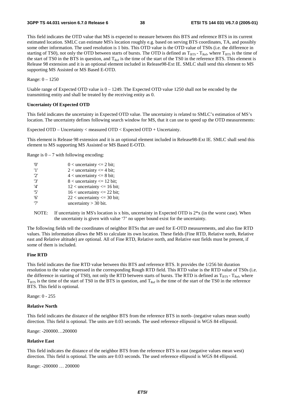This field indicates the OTD value that MS is expected to measure between this BTS and reference BTS in its current estimated location. SMLC can estimate MS's location roughly e.g. based on serving BTS coordinates, TA, and possibly some other information. The used resolution is 1 bits. This OTD value is the OTD value of TS0s (i.e. the difference in starting of TS0), not only the OTD between starts of bursts. The OTD is defined as  $T_{BTS}$  -  $T_{Ref}$ , where  $T_{BTS}$  is the time of the start of TS0 in the BTS in question, and  $T_{\text{Ref}}$  is the time of the start of the TS0 in the reference BTS. This element is Release 98 extension and it is an optional element included in Release98-Ext IE. SMLC shall send this element to MS supporting MS Assisted or MS Based E-OTD.

Range: 0 – 1250

Usable range of Expected OTD value is  $0 - 1249$ . The Expected OTD value 1250 shall not be encoded by the transmitting entity and shall be treated by the receiving entity as 0.

#### **Uncertainty Of Expected OTD**

This field indicates the uncertainty in Expected OTD value. The uncertainty is related to SMLC's estimation of MS's location. The uncertainty defines following search window for MS, that it can use to speed up the OTD measurements:

Expected OTD – Uncertainty < measured OTD < Expected OTD + Uncertainty.

This element is Release 98 extension and it is an optional element included in Release98-Ext IE. SMLC shall send this element to MS supporting MS Assisted or MS Based E-OTD.

Range is  $0 - 7$  with following encoding:

| 'O'  | $0$ < uncertainty $\leq 2$ bit;  |
|------|----------------------------------|
| '1'  | 2 < uncertainty $\leq$ 4 bit;    |
| '2'  | $4$ < uncertainty $\leq 8$ bit;  |
| '3'  | $8$ < uncertainty $\leq 12$ bit; |
| '4'  | $12$ < uncertainty <= 16 bit;    |
| '5'  | $16$ < uncertainty <= 22 bit;    |
| '6'  | $22$ < uncertainty <= 30 bit;    |
| י די | uncertainty $>$ 30 bit.          |

NOTE: If uncertainty in MS's location is x bits, uncertainty in Expected OTD is  $2*x$  (in the worst case). When the uncertainty is given with value '7' no upper bound exist for the uncertainty.

The following fields tell the coordinates of neighbor BTSs that are used for E-OTD measurements, and also fine RTD values. This information allows the MS to calculate its own location. These fields (Fine RTD, Relative north, Relative east and Relative altitude) are optional. All of Fine RTD, Relative north, and Relative east fields must be present, if some of them is included.

#### **Fine RTD**

This field indicates the fine RTD value between this BTS and reference BTS. It provides the 1/256 bit duration resolution to the value expressed in the corresponding Rough RTD field. This RTD value is the RTD value of TS0s (i.e. the difference in starting of TS0), not only the RTD between starts of bursts. The RTD is defined as  $T_{BTS}$  -  $T_{Ref}$ , where  $T_{\text{BTS}}$  is the time of the start of TS0 in the BTS in question, and  $T_{\text{Ref}}$  is the time of the start of the TS0 in the reference BTS. This field is optional.

Range: 0 - 255

#### **Relative North**

This field indicates the distance of the neighbor BTS from the reference BTS in north- (negative values mean south) direction. This field is optional. The units are 0.03 seconds. The used reference ellipsoid is WGS 84 ellipsoid.

Range: -200000…200000

#### **Relative East**

This field indicates the distance of the neighbor BTS from the reference BTS in east (negative values mean west) direction. This field is optional. The units are 0.03 seconds. The used reference ellipsoid is WGS 84 ellipsoid.

Range: -200000 … 200000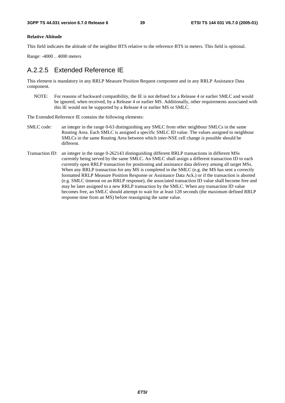#### **Relative Altitude**

This field indicates the altitude of the neighbor BTS relative to the reference BTS in meters. This field is optional.

Range: -4000 .. 4000 meters

## A.2.2.5 Extended Reference IE

This element is mandatory in any RRLP Measure Position Request component and in any RRLP Assistance Data component.

NOTE: For reasons of backward compatibility, the IE is not defined for a Release 4 or earlier SMLC and would be ignored, when received, by a Release 4 or earlier MS. Additionally, other requirements associated with this IE would not be supported by a Release 4 or earlier MS or SMLC.

The Extended Reference IE contains the following elements:

- SMLC code: an integer in the range 0-63 distinguishing any SMLC from other neighbour SMLCs in the same Routing Area. Each SMLC is assigned a specific SMLC ID value. The values assigned to neighbour SMLCs in the same Routing Area between which inter-NSE cell change is possible should be different.
- Transaction ID: an integer in the range 0-262143 distinguishing different RRLP transactions in different MSs currently being served by the same SMLC. An SMLC shall assign a different transaction ID to each currently open RRLP transaction for positioning and assistance data delivery among all target MSs. When any RRLP transaction for any MS is completed in the SMLC (e.g. the MS has sent a correctly formatted RRLP Measure Position Response or Assistance Data Ack.) or if the transaction is aborted (e.g. SMLC timeout on an RRLP response), the associated transaction ID value shall become free and may be later assigned to a new RRLP transaction by the SMLC. When any transaction ID value becomes free, an SMLC should attempt to wait for at least 128 seconds (the maximum defined RRLP response time from an MS) before reassigning the same value.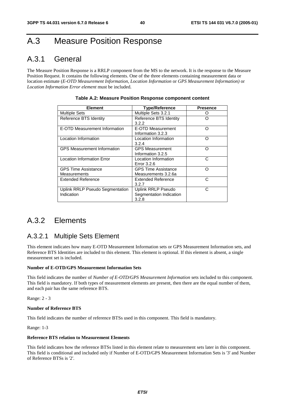## A.3 Measure Position Response

## A.3.1 General

The Measure Position Response is a RRLP component from the MS to the network. It is the response to the Measure Position Request. It contains the following elements. One of the three elements containing measurement data or location estimate (*E-OTD Measurement Information*, *Location Information* or *GPS Measurement Information)* or *Location Information Error element* must be included.

| <b>Element</b>                                    | <b>Type/Reference</b>                                         | <b>Presence</b> |
|---------------------------------------------------|---------------------------------------------------------------|-----------------|
| <b>Multiple Sets</b>                              | Multiple Sets 3.2.1                                           |                 |
| Reference BTS Identity                            | Reference BTS Identity<br>3.2.2                               | ∩               |
| E-OTD Measurement Information                     | E-OTD Measurement<br>Information 3.2.3                        | ∩               |
| Location Information                              | Location Information<br>3.2.4                                 | ∩               |
| <b>GPS Measurement Information</b>                | <b>GPS Measurement</b><br>Information 3.2.5                   | ∩               |
| <b>Location Information Error</b>                 | Location Information<br>Error 3.2.6                           | C               |
| <b>GPS Time Assistance</b><br><b>Measurements</b> | <b>GPS Time Assistance</b><br>Measurements 3.2.6a             | റ               |
| <b>Extended Reference</b>                         | Extended Reference<br>3.2.7                                   | C               |
| Uplink RRLP Pseudo Segmentation<br>Indication     | <b>Uplink RRLP Pseudo</b><br>Segmentation Indication<br>3.2.8 | C               |

## A.3.2 Elements

### A.3.2.1 Multiple Sets Element

This element indicates how many E-OTD Measurement Information sets or GPS Measurement Information sets, and Reference BTS Identities are included to this element. This element is optional. If this element is absent, a single measurement set is included.

#### **Number of E-OTD/GPS Measurement Information Sets**

This field indicates the number of *Number of E-OTD/GPS Measurement Information* sets included to this component. This field is mandatory. If both types of measurement elements are present, then there are the equal number of them, and each pair has the same reference BTS.

Range: 2 - 3

#### **Number of Reference BTS**

This field indicates the number of reference BTSs used in this component. This field is mandatory.

Range: 1-3

#### **Reference BTS relation to Measurement Elements**

This field indicates how the reference BTSs listed in this element relate to measurement sets later in this component. This field is conditional and included only if Number of E-OTD/GPS Measurement Information Sets is '3' and Number of Reference BTSs is '2'.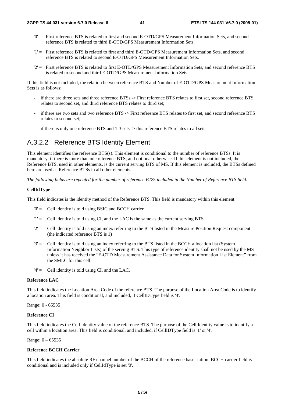- '0' = First reference BTS is related to first and second E-OTD/GPS Measurement Information Sets, and second reference BTS is related to third E-OTD/GPS Measurement Information Sets.
- '1' = First reference BTS is related to first and third E-OTD/GPS Measurement Information Sets, and second reference BTS is related to second E-OTD/GPS Measurement Information Sets.
- '2' = First reference BTS is related to first E-OTD/GPS Measurement Information Sets, and second reference BTS is related to second and third E-OTD/GPS Measurement Information Sets.

If this field is not included, the relation between reference BTS and Number of E-OTD/GPS Measurement Information Sets is as follows:

- if there are three sets and three reference BTSs -> First reference BTS relates to first set, second reference BTS relates to second set, and third reference BTS relates to third set;
- if there are two sets and two reference BTS -> First reference BTS relates to first set, and second reference BTS relates to second set;
- if there is only one reference BTS and 1-3 sets -> this reference BTS relates to all sets.

## A.3.2.2 Reference BTS Identity Element

This element identifies the reference BTS(s). This element is conditional to the number of reference BTSs. It is mandatory, if there is more than one reference BTS, and optional otherwise. If this element is not included, the Reference BTS, used in other elements, is the current serving BTS of MS. If this element is included, the BTSs defined here are used as Reference BTSs in all other elements.

*The following fields are repeated for the number of reference BTSs included in the Number of Reference BTS field.* 

#### **CellIdType**

This field indicates is the identity method of the Reference BTS. This field is mandatory within this element.

- '0' = Cell identity is told using BSIC and BCCH carrier.
- '1' = Cell identity is told using CI, and the LAC is the same as the current serving BTS.
- '2' = Cell identity is told using an index referring to the BTS listed in the Measure Position Request component (the indicated reference BTS is 1)
- '3' = Cell identity is told using an index referring to the BTS listed in the BCCH allocation list (System Information Neighbor Lists) of the serving BTS. This type of reference identity shall not be used by the MS unless it has received the "E-OTD Measurement Assistance Data for System Information List Element" from the SMLC for this cell.
- $'4' =$  Cell identity is told using CI, and the LAC.

#### **Reference LAC**

This field indicates the Location Area Code of the reference BTS. The purpose of the Location Area Code is to identify a location area. This field is conditional, and included, if CellIDType field is '4'.

Range: 0 - 65535

#### **Reference CI**

This field indicates the Cell Identity value of the reference BTS. The purpose of the Cell Identity value is to identify a cell within a location area. This field is conditional, and included, if CellIDType field is '1' or '4'.

Range: 0 – 65535

#### **Reference BCCH Carrier**

This field indicates the absolute RF channel number of the BCCH of the reference base station. BCCH carrier field is conditional and is included only if CellIdType is set '0'.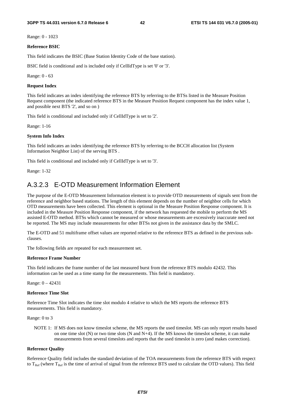Range: 0 - 1023

#### **Reference BSIC**

This field indicates the BSIC (Base Station Identity Code of the base station).

BSIC field is conditional and is included only if CellIdType is set '0' or '3'.

Range: 0 - 63

#### **Request Index**

This field indicates an index identifying the reference BTS by referring to the BTSs listed in the Measure Position Request component (the indicated reference BTS in the Measure Position Request component has the index value 1, and possible next BTS '2', and so on )

This field is conditional and included only if CellIdType is set to '2'.

Range: 1-16

#### **System Info Index**

This field indicates an index identifying the reference BTS by referring to the BCCH allocation list (System Information Neighbor List) of the serving BTS .

This field is conditional and included only if CellIdType is set to '3'.

Range: 1-32

### A.3.2.3 E-OTD Measurement Information Element

The purpose of the E-OTD Measurement Information element is to provide OTD measurements of signals sent from the reference and neighbor based stations. The length of this element depends on the number of neighbor cells for which OTD measurements have been collected. This element is optional in the Measure Position Response component. It is included in the Measure Position Response component, if the network has requested the mobile to perform the MS assisted E-OTD method. BTSs which cannot be measured or whose measurements are excessively inaccurate need not be reported. The MS may include measurements for other BTSs not given in the assistance data by the SMLC.

The E-OTD and 51 multiframe offset values are reported relative to the reference BTS as defined in the previous subclauses.

The following fields are repeated for each measurement set.

#### **Reference Frame Number**

This field indicates the frame number of the last measured burst from the reference BTS modulo 42432. This information can be used as a time stamp for the measurements. This field is mandatory.

Range: 0 – 42431

#### **Reference Time Slot**

Reference Time Slot indicates the time slot modulo 4 relative to which the MS reports the reference BTS measurements. This field is mandatory.

Range: 0 to 3

NOTE 1: If MS does not know timeslot scheme, the MS reports the used timeslot. MS can only report results based on one time slot  $(N)$  or two time slots  $(N \text{ and } N+4)$ . If the MS knows the timeslot scheme, it can make measurements from several timeslots and reports that the used timeslot is zero (and makes correction).

#### **Reference Quality**

Reference Quality field includes the standard deviation of the TOA measurements from the reference BTS with respect to  $T_{\text{Ref}}$  (where  $T_{\text{Ref}}$  is the time of arrival of signal from the reference BTS used to calculate the OTD values). This field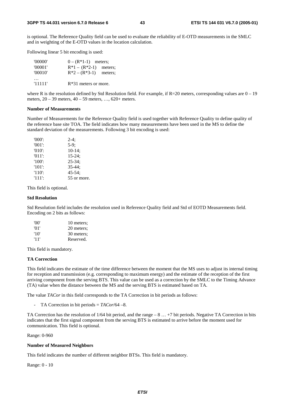is optional. The Reference Quality field can be used to evaluate the reliability of E-OTD measurements in the SMLC and in weighting of the E-OTD values in the location calculation.

Following linear 5 bit encoding is used:

| '00000'<br>'00001'<br>'00010' | $0 - (R^*1-1)$ meters;<br>$R*1 - (R*2-1)$ meters;<br>$R*2 - (R*3-1)$ | meters; |
|-------------------------------|----------------------------------------------------------------------|---------|
| '11111'                       | $R*31$ meters or more.                                               |         |

where R is the resolution defined by Std Resolution field. For example, if  $R=20$  meters, corresponding values are  $0-19$ meters, 20 – 39 meters, 40 – 59 meters, …, 620+ meters.

#### **Number of Measurements**

Number of Measurements for the Reference Quality field is used together with Reference Quality to define quality of the reference base site TOA. The field indicates how many measurements have been used in the MS to define the standard deviation of the measurements. Following 3 bit encoding is used:

| $'000'$ : | $2-4:$      |
|-----------|-------------|
| $'001'$ : | $5-9:$      |
| $'010'$ : | $10-14;$    |
| $'011'$ : | $15 - 24$ ; |
| $'100'$ : | $25 - 34$ ; |
| $'101'$ : | $35 - 44:$  |
| $'110'$ : | $45 - 54$ : |
| $'111'$ : | 55 or more. |

This field is optional.

#### **Std Resolution**

Std Resolution field includes the resolution used in Reference Quality field and Std of EOTD Measurements field. Encoding on 2 bits as follows:

| 'OO' | 10 meters; |
|------|------------|
| '01' | 20 meters; |
| '10' | 30 meters; |
| '11' | Reserved.  |

This field is mandatory.

#### **TA Correction**

This field indicates the estimate of the time difference between the moment that the MS uses to adjust its internal timing for reception and transmission (e.g. corresponding to maximum energy) and the estimate of the reception of the first arriving component from the serving BTS. This value can be used as a correction by the SMLC to the Timing Advance (TA) value when the distance between the MS and the serving BTS is estimated based on TA.

The value *TACor* in this field corresponds to the TA Correction in bit periods as follows:

- TA Correction in bit periods = *TACor*/64 –8.

TA Correction has the resolution of 1/64 bit period, and the range – 8 … +7 bit periods. Negative TA Correction in bits indicates that the first signal component from the serving BTS is estimated to arrive before the moment used for communication. This field is optional.

#### Range: 0-960

#### **Number of Measured Neighbors**

This field indicates the number of different neighbor BTSs. This field is mandatory.

Range: 0 - 10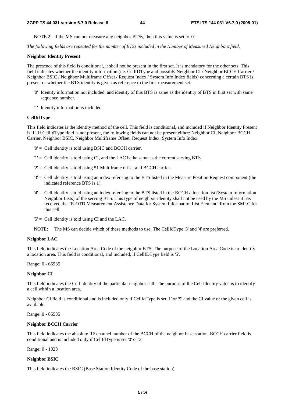NOTE 2: If the MS can not measure any neighbor BTSs, then this value is set to '0'.

*The following fields are repeated for the number of BTSs included in the Number of Measured Neighbors field.* 

#### **Neighbor Identity Present**

The presence of this field is conditional, it shall not be present in the first set. It is mandatory for the other sets. This field indicates whether the identity information (i.e. CellIDType and possibly Neighbor CI / Neighbor BCCH Carrier / Neighbor BSIC / Neighbor Multiframe Offset / Request Index / System Info Index fields) concerning a certain BTS is present or whether the BTS identity is given as reference to the first measurement set.

- '0' Identity information not included, and identity of this BTS is same as the identity of BTS in first set with same sequence number.
- '1' Identity information is included.

#### **CellIdType**

This field indicates is the identity method of the cell. This field is conditional, and included if Neighbor Identity Present is '1'**.** If CellIdType field is not present, the following fields can not be present either: Neighbor CI, Neighbor BCCH Carrier, Neighbor BSIC, Neighbor Multiframe Offset, Request Index, System Info Index.

- '0' = Cell identity is told using BSIC and BCCH carrier.
- '1' = Cell identity is told using CI, and the LAC is the same as the current serving BTS.
- '2' = Cell identity is told using 51 Multiframe offset and BCCH carrier.
- '3' = Cell identity is told using an index referring to the BTS listed in the Measure Position Request component (the indicated reference BTS is 1).
- '4' = Cell identity is told using an index referring to the BTS listed in the BCCH allocation list (System Information Neighbor Lists) of the serving BTS. This type of neighbor identity shall not be used by the MS unless it has received the "E-OTD Measurement Assistance Data for System Information List Element" from the SMLC for this cell.
- '5' = Cell identity is told using CI and the LAC.
- NOTE: The MS can decide which of these methods to use. The CellIdType '3' and '4' are preferred.

#### **Neighbor LAC**

This field indicates the Location Area Code of the neighbor BTS. The purpose of the Location Area Code is to identify a location area. This field is conditional, and included, if CellIDType field is '5'.

Range: 0 - 65535

#### **Neighbor CI**

This field indicates the Cell Identity of the particular neighbor cell. The purpose of the Cell Identity value is to identify a cell within a location area.

Neighbor CI field is conditional and is included only if CellIdType is set '1' or '5' and the CI value of the given cell is available.

Range: 0 - 65535

#### **Neighbor BCCH Carrier**

This field indicates the absolute RF channel number of the BCCH of the neighbor base station. BCCH carrier field is conditional and is included only if CellIdType is set '0' or '2'.

Range: 0 - 1023

#### **Neighbor BSIC**

This field indicates the BSIC (Base Station Identity Code of the base station).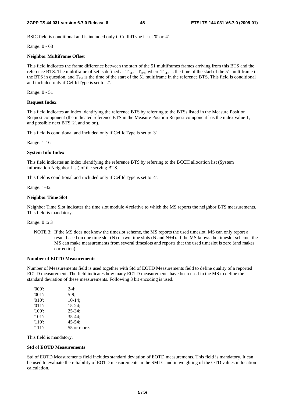BSIC field is conditional and is included only if CellIdType is set '0' or '4'.

Range: 0 - 63

#### **Neighbor Multiframe Offset**

This field indicates the frame difference between the start of the 51 multiframes frames arriving from this BTS and the reference BTS. The multiframe offset is defined as  $T_{BTS}$  -  $T_{Ref}$ , where  $T_{BTS}$  is the time of the start of the 51 multiframe in the BTS in question, and  $T_{Ref}$  is the time of the start of the 51 multiframe in the reference BTS. This field is conditional and included only if CellIdType is set to '2'.

Range: 0 - 51

#### **Request Index**

This field indicates an index identifying the reference BTS by referring to the BTSs listed in the Measure Position Request component (the indicated reference BTS in the Measure Position Request component has the index value 1, and possible next BTS '2', and so on).

This field is conditional and included only if CellIdType is set to '3'.

Range: 1-16

#### **System Info Index**

This field indicates an index identifying the reference BTS by referring to the BCCH allocation list (System Information Neighbor List) of the serving BTS.

This field is conditional and included only if CellIdType is set to '4'.

Range: 1-32

#### **Neighbor Time Slot**

Neighbor Time Slot indicates the time slot modulo 4 relative to which the MS reports the neighbor BTS measurements. This field is mandatory.

#### Range: 0 to 3

NOTE 3: If the MS does not know the timeslot scheme, the MS reports the used timeslot. MS can only report a result based on one time slot (N) or two time slots (N and N+4). If the MS knows the timeslot scheme, the MS can make measurements from several timeslots and reports that the used timeslot is zero (and makes correction).

#### **Number of EOTD Measurements**

Number of Measurements field is used together with Std of EOTD Measurements field to define quality of a reported EOTD measurement. The field indicates how many EOTD measurements have been used in the MS to define the standard deviation of these measurements. Following 3 bit encoding is used.

| $'000$ .  | $2-4:$      |
|-----------|-------------|
| $'001'$ : | $5-9;$      |
| $'010'$ : | $10-14$ ;   |
| $'011'$ : | $15 - 24$ ; |
| $'100'$ : | $25 - 34$ ; |
| $'101'$ : | $35 - 44:$  |
| $'110'$ : | $45 - 54$ ; |
| $'111'$ : | 55 or more. |

This field is mandatory.

#### **Std of EOTD Measurements**

Std of EOTD Measurements field includes standard deviation of EOTD measurements. This field is mandatory. It can be used to evaluate the reliability of EOTD measurements in the SMLC and in weighting of the OTD values in location calculation.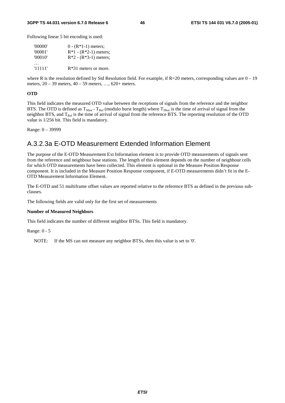Following linear 5 bit encoding is used:

| '00000' | $0 - (R*1-1)$ meters;   |
|---------|-------------------------|
| '00001' | $R*1 - (R*2-1)$ meters; |
| '00010' | $R*2 - (R*3-1)$ meters; |
| '11111' | $R*31$ meters or more.  |

where R is the resolution defined by Std Resolution field. For example, if  $R=20$  meters, corresponding values are  $0-19$ meters, 20 – 39 meters, 40 – 59 meters, …, 620+ meters.

#### **OTD**

This field indicates the measured OTD value between the receptions of signals from the reference and the neighbor BTS. The OTD is defined as  $T_{Nbor}$  -  $T_{Ref}$  (modulo burst length) where  $T_{Nbor}$  is the time of arrival of signal from the neighbor BTS, and  $T_{Ref}$  is the time of arrival of signal from the reference BTS. The reporting resolution of the OTD value is 1/256 bit. This field is mandatory.

Range: 0 – 39999

### A.3.2.3a E-OTD Measurement Extended Information Element

The purpose of the E-OTD Measurement Ext Information element is to provide OTD measurements of signals sent from the reference and neighbour base stations. The length of this element depends on the number of neighbour cells for which OTD measurements have been collected. This element is optional in the Measure Position Response component. It is included in the Measure Position Response component, if E-OTD measurements didn't fit in the E-OTD Measurement Information Element.

The E-OTD and 51 multiframe offset values are reported relative to the reference BTS as defined in the previous subclauses.

The following fields are valid only for the first set of measurements

#### **Number of Measured Neighbors**

This field indicates the number of different neighbor BTSs. This field is mandatory.

Range: 0 - 5

NOTE: If the MS can not measure any neighbor BTSs, then this value is set to '0'.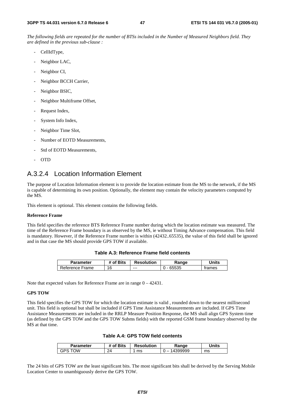*The following fields are repeated for the number of BTSs included in the Number of Measured Neighbors field. They are defined in the previous sub-clause :*

- CellIdType,
- Neighbor LAC,
- Neighbor CI,
- Neighbor BCCH Carrier,
- Neighbor BSIC,
- Neighbor Multiframe Offset,
- Request Index,
- System Info Index,
- Neighbor Time Slot,
- Number of EOTD Measurements,
- Std of EOTD Measurements,
- OTD

### A.3.2.4 Location Information Element

The purpose of Location Information element is to provide the location estimate from the MS to the network, if the MS is capable of determining its own position. Optionally, the element may contain the velocity parameters computed by the MS.

This element is optional. This element contains the following fields.

#### **Reference Frame**

This field specifies the reference BTS Reference Frame number during which the location estimate was measured. The time of the Reference Frame boundary is as observed by the MS, ie without Timing Advance compensation. This field is mandatory. However, if the Reference Frame number is within (42432..65535), the value of this field shall be ignored and in that case the MS should provide GPS TOW if available.

| Parameter       | # of Bits | <b>Resolution</b> | Ranqe   | Jnits  |
|-----------------|-----------|-------------------|---------|--------|
| Reference Frame | 16        | $--$              | - 65535 | trames |

Note that expected values for Reference Frame are in range 0 – 42431.

#### **GPS TOW**

This field specifies the GPS TOW for which the location estimate is valid , rounded down to the nearest millisecond unit. This field is optional but shall be included if GPS Time Assistance Measurements are included. If GPS Time Assistance Measurements are included in the RRLP Measure Position Response, the MS shall align GPS System time (as defined by the GPS TOW and the GPS TOW Subms fields) with the reported GSM frame boundary observed by the MS at that time.

| Parameter   | <sup>#</sup> of Bits | <b>Resolution</b> | Range  | Units |
|-------------|----------------------|-------------------|--------|-------|
| ነለለ<br>3PS. | 24                   | ms                | 399999 | ms    |

The 24 bits of GPS TOW are the least significant bits. The most significant bits shall be derived by the Serving Mobile Location Center to unambiguously derive the GPS TOW.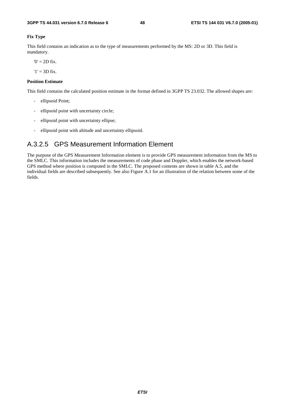#### **Fix Type**

This field contains an indication as to the type of measurements performed by the MS: 2D or 3D. This field is mandatory.

 $0' = 2D$  fix.

 $'1' = 3D$  fix.

#### **Position Estimate**

This field contains the calculated position estimate in the format defined in 3GPP TS 23.032. The allowed shapes are:

- ellipsoid Point;
- ellipsoid point with uncertainty circle;
- ellipsoid point with uncertainty ellipse;
- ellipsoid point with altitude and uncertainty ellipsoid.

## A.3.2.5 GPS Measurement Information Element

The purpose of the GPS Measurement Information element is to provide GPS measurement information from the MS to the SMLC. This information includes the measurements of code phase and Doppler, which enables the network-based GPS method where position is computed in the SMLC. The proposed contents are shown in table A.5, and the individual fields are described subsequently. See also Figure A.1 for an illustration of the relation between some of the fields.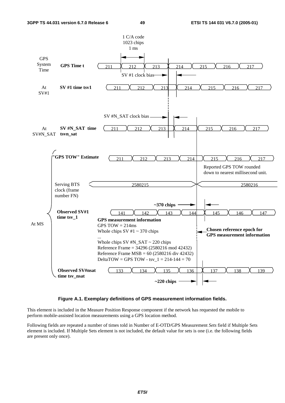

#### **Figure A.1. Exemplary definitions of GPS measurement information fields.**

This element is included in the Measure Position Response component if the network has requested the mobile to perform mobile-assisted location measurements using a GPS location method.

Following fields are repeated a number of times told in Number of E-OTD/GPS Measurement *Sets* field if Multiple Sets element is included. If Multiple Sets element is not included, the default value for sets is one (i.e. the following fields are present only once).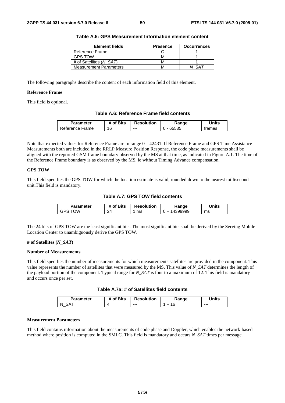| <b>Element fields</b>         | <b>Presence</b> | <b>Occurrences</b> |
|-------------------------------|-----------------|--------------------|
| Reference Frame               |                 |                    |
| <b>GPS TOW</b>                | M               |                    |
| # of Satellites (N SAT)       | M               |                    |
| <b>Measurement Parameters</b> |                 |                    |

**Table A.5: GPS Measurement Information element content** 

The following paragraphs describe the content of each information field of this element.

#### **Reference Frame**

This field is optional.

#### **Table A.6: Reference Frame field contents**

| Parameter       | of Bits | <b>Resolution</b> | Ranqe | <b>Jnits</b> |
|-----------------|---------|-------------------|-------|--------------|
| Reference Frame | 16      | $--$              | 65535 | trames       |

Note that expected values for Reference Frame are in range  $0 - 42431$ . If Reference Frame and GPS Time Assistance Measurements both are included in the RRLP Measure Position Response, the code phase measurements shall be aligned with the reported GSM frame boundary observed by the MS at that time, as indicated in Figure A.1. The time of the Reference Frame boundary is as observed by the MS, ie without Timing Advance compensation.

#### **GPS TOW**

This field specifies the GPS TOW for which the location estimate is valid, rounded down to the nearest millisecond unit.This field is mandatory.

**Table A.7: GPS TOW field contents** 

| Parameter  | of Bits | <b>Resolution</b> | Ranqe                              | <b>Jnits</b> |
|------------|---------|-------------------|------------------------------------|--------------|
| ⊤∩W<br>خ⊬ت | 24      | ms                | 399999<br>$\overline{\phantom{a}}$ | ms           |

The 24 bits of GPS TOW are the least significant bits. The most significant bits shall be derived by the Serving Mobile Location Center to unambiguously derive the GPS TOW.

#### **# of Satellites (***N\_SAT***)**

#### **Number of Measurements**

This field specifies the number of measurements for which measurements satellites are provided in the component. This value represents the number of satellites that were measured by the MS. This value of *N\_SAT* determines the length of the payload portion of the component. Typical range for *N\_SAT* is four to a maximum of 12. This field is mandatory and occurs once per set.

| Table A.7a: # of Satellites field contents |  |  |
|--------------------------------------------|--|--|
|--------------------------------------------|--|--|

| Parameter | <b>Sits</b><br>ωt | <b>Resolution</b> | Range | <b>Inits</b> |
|-----------|-------------------|-------------------|-------|--------------|
|           | { }               | $- - -$           |       | $--$         |

#### **Measurement Parameters**

This field contains information about the measurements of code phase and Doppler, which enables the network-based method where position is computed in the SMLC. This field is mandatory and occurs *N\_SAT* times per message.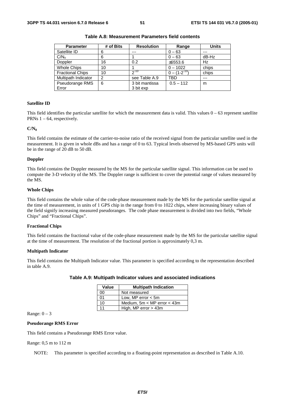| <b>Parameter</b>        | # of Bits | <b>Resolution</b> | Range               | <b>Units</b> |
|-------------------------|-----------|-------------------|---------------------|--------------|
| Satellite ID            | 6         | ---               | $0 - 63$            | ---          |
| C/N <sub>o</sub>        | 6         |                   | $0 - 63$            | dB-Hz        |
| Doppler                 | 16        | 0.2               | ±6553.6             | Hz           |
| <b>Whole Chips</b>      | 10        |                   | $0 - 1022$          | chips        |
| <b>Fractional Chips</b> | 10        | $2^{-10}$         | $0 - (1 - 2^{-10})$ | chips        |
| Multipath Indicator     | 2         | see Table A.9     | TBD                 | $---$        |
| Pseudorange RMS         | 6         | 3 bit mantissa    | $0.5 - 112$         | m            |
| Error                   |           | 3 bit exp         |                     |              |

**Table A.8: Measurement Parameters field contents** 

#### **Satellite ID**

This field identifies the particular satellite for which the measurement data is valid. This values  $0 - 63$  represent satellite PRNs  $1 - 64$ , respectively.

#### $C/N_0$

This field contains the estimate of the carrier-to-noise ratio of the received signal from the particular satellite used in the measurement. It is given in whole dBs and has a range of 0 to 63. Typical levels observed by MS-based GPS units will be in the range of 20 dB to 50 dB.

#### **Doppler**

This field contains the Doppler measured by the MS for the particular satellite signal. This information can be used to compute the 3-D velocity of the MS. The Doppler range is sufficient to cover the potential range of values measured by the MS.

#### **Whole Chips**

This field contains the whole value of the code-phase measurement made by the MS for the particular satellite signal at the time of measurement, in units of 1 GPS chip in the range from 0 to 1022 chips, where increasing binary values of the field signify increasing measured pseudoranges. The code phase measurement is divided into two fields, "Whole Chips" and "Fractional Chips".

#### **Fractional Chips**

This field contains the fractional value of the code-phase measurement made by the MS for the particular satellite signal at the time of measurement. The resolution of the fractional portion is approximately 0,3 m.

#### **Multipath Indicator**

This field contains the Multipath Indicator value. This parameter is specified according to the representation described in table A.9.

| Value | <b>Multipath Indication</b>     |
|-------|---------------------------------|
| 00    | Not measured                    |
| 01    | Low, MP error $<$ 5m            |
| 10    | Medium, $5m < MP$ error $<$ 43m |
| 11    | High, MP error $>$ 43m          |

#### **Table A.9: Multipath Indicator values and associated indications**

Range:  $0 - 3$ 

#### **Pseudorange RMS Error**

This field contains a Pseudorange RMS Error value.

#### Range: 0,5 m to 112 m

NOTE: This parameter is specified according to a floating-point representation as described in Table A.10.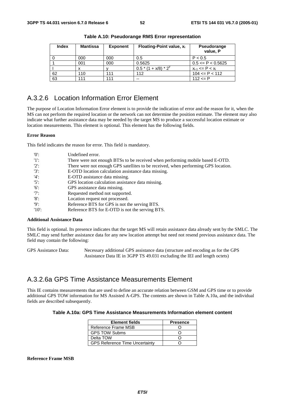| <b>Index</b> | Mantissa | <b>Exponent</b> | Floating-Point value, x <sub>i</sub> | <b>Pseudorange</b><br>value, P |
|--------------|----------|-----------------|--------------------------------------|--------------------------------|
|              | 000      | 000             | 0.5                                  | P < 0.5                        |
|              | 001      | 000             | 0.5625                               | $0.5 \leq P \leq 0.5625$       |
|              |          |                 | $0.5*(1 + x/8)*2^{y}$                | $x_{i-1}$ <= P < $x_i$         |
| 62           | 110      | 111             | 112                                  | $104 \leq P \leq 112$          |
| 63           | 111      | 111             | $- -$                                | $112 \le P$                    |

**Table A.10: Pseudorange RMS Error representation** 

### A.3.2.6 Location Information Error Element

The purpose of Location Information Error element is to provide the indication of error and the reason for it, when the MS can not perform the required location or the network can not determine the position estimate. The element may also indicate what further assistance data may be needed by the target MS to produce a successful location estimate or location measurements. This element is optional. This element has the following fields.

#### **Error Reason**

This field indicates the reason for error. This field is mandatory.

| '0'      | Undefined error.                                                                   |
|----------|------------------------------------------------------------------------------------|
| -'1':    | There were not enough BTSs to be received when performing mobile based E-OTD.      |
| $'2$ :   | There were not enough GPS satellites to be received, when performing GPS location. |
| $'3'$ :  | E-OTD location calculation assistance data missing.                                |
| $'4$ :   | E-OTD assistance data missing.                                                     |
| $'5$ :   | GPS location calculation assistance data missing.                                  |
| $'6$ :   | GPS assistance data missing.                                                       |
| $'7$ :   | Requested method not supported.                                                    |
| '8       | Location request not processed.                                                    |
| 'Q':     | Reference BTS for GPS is not the serving BTS.                                      |
| $'10'$ : | Reference BTS for E-OTD is not the serving BTS.                                    |

#### **Additional Assistance Data**

This field is optional. Its presence indicates that the target MS will retain assistance data already sent by the SMLC. The SMLC may send further assistance data for any new location attempt but need not resend previous assistance data. The field may contain the following:

GPS Assistance Data: Necessary additional GPS assistance data (structure and encoding as for the GPS Assistance Data IE in 3GPP TS 49.031 excluding the IEI and length octets)

### A.3.2.6a GPS Time Assistance Measurements Element

This IE contains measurements that are used to define an accurate relation between GSM and GPS time or to provide additional GPS TOW information for MS Assisted A-GPS. The contents are shown in Table A.10a, and the individual fields are described subsequently.

#### **Table A.10a: GPS Time Assistance Measurements Information element content**

| <b>Element fields</b>                 | <b>Presence</b> |
|---------------------------------------|-----------------|
| Reference Frame MSB                   |                 |
| <b>GPS TOW Subms</b>                  |                 |
| Delta TOW                             |                 |
| <b>GPS Reference Time Uncertainty</b> |                 |

#### **Reference Frame MSB**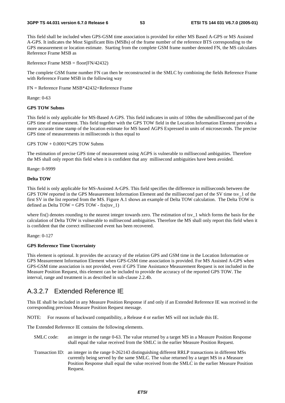#### **3GPP TS 44.031 version 6.7.0 Release 6 53 ETSI TS 144 031 V6.7.0 (2005-01)**

This field shall be included when GPS-GSM time association is provided for either MS Based A-GPS or MS Assisted A-GPS. It indicates the Most Significant Bits (MSBs) of the frame number of the reference BTS corresponding to the GPS measurement or location estimate. Starting from the complete GSM frame number denoted FN, the MS calculates Reference Frame MSB as

Reference Frame MSB = floor(FN/42432)

The complete GSM frame number FN can then be reconstructed in the SMLC by combining the fields Reference Frame with Reference Frame MSB in the following way

FN = Reference Frame MSB\*42432+Reference Frame

Range: 0-63

#### **GPS TOW Subms**

This field is only applicable for MS-Based A-GPS. This field indicates in units of 100ns the submillisecond part of the GPS time of measurement. This field together with the GPS TOW field in the Location Information Element provides a more accurate time stamp of the location estimate for MS based AGPS Expressed in units of microseconds. The precise GPS time of measurements in milliseconds is thus equal to

#### GPS TOW + 0.0001\*GPS TOW Subms

The estimation of precise GPS time of measurement using AGPS is vulnerable to millisecond ambiguities. Therefore the MS shall only report this field when it is confident that any millisecond ambiguities have been avoided.

Range: 0-9999

#### **Delta TOW**

This field is only applicable for MS-Assisted A-GPS. This field specifies the difference in milliseconds between the GPS TOW reported in the GPS Measurement Information Element and the millisecond part of the SV time tsv\_1 of the first SV in the list reported from the MS. Figure A.1 shows an example of Delta TOW calculation. The Delta TOW is defined as Delta  $TOW = GPS TOW - fix(tsv_1)$ 

where fix() denotes rounding to the nearest integer towards zero. The estimation of tsy  $\bar{1}$  which forms the basis for the calculation of Delta TOW is vulnerable to millisecond ambiguities. Therefore the MS shall only report this field when it is confident that the correct millisecond event has been recovered.

Range: 0-127

#### **GPS Reference Time Uncertainty**

This element is optional. It provides the accuracy of the relation GPS and GSM time in the Location Information or GPS Measurement Information Element when GPS-GSM time association is provided. For MS Assisted A-GPS when GPS-GSM time association is not provided, even if GPS Time Assistance Measurement Request is not included in the Measure Position Request, this element can be included to provide the accuracy of the reported GPS TOW. The interval, range and treatment is as described in sub-clause 2.2.4b.

### A.3.2.7 Extended Reference IE

This IE shall be included in any Measure Position Response if and only if an Extended Reference IE was received in the corresponding previous Measure Position Request message.

NOTE: For reasons of backward compatibility, a Release 4 or earlier MS will not include this IE.

The Extended Reference IE contains the following elements.

- SMLC code: an integer in the range 0-63. The value returned by a target MS in a Measure Position Response shall equal the value received from the SMLC in the earlier Measure Position Request.
- Transaction ID: an integer in the range 0-262143 distinguishing different RRLP transactions in different MSs currently being served by the same SMLC. The value returned by a target MS in a Measure Position Response shall equal the value received from the SMLC in the earlier Measure Position Request.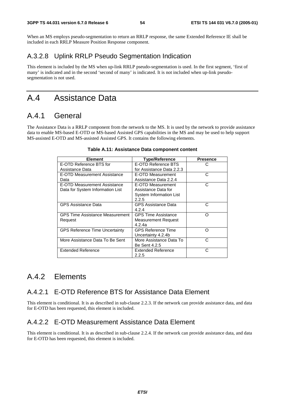When an MS employs pseudo-segmentation to return an RRLP response, the same Extended Reference IE shall be included in each RRLP Measure Position Response component.

## A.3.2.8 Uplink RRLP Pseudo Segmentation Indication

This element is included by the MS when up-link RRLP pseudo-segmentation is used. In the first segment, 'first of many' is indicated and in the second 'second of many' is indicated. It is not included when up-link pseudosegmentation is not used.

## A.4 Assistance Data

## A.4.1 General

The Assistance Data is a RRLP component from the network to the MS. It is used by the network to provide assistance data to enable MS-based E-OTD or MS-based Assisted GPS capabilities in the MS and may be used to help support MS-assisted E-OTD and MS-assisted Assisted GPS. It contains the following elements.

| <b>Element</b>                         | <b>Type/Reference</b>      | <b>Presence</b> |
|----------------------------------------|----------------------------|-----------------|
| E-OTD Reference BTS for                | E-OTD Reference BTS        | C               |
| Assistance Data                        | for Assistance Data 2.2.3  |                 |
| E-OTD Measurement Assistance           | E-OTD Measurement          | С               |
| Data                                   | Assistance Data 2.2.4      |                 |
| E-OTD Measurement Assistance           | E-OTD Measurement          | C               |
| Data for System Information List       | Assistance Data for        |                 |
|                                        | System Information List    |                 |
|                                        | 2.2.5                      |                 |
| <b>GPS Assistance Data</b>             | GPS Assistance Data        | С               |
|                                        | 4.2.4                      |                 |
| <b>GPS Time Assistance Measurement</b> | <b>GPS Time Assistance</b> | റ               |
| Request                                | Measurement Request        |                 |
|                                        | 4.2.4a                     |                 |
| <b>GPS Reference Time Uncertainty</b>  | <b>GPS Reference Time</b>  | ∩               |
|                                        | Uncertainty 4.2.4b         |                 |
| More Assistance Data To Be Sent        | More Assistance Data To    | C               |
|                                        | Be Sent 4.2.5              |                 |
| Extended Reference                     | Extended Reference         | С               |
|                                        | 2.2.5                      |                 |

|  | Table A.11: Assistance Data component content |  |  |  |
|--|-----------------------------------------------|--|--|--|
|--|-----------------------------------------------|--|--|--|

## A.4.2 Elements

## A.4.2.1 E-OTD Reference BTS for Assistance Data Element

This element is conditional. It is as described in sub-clause 2.2.3. If the network can provide assistance data, and data for E-OTD has been requested, this element is included.

### A.4.2.2 E-OTD Measurement Assistance Data Element

This element is conditional. It is as described in sub-clause 2.2.4. If the network can provide assistance data, and data for E-OTD has been requested, this element is included.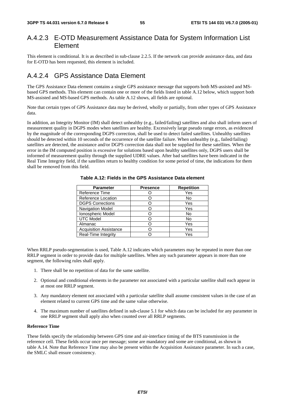### A.4.2.3 E-OTD Measurement Assistance Data for System Information List Element

This element is conditional. It is as described in sub-clause 2.2.5. If the network can provide assistance data, and data for E-OTD has been requested, this element is included.

### A.4.2.4 GPS Assistance Data Element

The GPS Assistance Data element contains a single GPS assistance message that supports both MS-assisted and MSbased GPS methods. This element can contain one or more of the fields listed in table A.12 below, which support both MS-assisted and MS-based GPS methods. As table A.12 shows, all fields are optional.

Note that certain types of GPS Assistance data may be derived, wholly or partially, from other types of GPS Assistance data.

In addition, an Integrity Monitor (IM) shall detect unhealthy (e.g., failed/failing) satellites and also shall inform users of measurement quality in DGPS modes when satellites are healthy. Excessively large pseudo range errors, as evidenced by the magnitude of the corresponding DGPS correction, shall be used to detect failed satellites. Unhealthy satellites should be detected within 10 seconds of the occurrence of the satellite failure. When unhealthy (e.g., failed/failing) satellites are detected, the assistance and/or DGPS correction data shall not be supplied for these satellites. When the error in the IM computed position is excessive for solutions based upon healthy satellites only, DGPS users shall be informed of measurement quality through the supplied UDRE values. After bad satellites have been indicated in the Real Time Integrity field, if the satellites return to healthy condition for some period of time, the indications for them shall be removed from this field.

| <b>Parameter</b>              | <b>Presence</b> | <b>Repetition</b> |
|-------------------------------|-----------------|-------------------|
| Reference Time                |                 | Yes               |
| Reference Location            |                 | No                |
| <b>DGPS Corrections</b>       |                 | Yes               |
| <b>Navigation Model</b>       |                 | Yes               |
| Ionospheric Model             |                 | No                |
| <b>UTC Model</b>              |                 | No                |
| Almanac                       |                 | Yes               |
| <b>Acquisition Assistance</b> |                 | Yes               |
| Real-Time Integrity           |                 | Yes               |

**Table A.12: Fields in the GPS Assistance Data element** 

When RRLP pseudo-segmentation is used, Table A.12 indicates which parameters may be repeated in more than one RRLP segment in order to provide data for multiple satellites. When any such parameter appears in more than one segment, the following rules shall apply.

- 1. There shall be no repetition of data for the same satellite.
- 2. Optional and conditional elements in the parameter not associated with a particular satellite shall each appear in at most one RRLP segment.
- 3. Any mandatory element not associated with a particular satellite shall assume consistent values in the case of an element related to current GPS time and the same value otherwise.
- 4. The maximum number of satellites defined in sub-clause 5.1 for which data can be included for any parameter in one RRLP segment shall apply also when counted over all RRLP segments.

#### **Reference Time**

These fields specify the relationship between GPS time and air-interface timing of the BTS transmission in the reference cell. These fields occur once per message; some are mandatory and some are conditional, as shown in table A.14. Note that Reference Time may also be present within the Acquisition Assistance parameter. In such a case, the SMLC shall ensure consistency.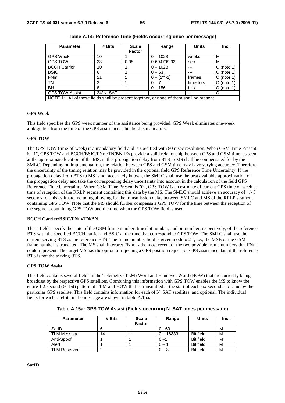| <b>Parameter</b>                                                                         | # Bits   | <b>Scale</b><br><b>Factor</b> | Range           | <b>Units</b> | Incl.        |
|------------------------------------------------------------------------------------------|----------|-------------------------------|-----------------|--------------|--------------|
| <b>GPS Week</b>                                                                          | 10       |                               | $0 - 1023$      | weeks        | M            |
| <b>GPS TOW</b>                                                                           | 23       | 0.08                          | 0-604799.92     | sec          | М            |
| <b>BCCH Carrier</b>                                                                      | 10       |                               | $0 - 1023$      |              | $O$ (note 1) |
| <b>BSIC</b>                                                                              | 6        |                               | $0 - 63$        |              | $O$ (note 1) |
| <b>FNm</b>                                                                               | 21       |                               | $0 - (221 - 1)$ | frames       | $O$ (note 1) |
| <b>TN</b>                                                                                | 3        |                               | $0 - 7$         | timeslots    | $O$ (note 1) |
| <b>BN</b>                                                                                | 8        |                               | $0 - 156$       | bits         | $O$ (note 1) |
| <b>GPS TOW Assist</b>                                                                    | 24*N_SAT | ---                           | ----            | ---          | Ω            |
| NOTE 1: All of these fields shall be present together, or none of them shall be present. |          |                               |                 |              |              |

**Table A.14: Reference Time (Fields occurring once per message)** 

#### **GPS Week**

This field specifies the GPS week number of the assistance being provided. GPS Week eliminates one-week ambiguities from the time of the GPS assistance. This field is mandatory.

#### **GPS TOW**

The GPS TOW (time-of-week) is a mandatory field and is specified with 80 msec resolution. When GSM Time Present is "1", GPS TOW and BCCH/BSIC/FNm/TN/BN IEs provide a valid relationship between GPS and GSM time, as seen at the approximate location of the MS, ie the propagation delay from BTS to MS shall be compensated for by the SMLC. Depending on implementation, the relation between GPS and GSM time may have varying accuracy. Therefore, the uncertainty of the timing relation may be provided in the optional field GPS Reference Time Uncertainty. If the propagation delay from BTS to MS is not accurately known, the SMLC shall use the best available approximation of the propagation delay and take the corresponding delay uncertainty into account in the calculation of the field GPS Reference Time Uncertainty. When GSM Time Present is "0", GPS TOW is an estimate of current GPS time of week at time of reception of the RRLP segment containing this data by the MS. The SMLC should achieve an accuracy of  $+/-3$ seconds for this estimate including allowing for the transmission delay between SMLC and MS of the RRLP segment containing GPS TOW. Note that the MS should further compensate GPS TOW for the time between the reception of the segment containing GPS TOW and the time when the GPS TOW field is used.

#### **BCCH Carrier/BSIC/FNm/TN/BN**

These fields specify the state of the GSM frame number, timeslot number, and bit number, respectively, of the reference BTS with the specified BCCH carrier and BSIC at the time that correspond to GPS TOW. The SMLC shall use the current serving BTS as the reference BTS. The frame number field is given modulo  $2^{21}$ , i.e., the MSB of the GSM frame number is truncated. The MS shall interpret FNm as the most recent of the two possible frame numbers that FNm could represent. The target MS has the option of rejecting a GPS position request or GPS assistance data if the reference BTS is not the serving BTS.

#### **GPS TOW Assist**

This field contains several fields in the Telemetry (TLM) Word and Handover Word (HOW) that are currently being broadcast by the respective GPS satellites. Combining this information with GPS TOW enables the MS to know the entire 1.2-second (60-bit) pattern of TLM and HOW that is transmitted at the start of each six-second subframe by the particular GPS satellite. This field contains information for each of N\_SAT satellites, and optional. The individual fields for each satellite in the message are shown in table A.15a.

| <b>Parameter</b>    | # Bits | <b>Scale</b><br><b>Factor</b> | Range       | <b>Units</b>     | Incl. |
|---------------------|--------|-------------------------------|-------------|------------------|-------|
| SatID               |        | ---                           | $0 - 63$    |                  | M     |
| TLM Message         | 14     | $---$                         | $0 - 16383$ | <b>Bit field</b> | м     |
| Anti-Spoof          |        |                               |             | <b>Bit field</b> | М     |
| Alert               |        |                               |             | <b>Bit field</b> | M     |
| <b>TLM Reserved</b> |        | $--$                          | - 3         | <b>Bit field</b> | M     |

**Table A.15a: GPS TOW Assist (Fields occurring N\_SAT times per message)** 

**SatID**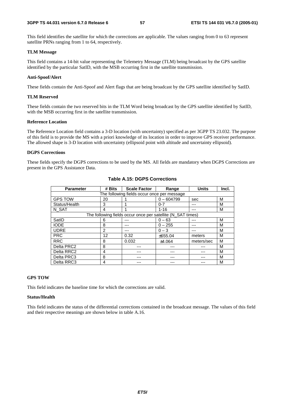This field identifies the satellite for which the corrections are applicable. The values ranging from 0 to 63 represent satellite PRNs ranging from 1 to 64, respectively.

#### **TLM Message**

This field contains a 14-bit value representing the Telemetry Message (TLM) being broadcast by the GPS satellite identified by the particular SatID, with the MSB occurring first in the satellite transmission.

#### **Anti-Spoof/Alert**

These fields contain the Anti-Spoof and Alert flags that are being broadcast by the GPS satellite identified by SatID.

#### **TLM Reserved**

These fields contain the two reserved bits in the TLM Word being broadcast by the GPS satellite identified by SatID, with the MSB occurring first in the satellite transmission.

#### **Reference Location**

The Reference Location field contains a 3-D location (with uncertainty) specified as per 3GPP TS 23.032. The purpose of this field is to provide the MS with a priori knowledge of its location in order to improve GPS receiver performance. The allowed shape is 3-D location with uncertainty (ellipsoid point with altitude and uncertainty ellipsoid).

#### **DGPS Corrections**

These fields specify the DGPS corrections to be used by the MS. All fields are mandatory when DGPS Corrections are present in the GPS Assistance Data.

| <b>Parameter</b>                            | # Bits        | <b>Scale Factor</b>                                         | Range        | <b>Units</b> | Incl. |  |  |
|---------------------------------------------|---------------|-------------------------------------------------------------|--------------|--------------|-------|--|--|
| The following fields occur once per message |               |                                                             |              |              |       |  |  |
| <b>GPS TOW</b>                              | 20            |                                                             | $0 - 604799$ | sec          | М     |  |  |
| Status/Health                               | 3             |                                                             | $0 - 7$      | ---          | М     |  |  |
| N SAT                                       | 4             | и                                                           | $1 - 16$     |              | М     |  |  |
|                                             |               | The following fields occur once per satellite (N_SAT times) |              |              |       |  |  |
| SatID                                       | 6             |                                                             | $0 - 63$     |              | М     |  |  |
| <b>IODE</b>                                 | 8             | ---                                                         | $0 - 255$    | ---          | М     |  |  |
| <b>UDRE</b>                                 | $\mathcal{P}$ | ---                                                         | $0 - 3$      | ---          | М     |  |  |
| <b>PRC</b>                                  | 12            | 0.32                                                        | ±655.04      | meters       | М     |  |  |
| <b>RRC</b>                                  | 8             | 0.032                                                       | ±4.064       | meters/sec   | М     |  |  |
| Delta PRC2                                  | 8             |                                                             |              |              | М     |  |  |
| Delta RRC2                                  | 4             |                                                             |              |              | М     |  |  |
| Delta PRC3                                  | 8             |                                                             |              |              | М     |  |  |
| Delta RRC3                                  | 4             |                                                             |              |              | М     |  |  |

#### **Table A.15: DGPS Corrections**

#### **GPS TOW**

This field indicates the baseline time for which the corrections are valid.

#### **Status/Health**

This field indicates the status of the differential corrections contained in the broadcast message. The values of this field and their respective meanings are shown below in table A.16.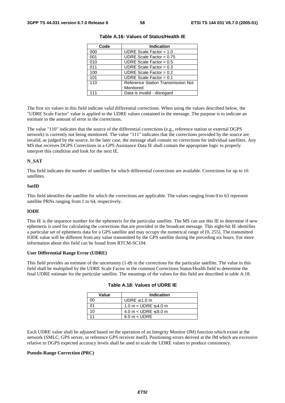| Code | <b>Indication</b>                  |
|------|------------------------------------|
| 000  | UDRE Scale Factor = $1.0$          |
| 001  | UDRE Scale Factor = $0.75$         |
| 010  | UDRE Scale Factor = $0.5$          |
| 011  | UDRE Scale Factor = $0.3$          |
| 100  | UDRE Scale Factor = $0.2$          |
| 101  | UDRE Scale Factor = $0.1$          |
| 110  | Reference Station Transmission Not |
|      | Monitored                          |
| 111  | Data is invalid - disregard        |

**Table A.16: Values of Status/Health IE** 

The first six values in this field indicate valid differential corrections. When using the values described below, the "UDRE Scale Factor" value is applied to the UDRE values contained in the message. The purpose is to indicate an estimate in the amount of error in the corrections.

The value "110" indicates that the source of the differential corrections (e.g., reference station or external DGPS network) is currently not being monitored. The value "111" indicates that the corrections provided by the source are invalid, as judged by the source. In the later case, the message shall contain no corrections for individual satellites. Any MS that receives DGPS Corrections in a GPS Assistance Data IE shall contain the appropriate logic to properly interpret this condition and look for the next IE.

#### **N\_SAT**

This field indicates the number of satellites for which differential corrections are available. Corrections for up to 16 satellites.

#### **SatID**

This field identifies the satellite for which the corrections are applicable. The values ranging from 0 to 63 represent satellite PRNs ranging from 1 to 64, respectively.

#### **IODE**

This IE is the sequence number for the ephemeris for the particular satellite. The MS can use this IE to determine if new ephemeris is used for calculating the corrections that are provided in the broadcast message. This eight-bit IE identifies a particular set of ephemeris data for a GPS satellite and may occupy the numerical range of [0, 255]. The transmitted IODE value will be different from any value transmitted by the GPS satellite during the preceding six hours. For more information about this field can be found from RTCM-SC104.

#### **User Differential Range Error (UDRE)**

This field provides an estimate of the uncertainty  $(1-\sigma)$  in the corrections for the particular satellite. The value in this field shall be multiplied by the UDRE Scale Factor in the common Corrections Status/Health field to determine the final UDRE estimate for the particular satellite. The meanings of the values for this field are described in table A.18.

| Value | <b>Indication</b>             |
|-------|-------------------------------|
|       | UDRE $\leq 1.0$ m             |
|       | 1.0 m $<$ UDRE $\leq$ 4.0 m   |
| 10    | 4.0 m $<$ UDRE $\leq$ 8.0 m   |
|       | $8.0 \text{ m} < \text{UDRE}$ |

|  |  |  |  | Table A.18: Values of UDRE IE |
|--|--|--|--|-------------------------------|
|--|--|--|--|-------------------------------|

Each UDRE value shall be adjusted based on the operation of an Integrity Monitor (IM) function which exists at the network (SMLC, GPS server, or reference GPS receiver itself). Positioning errors derived at the IM which are excessive relative to DGPS expected accuracy levels shall be used to scale the UDRE values to produce consistency.

#### **Pseudo-Range Correction (PRC)**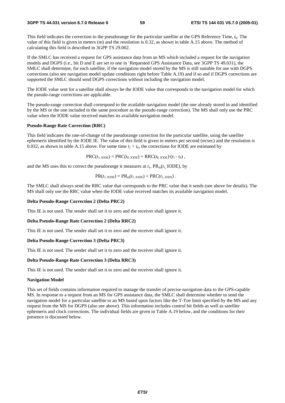#### **3GPP TS 44.031 version 6.7.0 Release 6 59 ETSI TS 144 031 V6.7.0 (2005-01)**

This field indicates the correction to the pseudorange for the particular satellite at the GPS Reference Time,  $t_0$ . The value of this field is given in meters (m) and the resolution is 0.32, as shown in table A.15 above. The method of calculating this field is described in 3GPP TS 29.002.

If the SMLC has received a request for GPS assistance data from an MS which included a request for the navigation models and DGPS (i.e., bit D and E are set to one in 'Requested GPS Assistance Data, see 3GPP TS 49.031), the SMLC shall determine, for each satellite, if the navigation model stored by the MS is still suitable for use with DGPS corrections (also see navigation model update conditions right before Table A.19) and if so and if DGPS corrections are supported the SMLC should send DGPS corrections without including the navigation model.

The IODE value sent for a satellite shall always be the IODE value that corresponds to the navigation model for which the pseudo-range corrections are applicable.

The pseudo-range correction shall correspond to the available navigation model (the one already stored in and identified by the MS or the one included in the same procedure as the pseudo-range correction). The MS shall only use the PRC value when the IODE value received matches its available navigation model.

#### **Pseudo-Range Rate Correction (RRC)**

This field indicates the rate-of-change of the pseudorange correction for the particular satellite, using the satellite ephemeris identified by the IODE IE. The value of this field is given in meters per second (m/sec) and the resolution is 0.032, as shown in table A.15 above. For some time  $t_1 > t_0$ , the corrections for IODE are estimated by

 $PRC(t_{1,\text{IODE}}) = PRC(t_{0,\text{IODE}}) + RRC(t_{0,\text{IODE}}) \cdot (t_1 - t_0)$ ,

and the MS uses this to correct the pseudorange it measures at  $t_1$ ,  $PR_m(t_1 \text{ IODE})$ , by

$$
PR(t_{1,\text{IODE}}) = PR_{m}(t_{1,\text{IODE}}) + PRC(t_{1,\text{IODE}}).
$$

The SMLC shall always send the RRC value that corresponds to the PRC value that it sends (see above for details). The MS shall only use the RRC value when the IODE value received matches its available navigation model.

#### **Delta Pseudo-Range Correction 2 (Delta PRC2)**

This IE is not used. The sender shall set it to zero and the receiver shall ignore it.

#### **Delta Pseudo-Range Rate Correction 2 (Delta RRC2)**

This IE is not used. The sender shall set it to zero and the receiver shall ignore it.

#### **Delta Pseudo-Range Correction 3 (Delta PRC3)**

This IE is not used. The sender shall set it to zero and the receiver shall ignore it.

#### **Delta Pseudo-Range Rate Correction 3 (Delta RRC3)**

This IE is not used. The sender shall set it to zero and the receiver shall ignore it.

#### **Navigation Model**

This set of fields contains information required to manage the transfer of precise navigation data to the GPS-capable MS. In response to a request from an MS for GPS assistance data, the SMLC shall determine whether to send the navigation model for a particular satellite to an MS based upon factors like the T-Toe limit specified by the MS and any request from the MS for DGPS (also see above). This information includes control bit fields as well as satellite ephemeris and clock corrections. The individual fields are given in Table A.19 below, and the conditions for their presence is discussed below.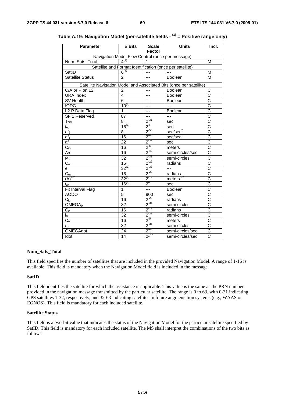| <b>Parameter</b>                                 | # Bits          | <b>Scale</b><br><b>Factor</b> | <b>Units</b>                                                        | Incl.                 |  |  |  |
|--------------------------------------------------|-----------------|-------------------------------|---------------------------------------------------------------------|-----------------------|--|--|--|
| Navigation Model Flow Control (once per message) |                 |                               |                                                                     |                       |  |  |  |
| Num_Sats_Total                                   | $4^{(1)}$       |                               | $-$                                                                 | M                     |  |  |  |
|                                                  |                 |                               | Satellite and Format Identification (once per satellite)            |                       |  |  |  |
| SatID                                            | $6^{(1)}$       | ---                           |                                                                     | M                     |  |  |  |
| <b>Satellite Status</b>                          | 2               | $---$                         | Boolean                                                             | M                     |  |  |  |
|                                                  |                 |                               | Satellite Navigation Model and Associated Bits (once per satellite) |                       |  |  |  |
| C/A or P on L2                                   | $\overline{2}$  | ---                           | Boolean                                                             | C                     |  |  |  |
| <b>URA Index</b>                                 | 4               | $\overline{a}$                | Boolean                                                             | $\overline{\text{c}}$ |  |  |  |
| SV Health                                        | 6               | ---                           | Boolean                                                             | $\overline{\rm c}$    |  |  |  |
| <b>IODC</b>                                      | $10^{(1)}$      | ---                           | $---$                                                               | $\overline{\text{c}}$ |  |  |  |
| L <sub>2</sub> P Data Flag                       | 1               | ---                           | Boolean                                                             | $\overline{\text{c}}$ |  |  |  |
| SF 1 Reserved                                    | 87              | ---                           | ---                                                                 | $\overline{\text{c}}$ |  |  |  |
| $T_{GD}$                                         | 8               | $\frac{2^{31}}{2^4}$          | sec                                                                 | $\overline{\text{c}}$ |  |  |  |
| $t_{\text{o$                                     | $16^{(1)}$      |                               | sec                                                                 | $\overline{c}$        |  |  |  |
| af <sub>2</sub>                                  | 8               | $\frac{1}{2}$ -55             | sec/sec <sup>2</sup>                                                | $\overline{\text{c}}$ |  |  |  |
| af <sub>1</sub>                                  | 16              | $2^{-43}$                     | sec/sec                                                             | $\overline{\text{c}}$ |  |  |  |
| af <sub>0</sub>                                  | 22              | $2^{-31}$                     | sec                                                                 | $\overline{\text{c}}$ |  |  |  |
| $\overline{C_{rs}}$                              | 16              | $\frac{2}{2}$ <sup>5</sup>    | meters                                                              | $\overline{\text{c}}$ |  |  |  |
| $\Delta n$                                       | 16              | $\frac{1}{2}$ <sup>-43</sup>  | semi-circles/sec                                                    | $\overline{\text{c}}$ |  |  |  |
| $M_0$                                            | 32              | $2^{-31}$                     | semi-circles                                                        | $\overline{\text{c}}$ |  |  |  |
| $\overline{C_{\text{uc}}}$                       | 16              | $\frac{1}{2}$ <sup>-29</sup>  | radians                                                             | $\overline{\text{c}}$ |  |  |  |
| е                                                | $32^{(1)}$      | $2^{-33}$                     | $\overline{a}$                                                      | $\overline{\text{c}}$ |  |  |  |
|                                                  | 16              | $2^{-29}$                     | radians                                                             | $\overline{\text{c}}$ |  |  |  |
| $\frac{C_{us}}{(A)^{1/2}}$                       | $32^{(1)}$      | $2^{-19}$                     | $meters$ <sup><math>1/2</math></sup>                                | $\overline{\text{c}}$ |  |  |  |
| $t_{oe}$                                         | $16^{(1)}$      | 2 <sup>4</sup>                | sec                                                                 | $\overline{\text{c}}$ |  |  |  |
| Fit Interval Flag                                | $\overline{1}$  | $\overline{a}$                | Boolean                                                             | $\overline{\text{c}}$ |  |  |  |
| <b>AODO</b>                                      | $\overline{5}$  | 900                           | sec                                                                 | $\overline{\text{c}}$ |  |  |  |
| $C_{ic}$                                         | 16              | $2^{-29}$                     | radians                                                             | $\overline{\text{c}}$ |  |  |  |
| OMEGA <sub>0</sub>                               | $\overline{32}$ | $2^{31}$                      | semi-circles                                                        | $\overline{\text{c}}$ |  |  |  |
| $\overline{C}_{\underline{\text{is}}}$           | 16              | $2^{-29}$                     | radians                                                             | $\overline{\text{c}}$ |  |  |  |
| io                                               | $\overline{32}$ | $2^{-31}$                     | semi-circles                                                        | $\overline{C}$        |  |  |  |
| $C_{\underline{\text{rc}}}$                      | 16              | $2^{5}$                       | meters                                                              | $\overline{\text{c}}$ |  |  |  |
| $\omega$                                         | $\overline{32}$ | $2^{-31}$                     | semi-circles                                                        | $\overline{\text{c}}$ |  |  |  |
| <b>OMEGAdot</b>                                  | 24              | $2^{-43}$                     | semi-circles/sec                                                    | C                     |  |  |  |
| Idot                                             | 14              | $2^{-43}$                     | semi-circles/sec                                                    | $\overline{\text{c}}$ |  |  |  |

## **Table A.19: Navigation Model (per-satellite fields - (1) = Positive range only)**

#### **Num\_Sats\_Total**

This field specifies the number of satellites that are included in the provided Navigation Model. A range of 1-16 is available. This field is mandatory when the Navigation Model field is included in the message.

#### **SatID**

This field identifies the satellite for which the assistance is applicable. This value is the same as the PRN number provided in the navigation message transmitted by the particular satellite. The range is 0 to 63, with 0-31 indicating GPS satellites 1-32, respectively, and 32-63 indicating satellites in future augmentation systems (e.g., WAAS or EGNOS). This field is mandatory for each included satellite.

#### **Satellite Status**

This field is a two-bit value that indicates the status of the Navigation Model for the particular satellite specified by SatID. This field is mandatory for each included satellite. The MS shall interpret the combinations of the two bits as follows.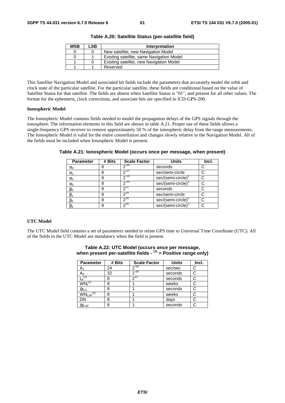| <b>MSB</b> | LSB | Interpretation                            |  |
|------------|-----|-------------------------------------------|--|
|            |     | New satellite, new Navigation Model       |  |
|            |     | Existing satellite, same Navigation Model |  |
|            |     | Existing satellite, new Navigation Model  |  |
|            |     | Reserved                                  |  |

**Table A.20: Satellite Status (per-satellite field)** 

This Satellite Navigation Model and associated bit fields include the parameters that accurately model the orbit and clock state of the particular satellite. For the particular satellite, these fields are conditional based on the value of Satellite Status for that satellite. The fields are absent when Satellite Status is "01", and present for all other values. The format for the ephemeris, clock corrections, and associate bits are specified in ICD-GPS-200.

#### **Ionospheric Model**

The Ionospheric Model contains fields needed to model the propagation delays of the GPS signals through the ionosphere. The information elements in this field are shown in table A.21. Proper use of these fields allows a single-frequency GPS receiver to remove approximately 50 % of the ionospheric delay from the range measurements. The Ionospheric Model is valid for the entire constellation and changes slowly relative to the Navigation Model. All of the fields must be included when Ionospheric Model is present.

| <b>Parameter</b> | # Bits | <b>Scale Factor</b> | <b>Units</b>                   | Incl. |
|------------------|--------|---------------------|--------------------------------|-------|
| $\alpha_0$       |        | $2^{-30}$           | seconds                        |       |
| $\alpha_1$       |        | $2^{27}$            | sec/semi-circle                |       |
| $\alpha_2$       |        | $2^{24}$            | sec/(semi-circle) <sup>4</sup> |       |
| $\alpha_3$       |        | $2^{-24}$           | sec/(semi-circle) <sup>®</sup> |       |
| $\beta_0$        |        |                     | seconds                        |       |
| $\beta_1$        | 8      | $2^{14}$            | sec/semi-circle                |       |
| $\beta_2$        | 8      | $7^{16}$            | $sec/(semi-circle)^2$          |       |
| $\beta_3$        |        | $2^{16}$            | $sec/(semi-circle)3$           |       |

**Table A.21: Ionospheric Model (occurs once per message, when present)** 

#### **UTC Model**

The UTC Model field contains a set of parameters needed to relate GPS time to Universal Time Coordinate (UTC). All of the fields in the UTC Model are mandatory when the field is present.

| <b>Parameter</b>          | # Bits | <b>Scale Factor</b> | <b>Units</b> | Incl. |
|---------------------------|--------|---------------------|--------------|-------|
| $A_1$                     | 24     | $2^{-50}$           | sec/sec      | C     |
| A <sub>0</sub>            | 32     | $2^{-30}$           | seconds      | C     |
| $t_{ot}$ <sup>(1)</sup>   | 8      | $2^{12}$            | seconds      | C     |
| $WN_t^{(1)}$              | 8      |                     | weeks        |       |
| $\Delta t_{LS}$           | 8      |                     | seconds      |       |
| $WN_{LSF}$ <sup>(1)</sup> | 8      |                     | weeks        |       |
| DN                        | 8      |                     | days         |       |
| $\Delta t_{\text{LSF}}$   | 8      |                     | seconds      |       |

#### **Table A.22: UTC Model (occurs once per message, when present per-satellite fields - (1) = Positive range only)**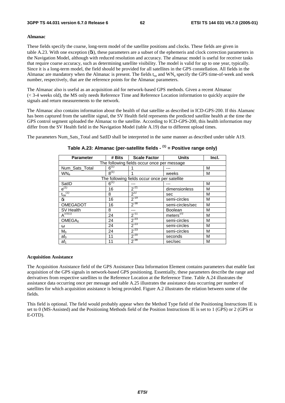#### **Almanac**

These fields specify the coarse, long-term model of the satellite positions and clocks. These fields are given in table A.23. With one exception (δi), these parameters are a subset of the ephemeris and clock correction parameters in the Navigation Model, although with reduced resolution and accuracy. The almanac model is useful for receiver tasks that require coarse accuracy, such as determining satellite visibility. The model is valid for up to one year, typically. Since it is a long-term model, the field should be provided for all satellites in the GPS constellation. All fields in the Almanac are mandatory when the Almanac is present. The fields  $t_{oa}$  and  $WN_a$  specify the GPS time-of-week and week number, respectively, that are the reference points for the Almanac parameters.

The Almanac also is useful as an acquisition aid for network-based GPS methods. Given a recent Almanac (< 3-4 weeks old), the MS only needs Reference Time and Reference Location information to quickly acquire the signals and return measurements to the network.

The Almanac also contains information about the health of that satellite as described in ICD-GPS-200. If this Alamanc has been captured from the satellite signal, the SV Health field represents the predicted satellite health at the time the GPS control segment uploaded the Almanac to the satellite. According to ICD-GPS-200, this health information may differ from the SV Health field in the Navigation Model (table A.19) due to different upload times.

The parameters Num Sats Total and SatID shall be interpreted in the same manner as described under table A19.

| <b>Parameter</b>                            | # Bits    | <b>Scale Factor</b>                           | <b>Units</b>     | Incl. |  |  |
|---------------------------------------------|-----------|-----------------------------------------------|------------------|-------|--|--|
| The following fields occur once per message |           |                                               |                  |       |  |  |
| Num_Sats_Total                              | $6^{(1)}$ |                                               |                  | M     |  |  |
| WN <sub>a</sub>                             | $8^{(1)}$ |                                               | weeks            | М     |  |  |
|                                             |           | The following fields occur once per satellite |                  |       |  |  |
| SatID                                       | $6^{(1)}$ |                                               |                  | M     |  |  |
| $e^{(1)}$                                   | 16        | $2^{-21}$                                     | dimensionless    | M     |  |  |
| $\mathfrak{t}_{\text{oa}}^{(1)}$            | 8         | $2^{12}$                                      | sec              | M     |  |  |
| δi                                          | 16        | $2^{-19}$                                     | semi-circles     | M     |  |  |
| <b>OMEGADOT</b>                             | 16        | $2^{-38}$                                     | semi-circles/sec | M     |  |  |
| SV Health                                   | 8         |                                               | <b>Boolean</b>   | M     |  |  |
| $A^{1/2(1)}$                                | 24        | $2^{-11}$                                     | meters $^{1/2}$  | М     |  |  |
| OMEGA <sub>0</sub>                          | 24        | $2^{-23}$                                     | semi-circles     | М     |  |  |
| ω                                           | 24        | $2^{-23}$                                     | semi-circles     | M     |  |  |
| $M_0$                                       | 24        | $2^{-23}$                                     | semi-circles     | M     |  |  |
| af <sub>0</sub>                             | 11        | $2^{-20}$                                     | seconds          | M     |  |  |
| af <sub>1</sub>                             | 11        | $2^{-38}$                                     | sec/sec          | M     |  |  |

#### **Table A.23: Almanac (per-satellite fields - (1) = Positive range only)**

#### **Acquisition Assistance**

The Acquisition Assistance field of the GPS Assistance Data Information Element contains parameters that enable fast acquisition of the GPS signals in network-based GPS positioning. Essentially, these parameters describe the range and derivatives from respective satellites to the Reference Location at the Reference Time. Table A.24 illustrates the assistance data occurring once per message and table A.25 illustrates the assistance data occurring per number of satellites for which acquisition assistance is being provided. Figure A.2 illustrates the relation between some of the fields.

This field is optional. The field would probably appear when the Method Type field of the Positioning Instructions IE is set to 0 (MS-Assisted) and the Positioning Methods field of the Position Instructions IE is set to 1 (GPS) or 2 (GPS or E-OTD).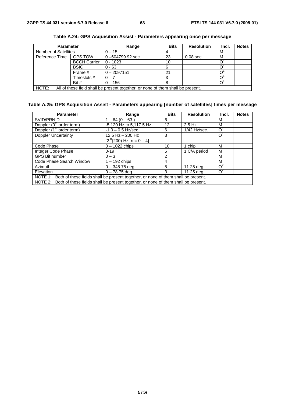| <b>Parameter</b>                                                                         |                     | Range               | <b>Bits</b> | <b>Resolution</b> | Incl. | <b>Notes</b> |
|------------------------------------------------------------------------------------------|---------------------|---------------------|-------------|-------------------|-------|--------------|
| <b>Number of Satellites</b>                                                              |                     | $0 - 15$            |             |                   | M     |              |
| Reference Time                                                                           | <b>GPS TOW</b>      | $0 - 604799.92$ sec | 23          | $0.08$ sec        | M     |              |
|                                                                                          | <b>BCCH Carrier</b> | $0 - 1023$          | 10          |                   |       |              |
|                                                                                          | <b>BSIC</b>         | $0 - 63$            | 6           |                   |       |              |
|                                                                                          | Frame #             | $0 - 2097151$       | 21          |                   |       |              |
|                                                                                          | Timeslots #         | $0 - 7$             |             |                   |       |              |
|                                                                                          | Bit #               | $0 - 156$           |             |                   |       |              |
| NOTE:<br>All of these field shall be present together, or none of them shall be present. |                     |                     |             |                   |       |              |

**Table A.24: GPS Acquisition Assist - Parameters appearing once per message** 

### **Table A.25: GPS Acquisition Assist - Parameters appearing [number of satellites] times per message**

| <b>Parameter</b>                                                                          | Range                                      | <b>Bits</b> | <b>Resolution</b> | Incl. | <b>Notes</b> |
|-------------------------------------------------------------------------------------------|--------------------------------------------|-------------|-------------------|-------|--------------|
| SVID/PRNID                                                                                | $1 - 64(0 - 63)$                           | 6           |                   | м     |              |
| Doppler (0 <sup>th</sup> order term)                                                      | -5,120 Hz to 5,117.5 Hz                    | 12          | $2.5$ Hz          | M     |              |
| Doppler (1 <sup>st</sup> order term)                                                      | $-1.0 - 0.5$ Hz/sec.                       | 6           | $1/42$ Hz/sec.    | O     |              |
| <b>Doppler Uncertainty</b>                                                                | 12.5 Hz $-$ 200 Hz                         | 3           |                   | O     |              |
|                                                                                           | $[2^{n}(200)$ Hz, n = 0 - 4]               |             |                   |       |              |
| Code Phase                                                                                | $0 - 1022$ chips<br>10                     |             | 1 chip            | M     |              |
| Integer Code Phase                                                                        | $0 - 19$                                   | 5           | 1 C/A period      | M     |              |
| <b>GPS Bit number</b>                                                                     | $0 - 3$                                    | 2           |                   | м     |              |
| Code Phase Search Window                                                                  | $1 - 192$ chips                            | 4           |                   | M     |              |
| Azimuth                                                                                   | $0 - 348.75$ deg                           | 5           | 11.25 deg         | $O^2$ |              |
| Elevation                                                                                 | $O^2$<br>$0 - 78.75$ deg<br>11.25 dea<br>3 |             |                   |       |              |
| NOTE 1: Both of these fields shall be present together, or none of them shall be present. |                                            |             |                   |       |              |
| NOTE 2: Both of these fields shall be present together, or none of them shall be present. |                                            |             |                   |       |              |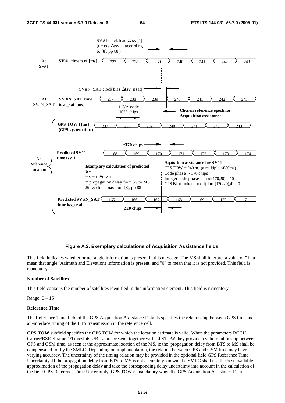

#### **Figure A.2. Exemplary calculations of Acquisition Assistance fields.**

This field indicates whether or not angle information is present in this message. The MS shall interpret a value of "1" to mean that angle (Azimuth and Elevation) information is present, and "0" to mean that it is not provided. This field is mandatory.

#### **Number of Satellites**

This field contains the number of satellites identified in this information element. This field is mandatory.

Range: 0 – 15

#### **Reference Time**

The Reference Time field of the GPS Acquisition Assistance Data IE specifies the relationship between GPS time and air-interface timing of the BTS transmission in the reference cell.

**GPS TOW** subfield specifies the GPS TOW for which the location estimate is valid. When the parameters BCCH Carrier/BSIC/Frame #/Timeslots #/Bit # are present, together with GPSTOW they provide a valid relationship between GPS and GSM time, as seen at the approximate location of the MS, ie the propagation delay from BTS to MS shall be compensated for by the SMLC. Depending on implementation, the relation between GPS and GSM time may have varying accuracy. The uncertainty of the timing relation may be provided in the optional field GPS Reference Time Uncertainty. If the propagation delay from BTS to MS is not accurately known, the SMLC shall use the best available approximation of the propagation delay and take the corresponding delay uncertainty into account in the calculation of the field GPS Reference Time Uncertainty. GPS TOW is mandatory when the GPS Acquisition Assistance Data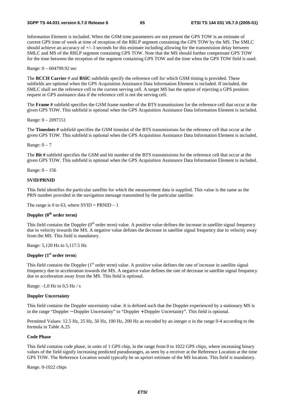Information Element is included. When the GSM time parameters are not present the GPS TOW is an estimate of current GPS time of week at time of reception of the RRLP segment containing the GPS TOW by the MS. The SMLC should achieve an accuracy of +/- 3 seconds for this estimate including allowing for the transmission delay between SMLC and MS of the RRLP segment containing GPS TOW. Note that the MS should further compensate GPS TOW for the time between the reception of the segment containing GPS TOW and the time when the GPS TOW field is used.

Range: 0 – 604799.92 sec

The **BCCH Carrier** # and **BSIC** subfields specify the reference cell for which GSM timing is provided. These subfields are optional when the GPS Acquisition Assistance Data Information Element is included. If included, the SMLC shall set the reference cell to the current serving cell. A target MS has the option of rejecting a GPS position request or GPS assistance data if the reference cell is not the serving cell.

The **Frame #** subfield specifies the GSM frame number of the BTS transmissions for the reference cell that occur at the given GPS TOW. This subfield is optional when the GPS Acquisition Assistance Data Information Element is included.

Range: 0 – 2097151

The **Timeslots #** subfield specifies the GSM timeslot of the BTS transmissions for the reference cell that occur at the given GPS TOW. This subfield is optional when the GPS Acquisition Assistance Data Information Element is included.

Range:  $0 - 7$ 

The **Bit #** subfield specifies the GSM and bit number of the BTS transmissions for the reference cell that occur at the given GPS TOW. This subfield is optional when the GPS Acquisition Assistance Data Information Element is included.

Range: 0 – 156

#### **SVID/PRNID**

This field identifies the particular satellite for which the measurement data is supplied. This value is the same as the PRN number provided in the navigation message transmitted by the particular satellite.

The range is 0 to 63, where  $SVID = PRNID - 1$ 

#### **Doppler (0th order term)**

This field contains the Doppler  $(0<sup>th</sup>$  order term) value. A positive value defines the increase in satellite signal frequency due to velocity towards the MS. A negative value defines the decrease in satellite signal frequency due to velocity away from the MS. This field is mandatory.

Range: 5,120 Hz to 5,117.5 Hz

#### **Doppler (1st order term**)

This field contains the Doppler  $(1<sup>st</sup>$  order term) value. A positive value defines the rate of increase in satellite signal frequency due to acceleration towards the MS. A negative value defines the rate of decrease in satellite signal frequency due to acceleration away from the MS. This field is optional.

Range: -1,0 Hz to 0,5 Hz / s

#### **Doppler Uncertainty**

This field contains the Doppler uncertainty value. It is defined such that the Doppler experienced by a stationary MS is in the range "Doppler − Doppler Uncertainty" to "Doppler + Doppler Uncertainty". This field is optional.

Permitted Values: 12.5 Hz, 25 Hz, 50 Hz, 100 Hz, 200 Hz as encoded by an integer n in the range 0-4 according to the formula in Table A.25

#### **Code Phase**

This field contains code phase, in units of 1 GPS chip, in the range from 0 to 1022 GPS chips, where increasing binary values of the field signify increasing predicted pseudoranges, as seen by a receiver at the Reference Location at the time GPS TOW. The Reference Location would typically be an apriori estimate of the MS location. This field is mandatory.

Range. 0-1022 chips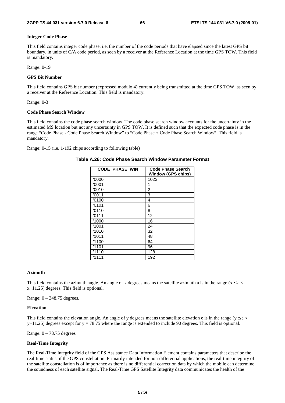#### **Integer Code Phase**

This field contains integer code phase, i.e. the number of the code periods that have elapsed since the latest GPS bit boundary, in units of C/A code period, as seen by a receiver at the Reference Location at the time GPS TOW. This field is mandatory.

Range: 0-19

#### **GPS Bit Number**

This field contains GPS bit number (expressed modulo 4) currently being transmitted at the time GPS TOW, as seen by a receiver at the Reference Location. This field is mandatory.

Range: 0-3

#### **Code Phase Search Window**

This field contains the code phase search window. The code phase search window accounts for the uncertainty in the estimated MS location but not any uncertainty in GPS TOW. It is defined such that the expected code phase is in the range "Code Phase - Code Phase Search Window" to "Code Phase + Code Phase Search Window". This field is mandatory.

Range: 0-15 (i.e. 1-192 chips according to following table)

| <b>CODE PHASE WIN</b> | Code Phase Search<br><b>Window (GPS chips)</b> |
|-----------------------|------------------------------------------------|
| '0000'                | 1023                                           |
| '0001'                | 1                                              |
| '0010'                | 2                                              |
| '0011'                | 3                                              |
| '0100'                | 4                                              |
| '0101'                | 6                                              |
| '0110'                | 8                                              |
| '0111'                | 12                                             |
| '1000'                | 16                                             |
| '1001'                | 24                                             |
| '1010'                | 32                                             |
| '1011'                | 48                                             |
| '1100'                | 64                                             |
| '1101'                | 96                                             |
| '1110'                | 128                                            |
| '1111'                | 192                                            |

#### **Table A.26: Code Phase Search Window Parameter Format**

#### **Azimuth**

This field contains the azimuth angle. An angle of x degrees means the satellite azimuth a is in the range ( $x \le a$ x+11.25) degrees. This field is optional.

Range: 0 – 348.75 degrees.

#### **Elevation**

This field contains the elevation angle. An angle of y degrees means the satellite elevation e is in the range ( $y \le e$  $y+11.25$ ) degrees except for  $y = 78.75$  where the range is extended to include 90 degrees. This field is optional.

Range:  $0 - 78.75$  degrees

#### **Real-Time Integrity**

The Real-Time Integrity field of the GPS Assistance Data Information Element contains parameters that describe the real-time status of the GPS constellation. Primarily intended for non-differential applications, the real-time integrity of the satellite constellation is of importance as there is no differential correction data by which the mobile can determine the soundness of each satellite signal. The Real-Time GPS Satellite Integrity data communicates the health of the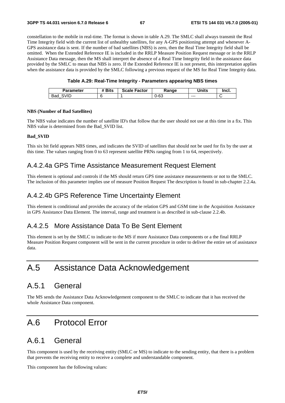constellation to the mobile in real-time. The format is shown in table A.29. The SMLC shall always transmit the Real Time Integrity field with the current list of unhealthy satellites, for any A-GPS positioning attempt and whenever A-GPS assistance data is sent. If the number of bad satellites (NBS) is zero, then the Real Time Integrity field shall be omitted. When the Extended Reference IE is included in the RRLP Measure Position Request message or in the RRLP Assistance Data message, then the MS shall interpret the absence of a Real Time Integrity field in the assistance data provided by the SMLC to mean that NBS is zero. If the Extended Reference IE is not present, this interpretation applies when the assistance data is provided by the SMLC following a previous request of the MS for Real Time Integrity data.

#### **Table A.29: Real-Time Integrity - Parameters appearing NBS times**

| Parameter   | <sup>+</sup> Bits | <b>Scale Factor</b> | Range | Units   | Incl. |
|-------------|-------------------|---------------------|-------|---------|-------|
| SVID<br>Bad |                   |                     | 0-63  | $- - -$ | ∼     |

#### **NBS (Number of Bad Satellites)**

The NBS value indicates the number of satellite ID's that follow that the user should not use at this time in a fix. This NBS value is determined from the Bad\_SVID list.

#### **Bad\_SVID**

This six bit field appears NBS times, and indicates the SVID of satellites that should not be used for fix by the user at this time. The values ranging from 0 to 63 represent satellite PRNs ranging from 1 to 64, respectively.

### A.4.2.4a GPS Time Assistance Measurement Request Element

This element is optional and controls if the MS should return GPS time assistance measurements or not to the SMLC. The inclusion of this parameter implies use of measure Position Request The description is found in sub-chapter 2.2.4a.

### A.4.2.4b GPS Reference Time Uncertainty Element

This element is conditional and provides the accuracy of the relation GPS and GSM time in the Acquisition Assistance in GPS Assistance Data Element. The interval, range and treatment is as described in sub-clause 2.2.4b.

### A.4.2.5 More Assistance Data To Be Sent Element

This element is set by the SMLC to indicate to the MS if more Assistance Data components or a the final RRLP Measure Position Request component will be sent in the current procedure in order to deliver the entire set of assistance data.

## A.5 Assistance Data Acknowledgement

## A.5.1 General

The MS sends the Assistance Data Acknowledgement component to the SMLC to indicate that it has received the whole Assistance Data component.

## A.6 Protocol Error

### A.6.1 General

This component is used by the receiving entity (SMLC or MS) to indicate to the sending entity, that there is a problem that prevents the receiving entity to receive a complete and understandable component.

This component has the following values: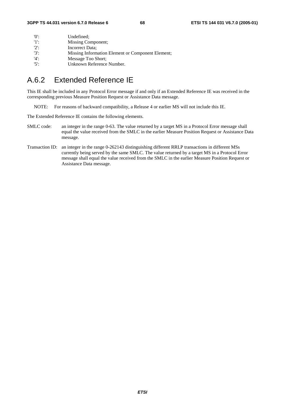| $^{\prime}$ () <sup><math>\cdot</math></sup> | Undefined:                                        |
|----------------------------------------------|---------------------------------------------------|
| -115                                         | Missing Component;                                |
| $'2$ :                                       | Incorrect Data:                                   |
| $'3'$ :                                      | Missing Information Element or Component Element; |
| $'4$ :                                       | Message Too Short;                                |
| $15$ :                                       | Unknown Reference Number.                         |

## A.6.2 Extended Reference IE

This IE shall be included in any Protocol Error message if and only if an Extended Reference IE was received in the corresponding previous Measure Position Request or Assistance Data message.

NOTE: For reasons of backward compatibility, a Release 4 or earlier MS will not include this IE.

The Extended Reference IE contains the following elements.

- SMLC code: an integer in the range 0-63. The value returned by a target MS in a Protocol Error message shall equal the value received from the SMLC in the earlier Measure Position Request or Assistance Data message.
- Transaction ID: an integer in the range 0-262143 distinguishing different RRLP transactions in different MSs currently being served by the same SMLC. The value returned by a target MS in a Protocol Error message shall equal the value received from the SMLC in the earlier Measure Position Request or Assistance Data message.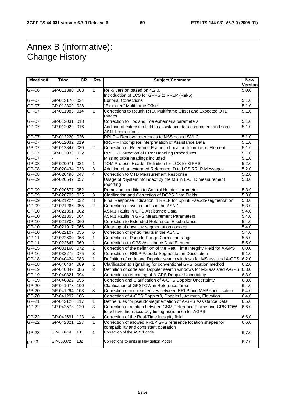## Annex B (informative): Change History

| Meeting# | <b>Tdoc</b>                    | <b>CR</b>        | Rev            | <b>Subject/Comment</b>                                                                       | <b>New</b>         |
|----------|--------------------------------|------------------|----------------|----------------------------------------------------------------------------------------------|--------------------|
|          |                                |                  |                |                                                                                              | Version            |
| GP-06    | GP-011880                      | 008              | 1              | Rel-5 version based on 4.2.0.                                                                | 5.0.0              |
|          |                                |                  |                | Introduction of LCS for GPRS to RRLP (Rel-5)                                                 |                    |
| GP-07    | GP-012170 024                  |                  |                | <b>Editorial Corrections</b>                                                                 | 5.1.0<br>5.1.0     |
| GP-07    | GP-012309 028<br>GP-011983 014 |                  |                | "Expected" Multiframe Offset<br>Corrections to Rough RTD, Multiframe Offset and Expected OTD |                    |
| GP-07    |                                |                  | 1              | ranges.                                                                                      | 5.1.0              |
| $GP-07$  | GP-012031                      | 018              |                | Correction to Toc and Toe ephemeris parameters                                               | 5.1.0              |
| $GP-07$  | GP-012029 016                  |                  |                | Addition of extension field to assistance data component and some                            | 5.1.0              |
|          |                                |                  |                | ASN.1 corrections.                                                                           |                    |
| GP-07    | GP-012220 026                  |                  |                | RRLP - Remove references to NSS based SMLC                                                   | 5.1.0              |
| GP-07    | GP-012032 019                  |                  |                | RRLP - Incomplete interpretation of Assistance Data                                          | $\overline{5}.1.0$ |
| GP-07    | GP-012847 030                  |                  | 2              | Correction of Reference Frame in Location Information Element                                | 5.1.0              |
| GP-07    | GP-012033 022                  |                  |                | RRLP - Correction of Error Handling Procedures                                               | $\overline{5}.1.0$ |
| GP-07    |                                |                  |                | Missing table headings included                                                              | 5.1.0              |
| GP-08    | GP-020071                      | 031              | 1              | TOM Protocol Header Definition for LCS for GPRS                                              | 5.2.0              |
| GP-08    | GP-020434 033                  |                  | 3              | Addition of an extended Reference ID to LCS RRLP Messages                                    | 5.2.0              |
| GP-08    | GP-020490 047                  |                  | $\overline{4}$ | Correction to OTD Measurement Response                                                       | 5.2.0              |
| $GP-09$  | GP-020547 057                  |                  |                | Usage of "SystemInfoIndex" by the MS in E-OTD measurement                                    | 5.3.0              |
|          |                                |                  |                | reporting                                                                                    |                    |
| GP-09    | GP-020677                      | 052              |                | Removing condition to Control Header parameter                                               | 5.3.0              |
| GP-09    | GP-020709 035                  |                  | 3              | Clarification and Correction of DGPS Data Fields                                             | 5.3.0              |
| GP-09    | GP-021224 032                  |                  | 3              | Final Response Indication in RRLP for Uplink Pseudo-segmentation                             | 5.3.0              |
| GP-09    | GP-021266 055                  |                  | $\overline{2}$ | Correction of syntax faults in the ASN.1                                                     | $\overline{5.3.0}$ |
| GP-10    | GP-021351 062                  |                  |                | ASN.1 Faults in GPS Assistance Data                                                          | 5.4.0              |
| GP-10    | GP-021355 064                  |                  |                | <b>ASN.1 Faults in GPS Measurement Parameters</b>                                            | $\overline{5.4.0}$ |
| GP-10    | GP-021708 060                  |                  |                | Correction to Extended Reference IE sub-clause                                               | 5.4.0              |
| GP-10    | GP-021917 066                  |                  | 1              | Clean up of downlink segmentation concept                                                    | 5.4.0              |
| $GP-10$  | GP-022107                      | 055              | 6              | Correction of syntax faults in the ASN.1                                                     | 5.4.0              |
| GP-11    | GP-022600 068                  |                  | 1              | Correction of Pseudo Range Correction range                                                  | 5.5.0              |
| GP-11    | GP-022647 069                  |                  | 1              | Corrections to GPS Assistance Data Element                                                   | $\overline{5.5.0}$ |
| GP-15    | GP-031160 072                  |                  | 1              | Correction of the definition of the Real Time Integrity Field for A-GPS                      | 6.0.0              |
| GP-16    | GP-032272 075                  |                  | 3              | Correction of RRLP Pseudo-Segmentation Description                                           | 6.1.0              |
| GP-18    | GP-040424 083                  |                  | 1              | Definition of code and Doppler search windows for MS assisted A-GPS                          | 6.2.0              |
| GP-18    | GP-040434 089                  |                  | 1              | Clarification to signalling for conventional GPS location method                             | 6.2.0              |
| GP-19    | GP-040842 086                  |                  | $\overline{2}$ | Definition of code and Doppler search windows for MS assisted A-GPS                          | 6.3.0              |
| GP-19    | GP-040821                      | 094              |                | Correction to encoding of A-GPS Doppler Uncertainty                                          | 6.3.0              |
| $GP-19$  | GP-040822 095                  |                  |                | Correction and Clarification of A-GPS Doppler Uncertainty                                    | 6.3.0              |
| GP-20    | GP-041673 100                  |                  | 4              | Clarification of GPSTOW in Reference Time                                                    | 6.4.0              |
| GP-20    | GP-041294 103                  |                  | 3              | Correction of inconsistencies between RRLP and MAP specification                             | 6.4.0              |
| GP-20    | GP-041297 106                  |                  |                | Correction of A-GPS Doppler0, Doppler1, Azimuth, Elevation                                   | 6.4.0              |
| GP-21    | GP-042126 117                  |                  | 1              | Define rules for pseudo-segmentation of A-GPS Assistance Data                                | 6.5.0              |
| $GP-22$  | GP-042578 120                  |                  | $\overline{3}$ | Correction of relation between GSM Reference Frame and GPS TOW                               | 6.6.0              |
|          |                                |                  |                | to achieve high-accuracy timing assistance for AGPS                                          |                    |
| GP-22    | GP-042691                      | 123              | 4              | Correction of the Real-Time Integrity field                                                  | 6.6.0              |
| GP-22    | GP-042321                      | 127              | 1              | Correction of allowed RRLP GPS reference location shapes for                                 | 6.6.0              |
|          |                                |                  |                | compatibility and consistent operation                                                       |                    |
| GP-23    | GP-050414                      | $\overline{131}$ | $\mathbf{1}$   | Correction of the ASN.1 code                                                                 | 6.7.0              |
| $gp-23$  | GP-050372                      | 132              |                | Corrections to units in Navigation Model                                                     | 6.7.0              |